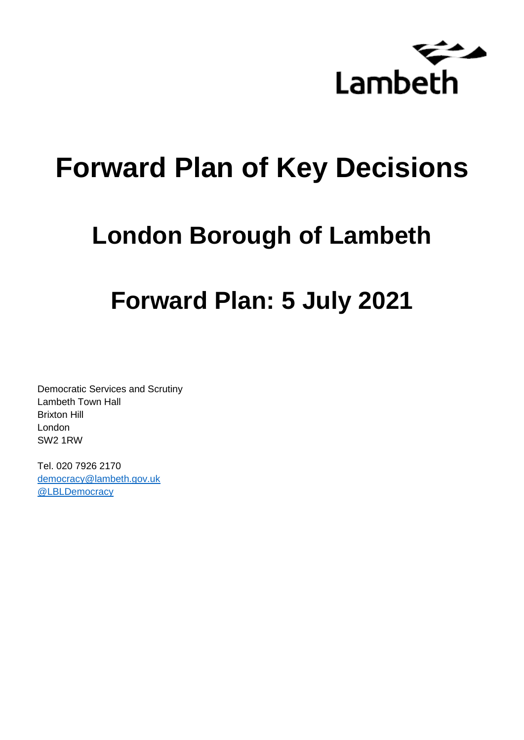

# **Forward Plan of Key Decisions**

# **London Borough of Lambeth**

# **Forward Plan: 5 July 2021**

Democratic Services and Scrutiny Lambeth Town Hall Brixton Hill London SW2 1RW

Tel. 020 7926 2170 [democracy@lambeth.gov.uk](mailto:democracy@lambeth.gov.uk) [@LBLDemocracy](https://twitter.com/LBLDemocracy?lang=en)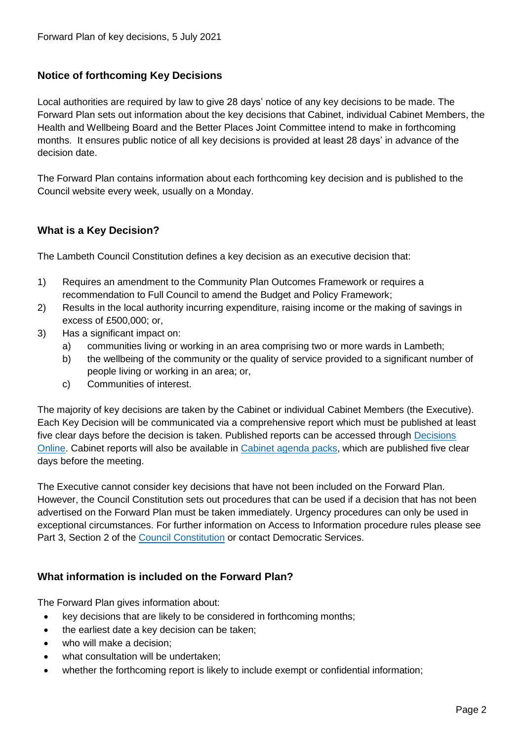# **Notice of forthcoming Key Decisions**

Local authorities are required by law to give 28 days' notice of any key decisions to be made. The Forward Plan sets out information about the key decisions that Cabinet, individual Cabinet Members, the Health and Wellbeing Board and the Better Places Joint Committee intend to make in forthcoming months. It ensures public notice of all key decisions is provided at least 28 days' in advance of the decision date.

The Forward Plan contains information about each forthcoming key decision and is published to the Council website every week, usually on a Monday.

# **What is a Key Decision?**

The Lambeth Council Constitution defines a key decision as an executive decision that:

- 1) Requires an amendment to the Community Plan Outcomes Framework or requires a recommendation to Full Council to amend the Budget and Policy Framework;
- 2) Results in the local authority incurring expenditure, raising income or the making of savings in excess of £500,000; or,
- 3) Has a significant impact on:
	- a) communities living or working in an area comprising two or more wards in Lambeth;
	- b) the wellbeing of the community or the quality of service provided to a significant number of people living or working in an area; or,
	- c) Communities of interest.

The majority of key decisions are taken by the Cabinet or individual Cabinet Members (the Executive). Each Key Decision will be communicated via a comprehensive report which must be published at least five clear days before the decision is taken. Published reports can be accessed through Decisions [Online.](http://moderngov.lambeth.gov.uk/mgDelegatedDecisions.aspx?bcr=1&DM=0&DS=2&K=0&DR=&V=0) Cabinet reports will also be available in [Cabinet agenda packs,](https://moderngov.lambeth.gov.uk/ieListMeetings.aspx?CommitteeId=225) which are published five clear days before the meeting.

The Executive cannot consider key decisions that have not been included on the Forward Plan. However, the Council Constitution sets out procedures that can be used if a decision that has not been advertised on the Forward Plan must be taken immediately. Urgency procedures can only be used in exceptional circumstances. For further information on Access to Information procedure rules please see Part 3, Section 2 of the [Council Constitution](http://moderngov.lambeth.gov.uk/ieListMeetings.aspx?CId=738&info=1&MD=Constitution) or contact Democratic Services.

# **What information is included on the Forward Plan?**

The Forward Plan gives information about:

- key decisions that are likely to be considered in forthcoming months;
- the earliest date a key decision can be taken;
- who will make a decision;
- what consultation will be undertaken;
- whether the forthcoming report is likely to include exempt or confidential information;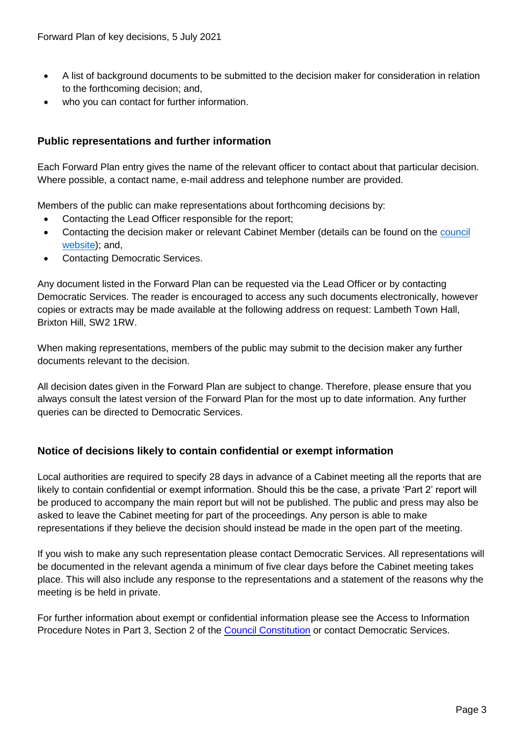- A list of background documents to be submitted to the decision maker for consideration in relation to the forthcoming decision; and,
- who you can contact for further information.

# **Public representations and further information**

Each Forward Plan entry gives the name of the relevant officer to contact about that particular decision. Where possible, a contact name, e-mail address and telephone number are provided.

Members of the public can make representations about forthcoming decisions by:

- Contacting the Lead Officer responsible for the report;
- Contacting the decision maker or relevant Cabinet Member (details can be found on the council [website\)](http://moderngov.lambeth.gov.uk/mgMemberIndex.aspx?bcr=1); and,
- Contacting Democratic Services.

Any document listed in the Forward Plan can be requested via the Lead Officer or by contacting Democratic Services. The reader is encouraged to access any such documents electronically, however copies or extracts may be made available at the following address on request: Lambeth Town Hall, Brixton Hill, SW2 1RW.

When making representations, members of the public may submit to the decision maker any further documents relevant to the decision.

All decision dates given in the Forward Plan are subject to change. Therefore, please ensure that you always consult the latest version of the Forward Plan for the most up to date information. Any further queries can be directed to Democratic Services.

# **Notice of decisions likely to contain confidential or exempt information**

Local authorities are required to specify 28 days in advance of a Cabinet meeting all the reports that are likely to contain confidential or exempt information. Should this be the case, a private 'Part 2' report will be produced to accompany the main report but will not be published. The public and press may also be asked to leave the Cabinet meeting for part of the proceedings. Any person is able to make representations if they believe the decision should instead be made in the open part of the meeting.

If you wish to make any such representation please contact Democratic Services. All representations will be documented in the relevant agenda a minimum of five clear days before the Cabinet meeting takes place. This will also include any response to the representations and a statement of the reasons why the meeting is be held in private.

For further information about exempt or confidential information please see the Access to Information Procedure Notes in Part 3, Section 2 of the [Council Constitution](http://moderngov.lambeth.gov.uk/ieListMeetings.aspx?CId=738&info=1&MD=Constitution) or contact Democratic Services.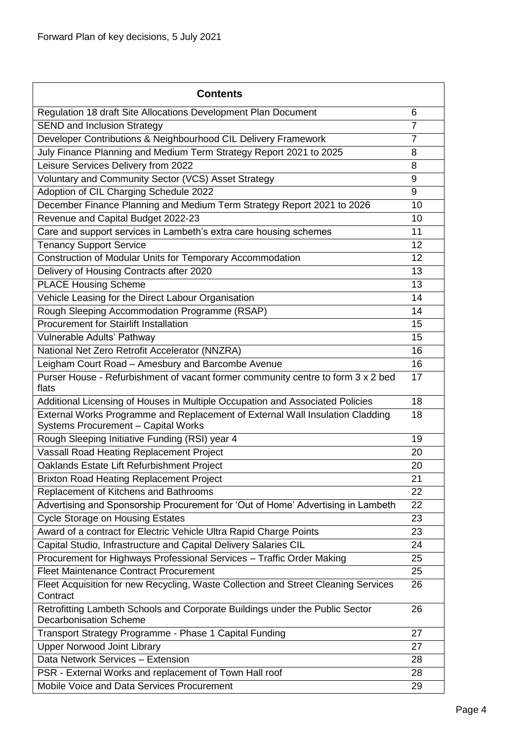| <b>Contents</b>                                                                                                             |                |
|-----------------------------------------------------------------------------------------------------------------------------|----------------|
| Regulation 18 draft Site Allocations Development Plan Document                                                              | 6              |
| <b>SEND and Inclusion Strategy</b>                                                                                          | $\overline{7}$ |
| Developer Contributions & Neighbourhood CIL Delivery Framework                                                              | $\overline{7}$ |
| July Finance Planning and Medium Term Strategy Report 2021 to 2025                                                          | 8              |
| Leisure Services Delivery from 2022                                                                                         | 8              |
| Voluntary and Community Sector (VCS) Asset Strategy                                                                         | 9              |
| Adoption of CIL Charging Schedule 2022                                                                                      | 9              |
| December Finance Planning and Medium Term Strategy Report 2021 to 2026                                                      | 10             |
| Revenue and Capital Budget 2022-23                                                                                          | 10             |
| Care and support services in Lambeth's extra care housing schemes                                                           | 11             |
| <b>Tenancy Support Service</b>                                                                                              | 12             |
| Construction of Modular Units for Temporary Accommodation                                                                   | 12             |
| Delivery of Housing Contracts after 2020                                                                                    | 13             |
| <b>PLACE Housing Scheme</b>                                                                                                 | 13             |
| Vehicle Leasing for the Direct Labour Organisation                                                                          | 14             |
| Rough Sleeping Accommodation Programme (RSAP)                                                                               | 14             |
| <b>Procurement for Stairlift Installation</b>                                                                               | 15             |
| Vulnerable Adults' Pathway                                                                                                  | 15             |
| National Net Zero Retrofit Accelerator (NNZRA)                                                                              | 16             |
| Leigham Court Road - Amesbury and Barcombe Avenue                                                                           | 16             |
| Purser House - Refurbishment of vacant former community centre to form 3 x 2 bed<br>flats                                   | 17             |
| Additional Licensing of Houses in Multiple Occupation and Associated Policies                                               | 18             |
| External Works Programme and Replacement of External Wall Insulation Cladding<br><b>Systems Procurement - Capital Works</b> | 18             |
| Rough Sleeping Initiative Funding (RSI) year 4                                                                              | 19             |
| Vassall Road Heating Replacement Project                                                                                    | 20             |
| Oaklands Estate Lift Refurbishment Project                                                                                  | 20             |
| <b>Brixton Road Heating Replacement Project</b>                                                                             | 21             |
| Replacement of Kitchens and Bathrooms                                                                                       | 22             |
| Advertising and Sponsorship Procurement for 'Out of Home' Advertising in Lambeth                                            | 22             |
| <b>Cycle Storage on Housing Estates</b>                                                                                     | 23             |
| Award of a contract for Electric Vehicle Ultra Rapid Charge Points                                                          | 23             |
| Capital Studio, Infrastructure and Capital Delivery Salaries CIL                                                            | 24             |
| Procurement for Highways Professional Services - Traffic Order Making                                                       | 25             |
| <b>Fleet Maintenance Contract Procurement</b>                                                                               | 25             |
| Fleet Acquisition for new Recycling, Waste Collection and Street Cleaning Services<br>Contract                              | 26             |
| Retrofitting Lambeth Schools and Corporate Buildings under the Public Sector<br><b>Decarbonisation Scheme</b>               | 26             |
| Transport Strategy Programme - Phase 1 Capital Funding                                                                      | 27             |
| <b>Upper Norwood Joint Library</b>                                                                                          | 27             |
| Data Network Services - Extension                                                                                           | 28             |
| PSR - External Works and replacement of Town Hall roof                                                                      | 28             |
| Mobile Voice and Data Services Procurement                                                                                  | 29             |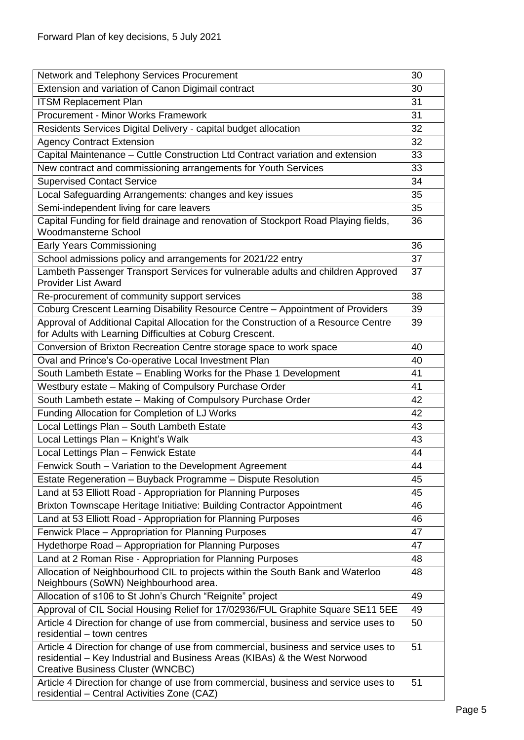| Network and Telephony Services Procurement                                                                                                                                                             | 30 |
|--------------------------------------------------------------------------------------------------------------------------------------------------------------------------------------------------------|----|
| Extension and variation of Canon Digimail contract                                                                                                                                                     | 30 |
| <b>ITSM Replacement Plan</b>                                                                                                                                                                           | 31 |
| Procurement - Minor Works Framework                                                                                                                                                                    | 31 |
| Residents Services Digital Delivery - capital budget allocation                                                                                                                                        | 32 |
| <b>Agency Contract Extension</b>                                                                                                                                                                       | 32 |
| Capital Maintenance - Cuttle Construction Ltd Contract variation and extension                                                                                                                         | 33 |
| New contract and commissioning arrangements for Youth Services                                                                                                                                         | 33 |
| <b>Supervised Contact Service</b>                                                                                                                                                                      | 34 |
| Local Safeguarding Arrangements: changes and key issues                                                                                                                                                | 35 |
| Semi-independent living for care leavers                                                                                                                                                               | 35 |
| Capital Funding for field drainage and renovation of Stockport Road Playing fields,                                                                                                                    | 36 |
| <b>Woodmansterne School</b>                                                                                                                                                                            |    |
| <b>Early Years Commissioning</b>                                                                                                                                                                       | 36 |
| School admissions policy and arrangements for 2021/22 entry                                                                                                                                            | 37 |
| Lambeth Passenger Transport Services for vulnerable adults and children Approved                                                                                                                       | 37 |
| <b>Provider List Award</b>                                                                                                                                                                             |    |
| Re-procurement of community support services                                                                                                                                                           | 38 |
| Coburg Crescent Learning Disability Resource Centre - Appointment of Providers                                                                                                                         | 39 |
| Approval of Additional Capital Allocation for the Construction of a Resource Centre<br>for Adults with Learning Difficulties at Coburg Crescent.                                                       | 39 |
| Conversion of Brixton Recreation Centre storage space to work space                                                                                                                                    | 40 |
| Oval and Prince's Co-operative Local Investment Plan                                                                                                                                                   | 40 |
| South Lambeth Estate - Enabling Works for the Phase 1 Development                                                                                                                                      | 41 |
| Westbury estate - Making of Compulsory Purchase Order                                                                                                                                                  | 41 |
| South Lambeth estate - Making of Compulsory Purchase Order                                                                                                                                             | 42 |
| Funding Allocation for Completion of LJ Works                                                                                                                                                          | 42 |
| Local Lettings Plan - South Lambeth Estate                                                                                                                                                             | 43 |
| Local Lettings Plan - Knight's Walk                                                                                                                                                                    | 43 |
| Local Lettings Plan - Fenwick Estate                                                                                                                                                                   | 44 |
| Fenwick South - Variation to the Development Agreement                                                                                                                                                 | 44 |
| Estate Regeneration - Buyback Programme - Dispute Resolution                                                                                                                                           | 45 |
| Land at 53 Elliott Road - Appropriation for Planning Purposes                                                                                                                                          | 45 |
| Brixton Townscape Heritage Initiative: Building Contractor Appointment                                                                                                                                 | 46 |
| Land at 53 Elliott Road - Appropriation for Planning Purposes                                                                                                                                          | 46 |
| Fenwick Place - Appropriation for Planning Purposes                                                                                                                                                    | 47 |
| Hydethorpe Road - Appropriation for Planning Purposes                                                                                                                                                  | 47 |
| Land at 2 Roman Rise - Appropriation for Planning Purposes                                                                                                                                             | 48 |
| Allocation of Neighbourhood CIL to projects within the South Bank and Waterloo<br>Neighbours (SoWN) Neighbourhood area.                                                                                | 48 |
| Allocation of s106 to St John's Church "Reignite" project                                                                                                                                              | 49 |
| Approval of CIL Social Housing Relief for 17/02936/FUL Graphite Square SE11 5EE                                                                                                                        | 49 |
| Article 4 Direction for change of use from commercial, business and service uses to<br>residential - town centres                                                                                      | 50 |
| Article 4 Direction for change of use from commercial, business and service uses to<br>residential – Key Industrial and Business Areas (KIBAs) & the West Norwood<br>Creative Business Cluster (WNCBC) | 51 |
| Article 4 Direction for change of use from commercial, business and service uses to<br>residential - Central Activities Zone (CAZ)                                                                     | 51 |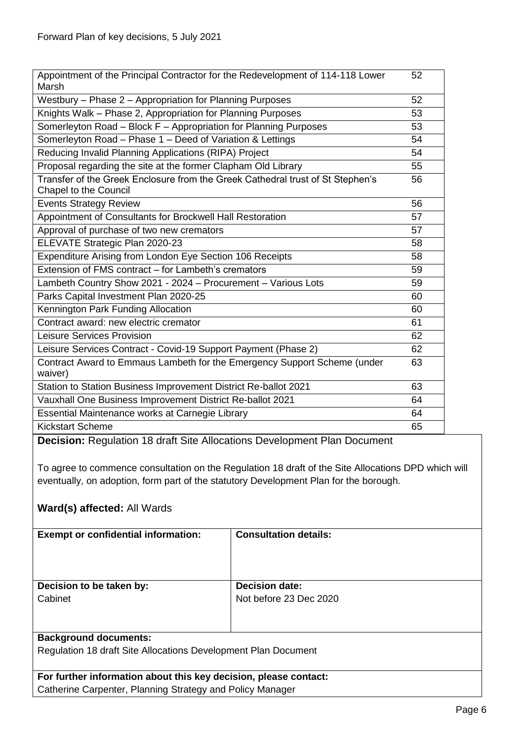| Appointment of the Principal Contractor for the Redevelopment of 114-118 Lower<br>Marsh | 52 |
|-----------------------------------------------------------------------------------------|----|
| Westbury - Phase 2 - Appropriation for Planning Purposes                                | 52 |
| Knights Walk - Phase 2, Appropriation for Planning Purposes                             | 53 |
| Somerleyton Road - Block F - Appropriation for Planning Purposes                        | 53 |
| Somerleyton Road - Phase 1 - Deed of Variation & Lettings                               | 54 |
| Reducing Invalid Planning Applications (RIPA) Project                                   | 54 |
| Proposal regarding the site at the former Clapham Old Library                           | 55 |
| Transfer of the Greek Enclosure from the Greek Cathedral trust of St Stephen's          | 56 |
| <b>Chapel to the Council</b>                                                            |    |
| <b>Events Strategy Review</b>                                                           | 56 |
| Appointment of Consultants for Brockwell Hall Restoration                               | 57 |
| Approval of purchase of two new cremators                                               | 57 |
| ELEVATE Strategic Plan 2020-23                                                          | 58 |
| Expenditure Arising from London Eye Section 106 Receipts                                | 58 |
| Extension of FMS contract – for Lambeth's cremators                                     | 59 |
| Lambeth Country Show 2021 - 2024 - Procurement - Various Lots                           | 59 |
| Parks Capital Investment Plan 2020-25                                                   | 60 |
| Kennington Park Funding Allocation                                                      | 60 |
| Contract award: new electric cremator                                                   | 61 |
| Leisure Services Provision                                                              | 62 |
| Leisure Services Contract - Covid-19 Support Payment (Phase 2)                          | 62 |
| Contract Award to Emmaus Lambeth for the Emergency Support Scheme (under                | 63 |
| waiver)                                                                                 |    |
| Station to Station Business Improvement District Re-ballot 2021                         | 63 |
| Vauxhall One Business Improvement District Re-ballot 2021                               | 64 |
| Essential Maintenance works at Carnegie Library                                         | 64 |
| <b>Kickstart Scheme</b>                                                                 | 65 |

<span id="page-5-0"></span>**Decision:** Regulation 18 draft Site Allocations Development Plan Document

To agree to commence consultation on the Regulation 18 draft of the Site Allocations DPD which will eventually, on adoption, form part of the statutory Development Plan for the borough.

# **Ward(s) affected:** All Wards

| <b>Exempt or confidential information:</b>                       | <b>Consultation details:</b> |
|------------------------------------------------------------------|------------------------------|
|                                                                  |                              |
|                                                                  |                              |
|                                                                  |                              |
|                                                                  |                              |
| Decision to be taken by:                                         | <b>Decision date:</b>        |
| Cabinet                                                          | Not before 23 Dec 2020       |
|                                                                  |                              |
|                                                                  |                              |
|                                                                  |                              |
| <b>Background documents:</b>                                     |                              |
| Regulation 18 draft Site Allocations Development Plan Document   |                              |
|                                                                  |                              |
|                                                                  |                              |
| For further information about this key decision, please contact: |                              |
| Catherine Carpenter, Planning Strategy and Policy Manager        |                              |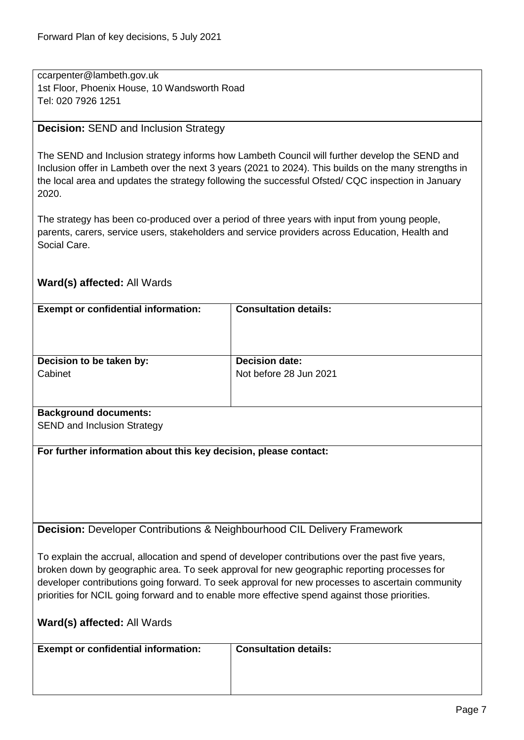ccarpenter@lambeth.gov.uk 1st Floor, Phoenix House, 10 Wandsworth Road Tel: 020 7926 1251

#### <span id="page-6-0"></span>**Decision:** SEND and Inclusion Strategy

The SEND and Inclusion strategy informs how Lambeth Council will further develop the SEND and Inclusion offer in Lambeth over the next 3 years (2021 to 2024). This builds on the many strengths in the local area and updates the strategy following the successful Ofsted/ CQC inspection in January 2020.

The strategy has been co-produced over a period of three years with input from young people, parents, carers, service users, stakeholders and service providers across Education, Health and Social Care.

# **Ward(s) affected:** All Wards

| <b>Exempt or confidential information:</b>                                                  | <b>Consultation details:</b>                                                                      |
|---------------------------------------------------------------------------------------------|---------------------------------------------------------------------------------------------------|
|                                                                                             |                                                                                                   |
|                                                                                             |                                                                                                   |
| Decision to be taken by:                                                                    | <b>Decision date:</b>                                                                             |
| Cabinet                                                                                     | Not before 28 Jun 2021                                                                            |
|                                                                                             |                                                                                                   |
| <b>Background documents:</b>                                                                |                                                                                                   |
| <b>SEND and Inclusion Strategy</b>                                                          |                                                                                                   |
|                                                                                             |                                                                                                   |
| For further information about this key decision, please contact:                            |                                                                                                   |
|                                                                                             |                                                                                                   |
|                                                                                             |                                                                                                   |
|                                                                                             |                                                                                                   |
|                                                                                             |                                                                                                   |
| <b>Decision:</b> Developer Contributions & Neighbourhood CIL Delivery Framework             |                                                                                                   |
|                                                                                             |                                                                                                   |
|                                                                                             | To explain the accrual, allocation and spend of developer contributions over the past five years, |
| broken down by geographic area. To seek approval for new geographic reporting processes for |                                                                                                   |
|                                                                                             | developer contributions going forward. To seek approval for new processes to ascertain community  |
|                                                                                             | priorities for NCIL going forward and to enable more effective spend against those priorities.    |
| <b>Ward(s) affected: All Wards</b>                                                          |                                                                                                   |

<span id="page-6-1"></span>

| <b>Exempt or confidential information:</b> | <b>Consultation details:</b> |  |
|--------------------------------------------|------------------------------|--|
|                                            |                              |  |
|                                            |                              |  |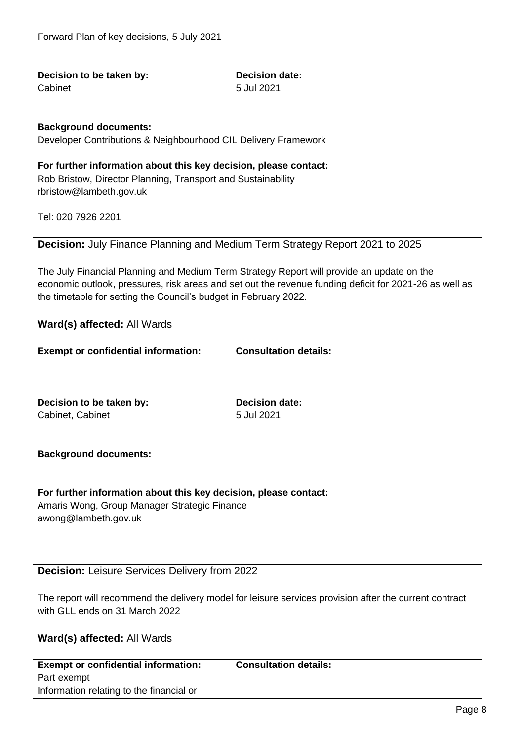<span id="page-7-1"></span><span id="page-7-0"></span>

| Decision to be taken by:                                                                | <b>Decision date:</b>                                                                                  |
|-----------------------------------------------------------------------------------------|--------------------------------------------------------------------------------------------------------|
| Cabinet                                                                                 | 5 Jul 2021                                                                                             |
|                                                                                         |                                                                                                        |
|                                                                                         |                                                                                                        |
| <b>Background documents:</b>                                                            |                                                                                                        |
| Developer Contributions & Neighbourhood CIL Delivery Framework                          |                                                                                                        |
|                                                                                         |                                                                                                        |
| For further information about this key decision, please contact:                        |                                                                                                        |
| Rob Bristow, Director Planning, Transport and Sustainability<br>rbristow@lambeth.gov.uk |                                                                                                        |
|                                                                                         |                                                                                                        |
| Tel: 020 7926 2201                                                                      |                                                                                                        |
|                                                                                         |                                                                                                        |
| <b>Decision:</b> July Finance Planning and Medium Term Strategy Report 2021 to 2025     |                                                                                                        |
|                                                                                         |                                                                                                        |
|                                                                                         | The July Financial Planning and Medium Term Strategy Report will provide an update on the              |
|                                                                                         | economic outlook, pressures, risk areas and set out the revenue funding deficit for 2021-26 as well as |
| the timetable for setting the Council's budget in February 2022.                        |                                                                                                        |
|                                                                                         |                                                                                                        |
| Ward(s) affected: All Wards                                                             |                                                                                                        |
|                                                                                         |                                                                                                        |
| <b>Exempt or confidential information:</b>                                              | <b>Consultation details:</b>                                                                           |
|                                                                                         |                                                                                                        |
|                                                                                         |                                                                                                        |
|                                                                                         |                                                                                                        |
| Decision to be taken by:                                                                | <b>Decision date:</b>                                                                                  |
| Cabinet, Cabinet                                                                        | 5 Jul 2021                                                                                             |
|                                                                                         |                                                                                                        |
| <b>Background documents:</b>                                                            |                                                                                                        |
|                                                                                         |                                                                                                        |
|                                                                                         |                                                                                                        |
|                                                                                         |                                                                                                        |
| For further information about this key decision, please contact:                        |                                                                                                        |
| Amaris Wong, Group Manager Strategic Finance                                            |                                                                                                        |
| awong@lambeth.gov.uk                                                                    |                                                                                                        |
|                                                                                         |                                                                                                        |
|                                                                                         |                                                                                                        |
|                                                                                         |                                                                                                        |
| <b>Decision: Leisure Services Delivery from 2022</b>                                    |                                                                                                        |
|                                                                                         |                                                                                                        |
|                                                                                         | The report will recommend the delivery model for leisure services provision after the current contract |
| with GLL ends on 31 March 2022                                                          |                                                                                                        |
|                                                                                         |                                                                                                        |
| Ward(s) affected: All Wards                                                             |                                                                                                        |
|                                                                                         |                                                                                                        |
| <b>Exempt or confidential information:</b>                                              | <b>Consultation details:</b>                                                                           |
| Part exempt                                                                             |                                                                                                        |
| Information relating to the financial or                                                |                                                                                                        |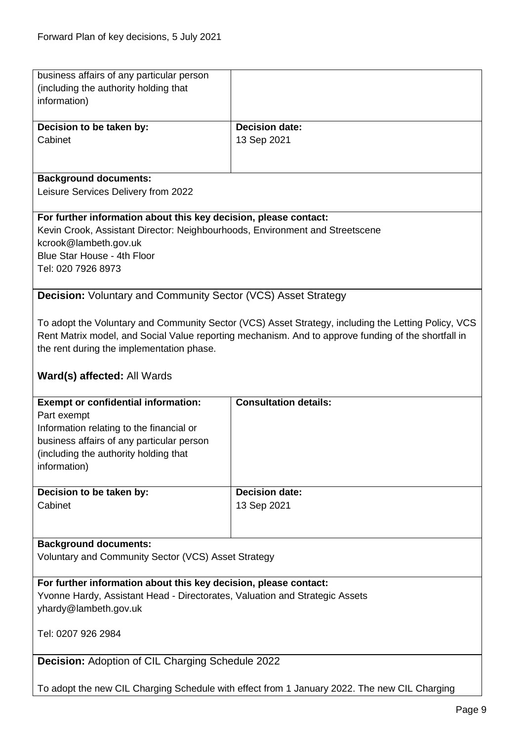<span id="page-8-1"></span><span id="page-8-0"></span>

| business affairs of any particular person                                    |                                                                                                     |
|------------------------------------------------------------------------------|-----------------------------------------------------------------------------------------------------|
| (including the authority holding that                                        |                                                                                                     |
| information)                                                                 |                                                                                                     |
|                                                                              | <b>Decision date:</b>                                                                               |
| Decision to be taken by:<br>Cabinet                                          | 13 Sep 2021                                                                                         |
|                                                                              |                                                                                                     |
|                                                                              |                                                                                                     |
| <b>Background documents:</b>                                                 |                                                                                                     |
| Leisure Services Delivery from 2022                                          |                                                                                                     |
|                                                                              |                                                                                                     |
| For further information about this key decision, please contact:             |                                                                                                     |
| Kevin Crook, Assistant Director: Neighbourhoods, Environment and Streetscene |                                                                                                     |
| kcrook@lambeth.gov.uk                                                        |                                                                                                     |
| Blue Star House - 4th Floor                                                  |                                                                                                     |
| Tel: 020 7926 8973                                                           |                                                                                                     |
|                                                                              |                                                                                                     |
| <b>Decision:</b> Voluntary and Community Sector (VCS) Asset Strategy         |                                                                                                     |
|                                                                              |                                                                                                     |
|                                                                              | To adopt the Voluntary and Community Sector (VCS) Asset Strategy, including the Letting Policy, VCS |
|                                                                              | Rent Matrix model, and Social Value reporting mechanism. And to approve funding of the shortfall in |
| the rent during the implementation phase.                                    |                                                                                                     |
|                                                                              |                                                                                                     |
| Ward(s) affected: All Wards                                                  |                                                                                                     |
| <b>Exempt or confidential information:</b>                                   | <b>Consultation details:</b>                                                                        |
| Part exempt                                                                  |                                                                                                     |
| Information relating to the financial or                                     |                                                                                                     |
| business affairs of any particular person                                    |                                                                                                     |
| (including the authority holding that                                        |                                                                                                     |
| information)                                                                 |                                                                                                     |
|                                                                              |                                                                                                     |
| Decision to be taken by:                                                     | <b>Decision date:</b>                                                                               |
| Cabinet                                                                      | 13 Sep 2021                                                                                         |
|                                                                              |                                                                                                     |
|                                                                              |                                                                                                     |
| <b>Background documents:</b>                                                 |                                                                                                     |
| Voluntary and Community Sector (VCS) Asset Strategy                          |                                                                                                     |
|                                                                              |                                                                                                     |
| For further information about this key decision, please contact:             |                                                                                                     |
| Yvonne Hardy, Assistant Head - Directorates, Valuation and Strategic Assets  |                                                                                                     |
| yhardy@lambeth.gov.uk                                                        |                                                                                                     |
|                                                                              |                                                                                                     |
| Tel: 0207 926 2984                                                           |                                                                                                     |
| <b>Decision: Adoption of CIL Charging Schedule 2022</b>                      |                                                                                                     |
|                                                                              |                                                                                                     |
|                                                                              |                                                                                                     |
|                                                                              | To adopt the new CIL Charging Schedule with effect from 1 January 2022. The new CIL Charging        |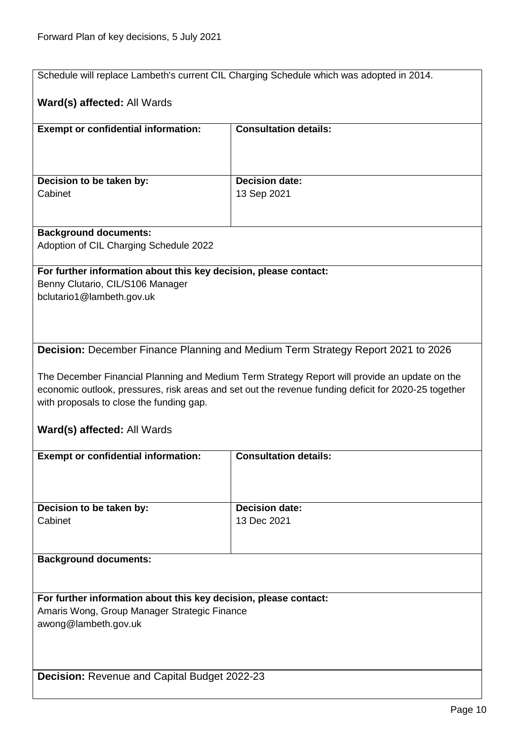<span id="page-9-1"></span><span id="page-9-0"></span>

| Schedule will replace Lambeth's current CIL Charging Schedule which was adopted in 2014. |                                                                                                      |  |
|------------------------------------------------------------------------------------------|------------------------------------------------------------------------------------------------------|--|
|                                                                                          |                                                                                                      |  |
| Ward(s) affected: All Wards                                                              |                                                                                                      |  |
|                                                                                          |                                                                                                      |  |
| <b>Exempt or confidential information:</b>                                               | <b>Consultation details:</b>                                                                         |  |
|                                                                                          |                                                                                                      |  |
|                                                                                          |                                                                                                      |  |
|                                                                                          |                                                                                                      |  |
| Decision to be taken by:                                                                 | <b>Decision date:</b>                                                                                |  |
| Cabinet                                                                                  | 13 Sep 2021                                                                                          |  |
|                                                                                          |                                                                                                      |  |
| <b>Background documents:</b>                                                             |                                                                                                      |  |
| Adoption of CIL Charging Schedule 2022                                                   |                                                                                                      |  |
|                                                                                          |                                                                                                      |  |
| For further information about this key decision, please contact:                         |                                                                                                      |  |
| Benny Clutario, CIL/S106 Manager                                                         |                                                                                                      |  |
| bclutario1@lambeth.gov.uk                                                                |                                                                                                      |  |
|                                                                                          |                                                                                                      |  |
|                                                                                          |                                                                                                      |  |
|                                                                                          |                                                                                                      |  |
| Decision: December Finance Planning and Medium Term Strategy Report 2021 to 2026         |                                                                                                      |  |
|                                                                                          |                                                                                                      |  |
|                                                                                          |                                                                                                      |  |
|                                                                                          |                                                                                                      |  |
|                                                                                          | The December Financial Planning and Medium Term Strategy Report will provide an update on the        |  |
| with proposals to close the funding gap.                                                 | economic outlook, pressures, risk areas and set out the revenue funding deficit for 2020-25 together |  |
|                                                                                          |                                                                                                      |  |
| Ward(s) affected: All Wards                                                              |                                                                                                      |  |
|                                                                                          |                                                                                                      |  |
| <b>Exempt or confidential information:</b>                                               | <b>Consultation details:</b>                                                                         |  |
|                                                                                          |                                                                                                      |  |
|                                                                                          |                                                                                                      |  |
|                                                                                          |                                                                                                      |  |
| Decision to be taken by:                                                                 | <b>Decision date:</b>                                                                                |  |
| Cabinet                                                                                  | 13 Dec 2021                                                                                          |  |
|                                                                                          |                                                                                                      |  |
|                                                                                          |                                                                                                      |  |
| <b>Background documents:</b>                                                             |                                                                                                      |  |
|                                                                                          |                                                                                                      |  |
|                                                                                          |                                                                                                      |  |
| For further information about this key decision, please contact:                         |                                                                                                      |  |
| Amaris Wong, Group Manager Strategic Finance                                             |                                                                                                      |  |
| awong@lambeth.gov.uk                                                                     |                                                                                                      |  |
|                                                                                          |                                                                                                      |  |
|                                                                                          |                                                                                                      |  |
|                                                                                          |                                                                                                      |  |
| <b>Decision: Revenue and Capital Budget 2022-23</b>                                      |                                                                                                      |  |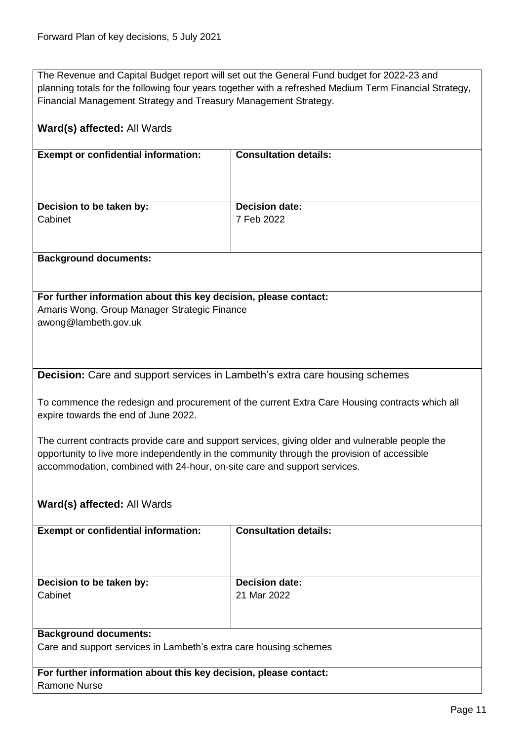The Revenue and Capital Budget report will set out the General Fund budget for 2022-23 and planning totals for the following four years together with a refreshed Medium Term Financial Strategy, Financial Management Strategy and Treasury Management Strategy.

<span id="page-10-0"></span>

| Ward(s) affected: All Wards                                                                                                                                                                                                                                                |                              |  |
|----------------------------------------------------------------------------------------------------------------------------------------------------------------------------------------------------------------------------------------------------------------------------|------------------------------|--|
| <b>Exempt or confidential information:</b>                                                                                                                                                                                                                                 | <b>Consultation details:</b> |  |
| Decision to be taken by:                                                                                                                                                                                                                                                   | <b>Decision date:</b>        |  |
| Cabinet                                                                                                                                                                                                                                                                    | 7 Feb 2022                   |  |
| <b>Background documents:</b>                                                                                                                                                                                                                                               |                              |  |
| For further information about this key decision, please contact:                                                                                                                                                                                                           |                              |  |
| Amaris Wong, Group Manager Strategic Finance<br>awong@lambeth.gov.uk                                                                                                                                                                                                       |                              |  |
| <b>Decision:</b> Care and support services in Lambeth's extra care housing schemes                                                                                                                                                                                         |                              |  |
| To commence the redesign and procurement of the current Extra Care Housing contracts which all<br>expire towards the end of June 2022.                                                                                                                                     |                              |  |
| The current contracts provide care and support services, giving older and vulnerable people the<br>opportunity to live more independently in the community through the provision of accessible<br>accommodation, combined with 24-hour, on-site care and support services. |                              |  |
| Ward(s) affected: All Wards                                                                                                                                                                                                                                                |                              |  |
| <b>Exempt or confidential information:</b>                                                                                                                                                                                                                                 | <b>Consultation details:</b> |  |
|                                                                                                                                                                                                                                                                            |                              |  |
| Decision to be taken by:                                                                                                                                                                                                                                                   | <b>Decision date:</b>        |  |
| Cabinet                                                                                                                                                                                                                                                                    | 21 Mar 2022                  |  |
| <b>Background documents:</b>                                                                                                                                                                                                                                               |                              |  |
| Care and support services in Lambeth's extra care housing schemes                                                                                                                                                                                                          |                              |  |
| For further information about this key decision, please contact:                                                                                                                                                                                                           |                              |  |
| <b>Ramone Nurse</b>                                                                                                                                                                                                                                                        |                              |  |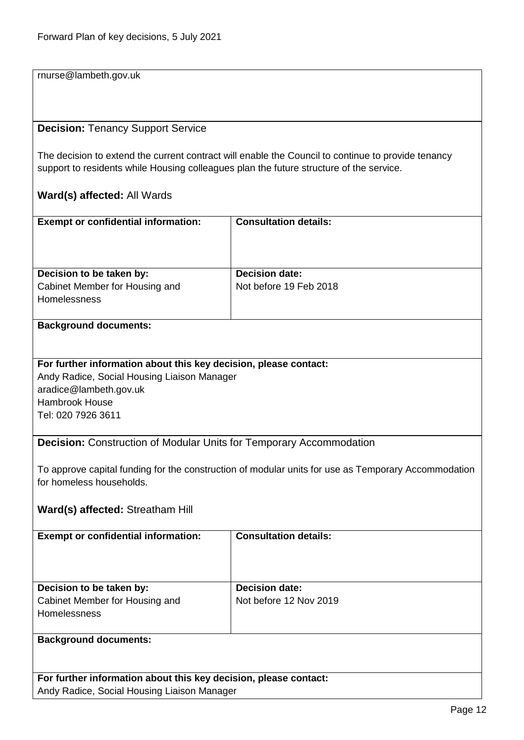rnurse@lambeth.gov.uk

#### <span id="page-11-0"></span>**Decision:** Tenancy Support Service

The decision to extend the current contract will enable the Council to continue to provide tenancy support to residents while Housing colleagues plan the future structure of the service.

#### **Ward(s) affected:** All Wards

| <b>Exempt or confidential information:</b>     | <b>Consultation details:</b> |
|------------------------------------------------|------------------------------|
| Decision to be taken by:                       | <b>Decision date:</b>        |
| Cabinet Member for Housing and<br>Homelessness | Not before 19 Feb 2018       |

#### **Background documents:**

#### **For further information about this key decision, please contact:** Andy Radice, Social Housing Liaison Manager aradice@lambeth.gov.uk Hambrook House Tel: 020 7926 3611

### <span id="page-11-1"></span>**Decision:** Construction of Modular Units for Temporary Accommodation

To approve capital funding for the construction of modular units for use as Temporary Accommodation for homeless households.

### **Ward(s) affected:** Streatham Hill

| <b>Exempt or confidential information:</b>                                                                                                                                                                                          | <b>Consultation details:</b>                    |
|-------------------------------------------------------------------------------------------------------------------------------------------------------------------------------------------------------------------------------------|-------------------------------------------------|
| Decision to be taken by:<br>Cabinet Member for Housing and<br><b>Homelessness</b>                                                                                                                                                   | <b>Decision date:</b><br>Not before 12 Nov 2019 |
| <b>Participants</b> in the contract of the contract of the contract of the contract of the contract of the contract of the contract of the contract of the contract of the contract of the contract of the contract of the contract |                                                 |

#### **Background documents:**

**For further information about this key decision, please contact:** Andy Radice, Social Housing Liaison Manager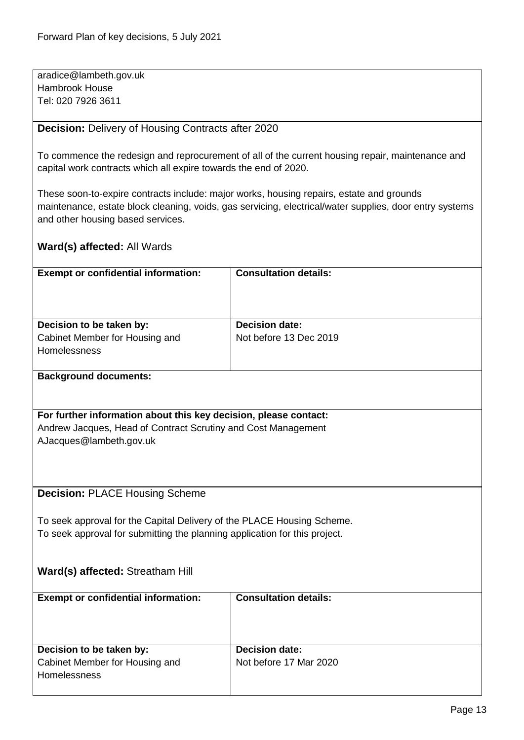aradice@lambeth.gov.uk Hambrook House Tel: 020 7926 3611

#### <span id="page-12-0"></span>**Decision:** Delivery of Housing Contracts after 2020

To commence the redesign and reprocurement of all of the current housing repair, maintenance and capital work contracts which all expire towards the end of 2020.

These soon-to-expire contracts include: major works, housing repairs, estate and grounds maintenance, estate block cleaning, voids, gas servicing, electrical/water supplies, door entry systems and other housing based services.

# **Ward(s) affected:** All Wards

<span id="page-12-1"></span>

| <b>Exempt or confidential information:</b>                                               | <b>Consultation details:</b>                                               |  |  |
|------------------------------------------------------------------------------------------|----------------------------------------------------------------------------|--|--|
|                                                                                          |                                                                            |  |  |
|                                                                                          | <b>Decision date:</b>                                                      |  |  |
| Decision to be taken by:<br>Cabinet Member for Housing and                               | Not before 13 Dec 2019                                                     |  |  |
| Homelessness                                                                             |                                                                            |  |  |
|                                                                                          |                                                                            |  |  |
| <b>Background documents:</b>                                                             |                                                                            |  |  |
|                                                                                          |                                                                            |  |  |
|                                                                                          |                                                                            |  |  |
| For further information about this key decision, please contact:                         |                                                                            |  |  |
| Andrew Jacques, Head of Contract Scrutiny and Cost Management<br>AJacques@lambeth.gov.uk |                                                                            |  |  |
|                                                                                          |                                                                            |  |  |
|                                                                                          |                                                                            |  |  |
|                                                                                          |                                                                            |  |  |
| <b>Decision: PLACE Housing Scheme</b>                                                    |                                                                            |  |  |
|                                                                                          |                                                                            |  |  |
| To seek approval for the Capital Delivery of the PLACE Housing Scheme.                   |                                                                            |  |  |
|                                                                                          | To seek approval for submitting the planning application for this project. |  |  |
|                                                                                          |                                                                            |  |  |
|                                                                                          |                                                                            |  |  |
|                                                                                          |                                                                            |  |  |
| Ward(s) affected: Streatham Hill                                                         |                                                                            |  |  |
| <b>Exempt or confidential information:</b>                                               | <b>Consultation details:</b>                                               |  |  |
|                                                                                          |                                                                            |  |  |
|                                                                                          |                                                                            |  |  |
|                                                                                          |                                                                            |  |  |
| Decision to be taken by:                                                                 | <b>Decision date:</b>                                                      |  |  |
| Cabinet Member for Housing and<br>Homelessness                                           | Not before 17 Mar 2020                                                     |  |  |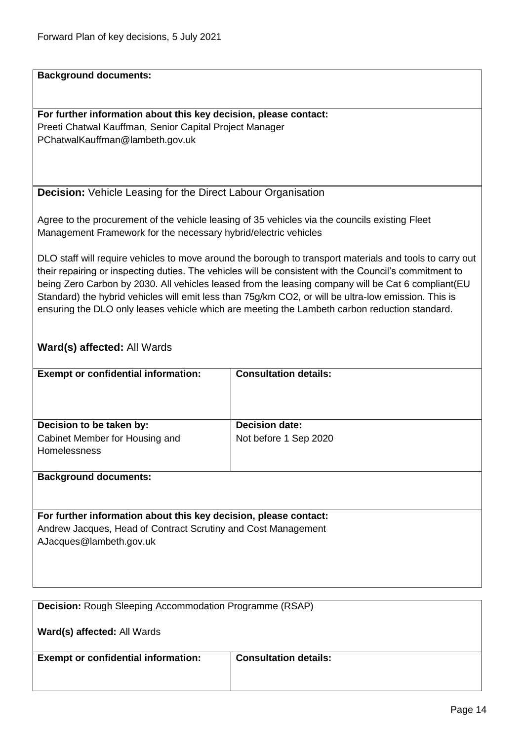**Background documents:**

**For further information about this key decision, please contact:** Preeti Chatwal Kauffman, Senior Capital Project Manager PChatwalKauffman@lambeth.gov.uk

<span id="page-13-0"></span>**Decision:** Vehicle Leasing for the Direct Labour Organisation

Agree to the procurement of the vehicle leasing of 35 vehicles via the councils existing Fleet Management Framework for the necessary hybrid/electric vehicles

DLO staff will require vehicles to move around the borough to transport materials and tools to carry out their repairing or inspecting duties. The vehicles will be consistent with the Council's commitment to being Zero Carbon by 2030. All vehicles leased from the leasing company will be Cat 6 compliant(EU Standard) the hybrid vehicles will emit less than 75g/km CO2, or will be ultra-low emission. This is ensuring the DLO only leases vehicle which are meeting the Lambeth carbon reduction standard.

### **Ward(s) affected:** All Wards

| <b>Exempt or confidential information:</b>                                        | <b>Consultation details:</b>                   |
|-----------------------------------------------------------------------------------|------------------------------------------------|
| Decision to be taken by:<br>Cabinet Member for Housing and<br><b>Homelessness</b> | <b>Decision date:</b><br>Not before 1 Sep 2020 |
| <b>Background documents:</b>                                                      |                                                |

**For further information about this key decision, please contact:** Andrew Jacques, Head of Contract Scrutiny and Cost Management AJacques@lambeth.gov.uk

<span id="page-13-1"></span>

| <b>Decision:</b> Rough Sleeping Accommodation Programme (RSAP) |                              |
|----------------------------------------------------------------|------------------------------|
| <b>Ward(s) affected: All Wards</b>                             |                              |
| <b>Exempt or confidential information:</b>                     | <b>Consultation details:</b> |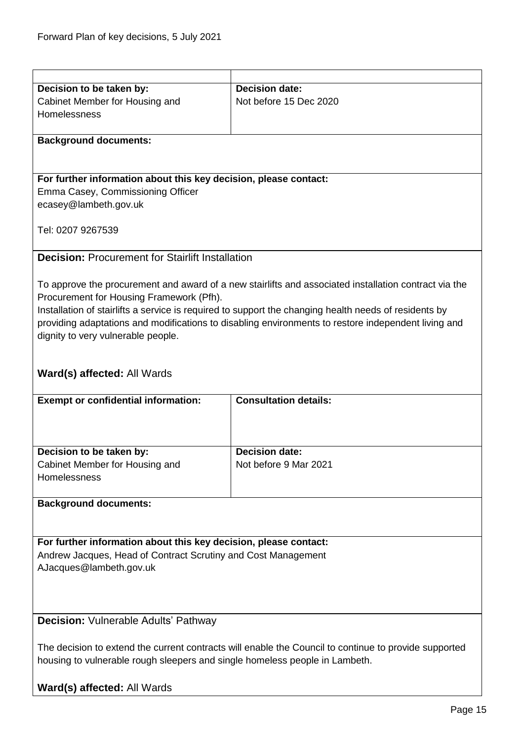<span id="page-14-0"></span>

| Decision to be taken by:                                                    | <b>Decision date:</b>                                                                                 |  |
|-----------------------------------------------------------------------------|-------------------------------------------------------------------------------------------------------|--|
|                                                                             | Not before 15 Dec 2020                                                                                |  |
| Cabinet Member for Housing and<br>Homelessness                              |                                                                                                       |  |
|                                                                             |                                                                                                       |  |
|                                                                             |                                                                                                       |  |
| <b>Background documents:</b>                                                |                                                                                                       |  |
|                                                                             |                                                                                                       |  |
|                                                                             |                                                                                                       |  |
| For further information about this key decision, please contact:            |                                                                                                       |  |
| Emma Casey, Commissioning Officer                                           |                                                                                                       |  |
| ecasey@lambeth.gov.uk                                                       |                                                                                                       |  |
|                                                                             |                                                                                                       |  |
| Tel: 0207 9267539                                                           |                                                                                                       |  |
|                                                                             |                                                                                                       |  |
| <b>Decision: Procurement for Stairlift Installation</b>                     |                                                                                                       |  |
|                                                                             |                                                                                                       |  |
|                                                                             | To approve the procurement and award of a new stairlifts and associated installation contract via the |  |
| Procurement for Housing Framework (Pfh).                                    |                                                                                                       |  |
|                                                                             |                                                                                                       |  |
|                                                                             | Installation of stairlifts a service is required to support the changing health needs of residents by |  |
|                                                                             | providing adaptations and modifications to disabling environments to restore independent living and   |  |
| dignity to very vulnerable people.                                          |                                                                                                       |  |
|                                                                             |                                                                                                       |  |
|                                                                             |                                                                                                       |  |
| Ward(s) affected: All Wards                                                 |                                                                                                       |  |
|                                                                             |                                                                                                       |  |
| <b>Exempt or confidential information:</b>                                  | <b>Consultation details:</b>                                                                          |  |
|                                                                             |                                                                                                       |  |
|                                                                             |                                                                                                       |  |
|                                                                             |                                                                                                       |  |
| Decision to be taken by:                                                    | <b>Decision date:</b>                                                                                 |  |
| Cabinet Member for Housing and                                              | Not before 9 Mar 2021                                                                                 |  |
| Homelessness                                                                |                                                                                                       |  |
|                                                                             |                                                                                                       |  |
| <b>Background documents:</b>                                                |                                                                                                       |  |
|                                                                             |                                                                                                       |  |
|                                                                             |                                                                                                       |  |
|                                                                             |                                                                                                       |  |
| For further information about this key decision, please contact:            |                                                                                                       |  |
| Andrew Jacques, Head of Contract Scrutiny and Cost Management               |                                                                                                       |  |
| AJacques@lambeth.gov.uk                                                     |                                                                                                       |  |
|                                                                             |                                                                                                       |  |
|                                                                             |                                                                                                       |  |
|                                                                             |                                                                                                       |  |
| <b>Decision: Vulnerable Adults' Pathway</b>                                 |                                                                                                       |  |
|                                                                             |                                                                                                       |  |
|                                                                             | The decision to extend the current contracts will enable the Council to continue to provide supported |  |
| housing to vulnerable rough sleepers and single homeless people in Lambeth. |                                                                                                       |  |
|                                                                             |                                                                                                       |  |

<span id="page-14-1"></span>**Ward(s) affected:** All Wards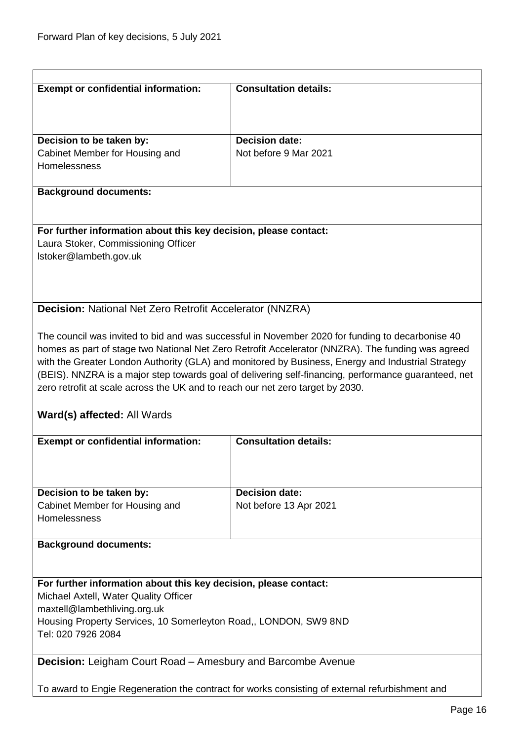<span id="page-15-1"></span><span id="page-15-0"></span>

| <b>Exempt or confidential information:</b>                                                                                                                                                                                                                                                                                                                                                                                                                                                           |                              |  |
|------------------------------------------------------------------------------------------------------------------------------------------------------------------------------------------------------------------------------------------------------------------------------------------------------------------------------------------------------------------------------------------------------------------------------------------------------------------------------------------------------|------------------------------|--|
|                                                                                                                                                                                                                                                                                                                                                                                                                                                                                                      | <b>Consultation details:</b> |  |
|                                                                                                                                                                                                                                                                                                                                                                                                                                                                                                      |                              |  |
|                                                                                                                                                                                                                                                                                                                                                                                                                                                                                                      |                              |  |
| Decision to be taken by:                                                                                                                                                                                                                                                                                                                                                                                                                                                                             | <b>Decision date:</b>        |  |
| Cabinet Member for Housing and                                                                                                                                                                                                                                                                                                                                                                                                                                                                       | Not before 9 Mar 2021        |  |
| Homelessness                                                                                                                                                                                                                                                                                                                                                                                                                                                                                         |                              |  |
| <b>Background documents:</b>                                                                                                                                                                                                                                                                                                                                                                                                                                                                         |                              |  |
| For further information about this key decision, please contact:                                                                                                                                                                                                                                                                                                                                                                                                                                     |                              |  |
| Laura Stoker, Commissioning Officer                                                                                                                                                                                                                                                                                                                                                                                                                                                                  |                              |  |
| Istoker@lambeth.gov.uk                                                                                                                                                                                                                                                                                                                                                                                                                                                                               |                              |  |
|                                                                                                                                                                                                                                                                                                                                                                                                                                                                                                      |                              |  |
|                                                                                                                                                                                                                                                                                                                                                                                                                                                                                                      |                              |  |
| Decision: National Net Zero Retrofit Accelerator (NNZRA)                                                                                                                                                                                                                                                                                                                                                                                                                                             |                              |  |
|                                                                                                                                                                                                                                                                                                                                                                                                                                                                                                      |                              |  |
| The council was invited to bid and was successful in November 2020 for funding to decarbonise 40<br>homes as part of stage two National Net Zero Retrofit Accelerator (NNZRA). The funding was agreed<br>with the Greater London Authority (GLA) and monitored by Business, Energy and Industrial Strategy<br>(BEIS). NNZRA is a major step towards goal of delivering self-financing, performance guaranteed, net<br>zero retrofit at scale across the UK and to reach our net zero target by 2030. |                              |  |
| Ward(s) affected: All Wards                                                                                                                                                                                                                                                                                                                                                                                                                                                                          |                              |  |
|                                                                                                                                                                                                                                                                                                                                                                                                                                                                                                      |                              |  |
|                                                                                                                                                                                                                                                                                                                                                                                                                                                                                                      |                              |  |
| <b>Exempt or confidential information:</b>                                                                                                                                                                                                                                                                                                                                                                                                                                                           | <b>Consultation details:</b> |  |
|                                                                                                                                                                                                                                                                                                                                                                                                                                                                                                      |                              |  |
|                                                                                                                                                                                                                                                                                                                                                                                                                                                                                                      |                              |  |
| Decision to be taken by:                                                                                                                                                                                                                                                                                                                                                                                                                                                                             | <b>Decision date:</b>        |  |
| Cabinet Member for Housing and<br>Homelessness                                                                                                                                                                                                                                                                                                                                                                                                                                                       | Not before 13 Apr 2021       |  |
|                                                                                                                                                                                                                                                                                                                                                                                                                                                                                                      |                              |  |
| <b>Background documents:</b>                                                                                                                                                                                                                                                                                                                                                                                                                                                                         |                              |  |
|                                                                                                                                                                                                                                                                                                                                                                                                                                                                                                      |                              |  |
| For further information about this key decision, please contact:                                                                                                                                                                                                                                                                                                                                                                                                                                     |                              |  |
| Michael Axtell, Water Quality Officer                                                                                                                                                                                                                                                                                                                                                                                                                                                                |                              |  |
| maxtell@lambethliving.org.uk                                                                                                                                                                                                                                                                                                                                                                                                                                                                         |                              |  |
| Housing Property Services, 10 Somerleyton Road,, LONDON, SW9 8ND<br>Tel: 020 7926 2084                                                                                                                                                                                                                                                                                                                                                                                                               |                              |  |
|                                                                                                                                                                                                                                                                                                                                                                                                                                                                                                      |                              |  |
| Decision: Leigham Court Road - Amesbury and Barcombe Avenue                                                                                                                                                                                                                                                                                                                                                                                                                                          |                              |  |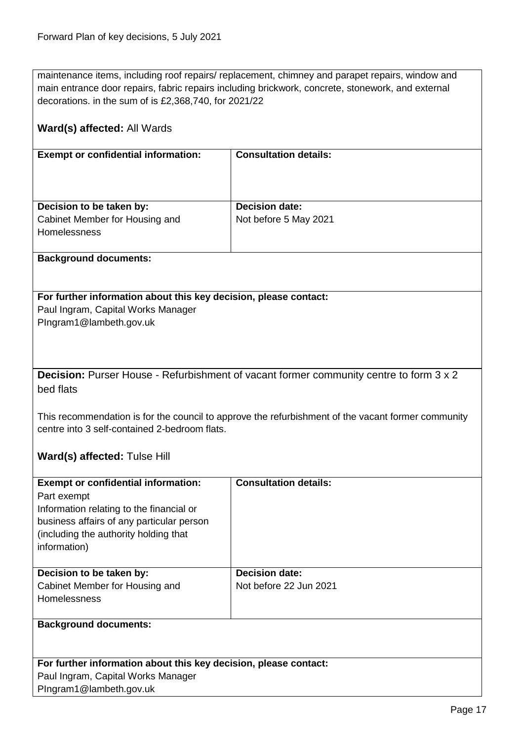maintenance items, including roof repairs/ replacement, chimney and parapet repairs, window and main entrance door repairs, fabric repairs including brickwork, concrete, stonework, and external decorations. in the sum of is £2,368,740, for 2021/22

<span id="page-16-0"></span>

| Ward(s) affected: All Wards                                                                                                                                                                                                                                                                |                              |  |
|--------------------------------------------------------------------------------------------------------------------------------------------------------------------------------------------------------------------------------------------------------------------------------------------|------------------------------|--|
| <b>Exempt or confidential information:</b>                                                                                                                                                                                                                                                 | <b>Consultation details:</b> |  |
| Decision to be taken by:                                                                                                                                                                                                                                                                   | <b>Decision date:</b>        |  |
| Cabinet Member for Housing and<br>Homelessness                                                                                                                                                                                                                                             | Not before 5 May 2021        |  |
| <b>Background documents:</b>                                                                                                                                                                                                                                                               |                              |  |
| For further information about this key decision, please contact:<br>Paul Ingram, Capital Works Manager<br>PIngram1@lambeth.gov.uk                                                                                                                                                          |                              |  |
| Decision: Purser House - Refurbishment of vacant former community centre to form 3 x 2<br>bed flats<br>This recommendation is for the council to approve the refurbishment of the vacant former community<br>centre into 3 self-contained 2-bedroom flats.<br>Ward(s) affected: Tulse Hill |                              |  |
|                                                                                                                                                                                                                                                                                            |                              |  |
| <b>Exempt or confidential information:</b><br>Part exempt<br>Information relating to the financial or<br>business affairs of any particular person<br>(including the authority holding that<br>information)                                                                                | <b>Consultation details:</b> |  |
| Decision to be taken by:                                                                                                                                                                                                                                                                   | <b>Decision date:</b>        |  |
| Cabinet Member for Housing and<br>Homelessness                                                                                                                                                                                                                                             | Not before 22 Jun 2021       |  |
| <b>Background documents:</b>                                                                                                                                                                                                                                                               |                              |  |
| For further information about this key decision, please contact:<br>Paul Ingram, Capital Works Manager<br>PIngram1@lambeth.gov.uk                                                                                                                                                          |                              |  |
|                                                                                                                                                                                                                                                                                            |                              |  |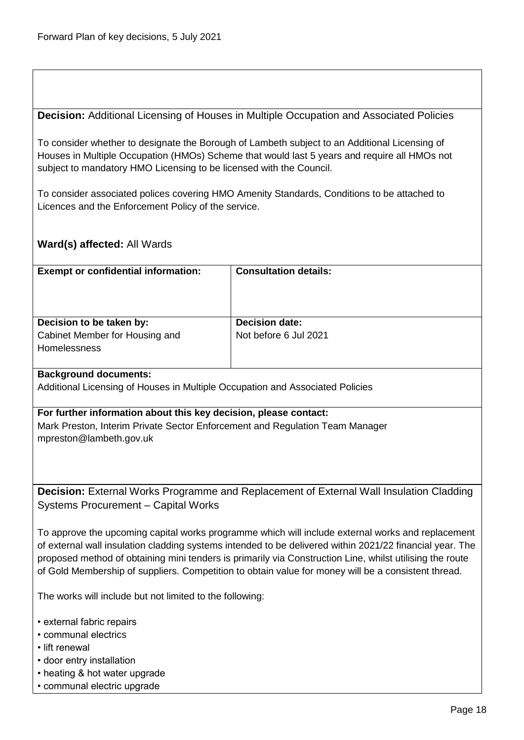<span id="page-17-0"></span>**Decision:** Additional Licensing of Houses in Multiple Occupation and Associated Policies

To consider whether to designate the Borough of Lambeth subject to an Additional Licensing of Houses in Multiple Occupation (HMOs) Scheme that would last 5 years and require all HMOs not subject to mandatory HMO Licensing to be licensed with the Council.

To consider associated polices covering HMO Amenity Standards, Conditions to be attached to Licences and the Enforcement Policy of the service.

### **Ward(s) affected:** All Wards

| <b>Exempt or confidential information:</b>                                        | <b>Consultation details:</b>                   |
|-----------------------------------------------------------------------------------|------------------------------------------------|
| Decision to be taken by:<br>Cabinet Member for Housing and<br><b>Homelessness</b> | <b>Decision date:</b><br>Not before 6 Jul 2021 |
| <b>Background documents:</b>                                                      |                                                |

Additional Licensing of Houses in Multiple Occupation and Associated Policies

**For further information about this key decision, please contact:** Mark Preston, Interim Private Sector Enforcement and Regulation Team Manager mpreston@lambeth.gov.uk

<span id="page-17-1"></span>**Decision:** External Works Programme and Replacement of External Wall Insulation Cladding Systems Procurement – Capital Works

To approve the upcoming capital works programme which will include external works and replacement of external wall insulation cladding systems intended to be delivered within 2021/22 financial year. The proposed method of obtaining mini tenders is primarily via Construction Line, whilst utilising the route of Gold Membership of suppliers. Competition to obtain value for money will be a consistent thread.

The works will include but not limited to the following:

- external fabric repairs
- communal electrics
- lift renewal
- door entry installation
- heating & hot water upgrade
- communal electric upgrade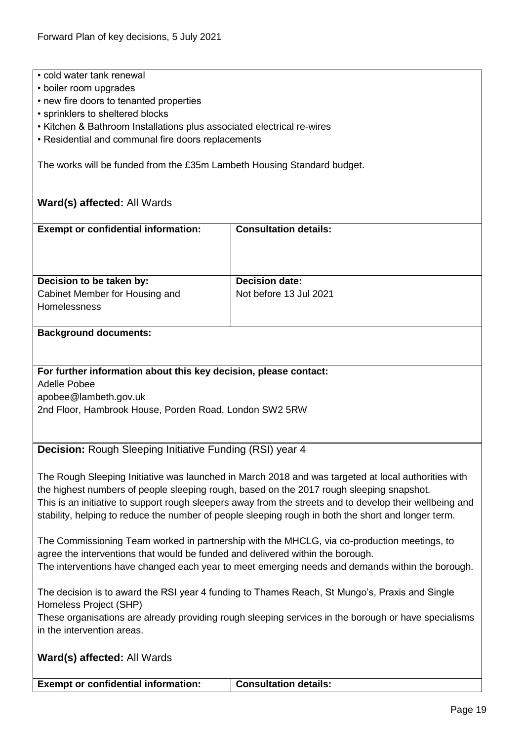- cold water tank renewal
- boiler room upgrades
- new fire doors to tenanted properties
- sprinklers to sheltered blocks
- Kitchen & Bathroom Installations plus associated electrical re-wires
- Residential and communal fire doors replacements

The works will be funded from the £35m Lambeth Housing Standard budget.

# **Ward(s) affected:** All Wards

<span id="page-18-0"></span>

| <b>Exempt or confidential information:</b>                                                                                                                                                                      | <b>Consultation details:</b>                                                                                                                                                                    |  |
|-----------------------------------------------------------------------------------------------------------------------------------------------------------------------------------------------------------------|-------------------------------------------------------------------------------------------------------------------------------------------------------------------------------------------------|--|
|                                                                                                                                                                                                                 |                                                                                                                                                                                                 |  |
|                                                                                                                                                                                                                 |                                                                                                                                                                                                 |  |
|                                                                                                                                                                                                                 |                                                                                                                                                                                                 |  |
| Decision to be taken by:                                                                                                                                                                                        | <b>Decision date:</b>                                                                                                                                                                           |  |
| Cabinet Member for Housing and                                                                                                                                                                                  | Not before 13 Jul 2021                                                                                                                                                                          |  |
| Homelessness                                                                                                                                                                                                    |                                                                                                                                                                                                 |  |
|                                                                                                                                                                                                                 |                                                                                                                                                                                                 |  |
| <b>Background documents:</b>                                                                                                                                                                                    |                                                                                                                                                                                                 |  |
|                                                                                                                                                                                                                 |                                                                                                                                                                                                 |  |
| For further information about this key decision, please contact:                                                                                                                                                |                                                                                                                                                                                                 |  |
| <b>Adelle Pobee</b>                                                                                                                                                                                             |                                                                                                                                                                                                 |  |
| apobee@lambeth.gov.uk                                                                                                                                                                                           |                                                                                                                                                                                                 |  |
| 2nd Floor, Hambrook House, Porden Road, London SW2 5RW                                                                                                                                                          |                                                                                                                                                                                                 |  |
|                                                                                                                                                                                                                 |                                                                                                                                                                                                 |  |
|                                                                                                                                                                                                                 |                                                                                                                                                                                                 |  |
| Decision: Rough Sleeping Initiative Funding (RSI) year 4                                                                                                                                                        |                                                                                                                                                                                                 |  |
|                                                                                                                                                                                                                 |                                                                                                                                                                                                 |  |
|                                                                                                                                                                                                                 | The Rough Sleeping Initiative was launched in March 2018 and was targeted at local authorities with<br>the highest numbers of people sleeping rough, based on the 2017 rough sleeping snapshot. |  |
|                                                                                                                                                                                                                 |                                                                                                                                                                                                 |  |
| This is an initiative to support rough sleepers away from the streets and to develop their wellbeing and<br>stability, helping to reduce the number of people sleeping rough in both the short and longer term. |                                                                                                                                                                                                 |  |
|                                                                                                                                                                                                                 |                                                                                                                                                                                                 |  |
| The Commissioning Team worked in partnership with the MHCLG, via co-production meetings, to                                                                                                                     |                                                                                                                                                                                                 |  |
| agree the interventions that would be funded and delivered within the borough.                                                                                                                                  |                                                                                                                                                                                                 |  |
| The interventions have changed each year to meet emerging needs and demands within the borough.                                                                                                                 |                                                                                                                                                                                                 |  |
|                                                                                                                                                                                                                 |                                                                                                                                                                                                 |  |
|                                                                                                                                                                                                                 | The decision is to award the RSI year 4 funding to Thames Reach, St Mungo's, Praxis and Single                                                                                                  |  |
| Homeless Project (SHP)                                                                                                                                                                                          | These organisations are already providing rough sleeping services in the borough or have specialisms                                                                                            |  |
| in the intervention areas.                                                                                                                                                                                      |                                                                                                                                                                                                 |  |
|                                                                                                                                                                                                                 |                                                                                                                                                                                                 |  |
| Ward(s) affected: All Wards                                                                                                                                                                                     |                                                                                                                                                                                                 |  |
|                                                                                                                                                                                                                 |                                                                                                                                                                                                 |  |

**Exempt or confidential information: Consultation details:**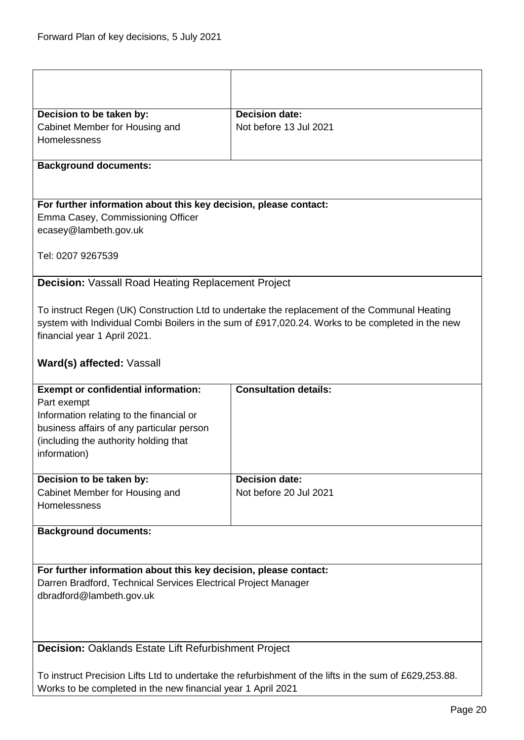<span id="page-19-1"></span><span id="page-19-0"></span>

| Decision to be taken by:                                                              | <b>Decision date:</b>                                                                                                                                                                            |  |
|---------------------------------------------------------------------------------------|--------------------------------------------------------------------------------------------------------------------------------------------------------------------------------------------------|--|
| Cabinet Member for Housing and                                                        | Not before 13 Jul 2021                                                                                                                                                                           |  |
| Homelessness                                                                          |                                                                                                                                                                                                  |  |
|                                                                                       |                                                                                                                                                                                                  |  |
| <b>Background documents:</b>                                                          |                                                                                                                                                                                                  |  |
|                                                                                       |                                                                                                                                                                                                  |  |
| For further information about this key decision, please contact:                      |                                                                                                                                                                                                  |  |
| Emma Casey, Commissioning Officer                                                     |                                                                                                                                                                                                  |  |
| ecasey@lambeth.gov.uk                                                                 |                                                                                                                                                                                                  |  |
|                                                                                       |                                                                                                                                                                                                  |  |
| Tel: 0207 9267539                                                                     |                                                                                                                                                                                                  |  |
| <b>Decision:</b> Vassall Road Heating Replacement Project                             |                                                                                                                                                                                                  |  |
|                                                                                       |                                                                                                                                                                                                  |  |
|                                                                                       | To instruct Regen (UK) Construction Ltd to undertake the replacement of the Communal Heating<br>system with Individual Combi Boilers in the sum of £917,020.24. Works to be completed in the new |  |
| financial year 1 April 2021.                                                          |                                                                                                                                                                                                  |  |
|                                                                                       |                                                                                                                                                                                                  |  |
| Ward(s) affected: Vassall                                                             |                                                                                                                                                                                                  |  |
| <b>Exempt or confidential information:</b>                                            | <b>Consultation details:</b>                                                                                                                                                                     |  |
|                                                                                       |                                                                                                                                                                                                  |  |
|                                                                                       |                                                                                                                                                                                                  |  |
| Part exempt                                                                           |                                                                                                                                                                                                  |  |
| Information relating to the financial or<br>business affairs of any particular person |                                                                                                                                                                                                  |  |
| (including the authority holding that                                                 |                                                                                                                                                                                                  |  |
| information)                                                                          |                                                                                                                                                                                                  |  |
|                                                                                       |                                                                                                                                                                                                  |  |
| Decision to be taken by:                                                              | <b>Decision date:</b>                                                                                                                                                                            |  |
| Cabinet Member for Housing and                                                        | Not before 20 Jul 2021                                                                                                                                                                           |  |
| Homelessness                                                                          |                                                                                                                                                                                                  |  |
| <b>Background documents:</b>                                                          |                                                                                                                                                                                                  |  |
|                                                                                       |                                                                                                                                                                                                  |  |
| For further information about this key decision, please contact:                      |                                                                                                                                                                                                  |  |
| Darren Bradford, Technical Services Electrical Project Manager                        |                                                                                                                                                                                                  |  |
| dbradford@lambeth.gov.uk                                                              |                                                                                                                                                                                                  |  |
|                                                                                       |                                                                                                                                                                                                  |  |
|                                                                                       |                                                                                                                                                                                                  |  |
| <b>Decision: Oaklands Estate Lift Refurbishment Project</b>                           |                                                                                                                                                                                                  |  |
|                                                                                       |                                                                                                                                                                                                  |  |
| Works to be completed in the new financial year 1 April 2021                          | To instruct Precision Lifts Ltd to undertake the refurbishment of the lifts in the sum of £629,253.88.                                                                                           |  |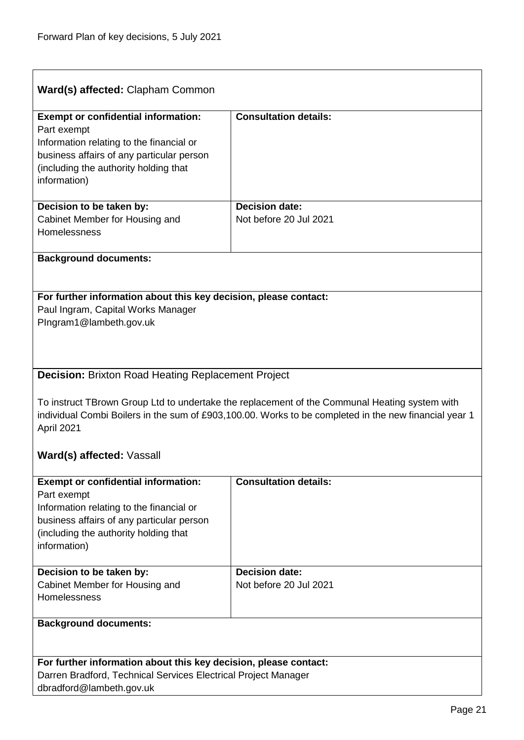$\overline{1}$ 

| Ward(s) affected: Clapham Common                                                                                                                                                                                     |                              |  |
|----------------------------------------------------------------------------------------------------------------------------------------------------------------------------------------------------------------------|------------------------------|--|
| <b>Exempt or confidential information:</b><br>Part exempt<br>Information relating to the financial or<br>business affairs of any particular person<br>(including the authority holding that<br>information)          | <b>Consultation details:</b> |  |
| Decision to be taken by:                                                                                                                                                                                             | <b>Decision date:</b>        |  |
| Cabinet Member for Housing and<br>Homelessness                                                                                                                                                                       | Not before 20 Jul 2021       |  |
| <b>Background documents:</b>                                                                                                                                                                                         |                              |  |
|                                                                                                                                                                                                                      |                              |  |
|                                                                                                                                                                                                                      |                              |  |
| For further information about this key decision, please contact:                                                                                                                                                     |                              |  |
| Paul Ingram, Capital Works Manager                                                                                                                                                                                   |                              |  |
| PIngram1@lambeth.gov.uk                                                                                                                                                                                              |                              |  |
|                                                                                                                                                                                                                      |                              |  |
|                                                                                                                                                                                                                      |                              |  |
|                                                                                                                                                                                                                      |                              |  |
| <b>Decision: Brixton Road Heating Replacement Project</b>                                                                                                                                                            |                              |  |
| To instruct TBrown Group Ltd to undertake the replacement of the Communal Heating system with<br>individual Combi Boilers in the sum of £903,100.00. Works to be completed in the new financial year 1<br>April 2021 |                              |  |
|                                                                                                                                                                                                                      |                              |  |
| Ward(s) affected: Vassall                                                                                                                                                                                            |                              |  |
| <b>Exempt or confidential information:</b>                                                                                                                                                                           | <b>Consultation details:</b> |  |
| Part exempt                                                                                                                                                                                                          |                              |  |
| Information relating to the financial or                                                                                                                                                                             |                              |  |
| business affairs of any particular person                                                                                                                                                                            |                              |  |
| (including the authority holding that                                                                                                                                                                                |                              |  |
| information)                                                                                                                                                                                                         |                              |  |
|                                                                                                                                                                                                                      |                              |  |
| Decision to be taken by:                                                                                                                                                                                             | <b>Decision date:</b>        |  |
| Cabinet Member for Housing and                                                                                                                                                                                       | Not before 20 Jul 2021       |  |
| Homelessness                                                                                                                                                                                                         |                              |  |
|                                                                                                                                                                                                                      |                              |  |
| <b>Background documents:</b>                                                                                                                                                                                         |                              |  |
|                                                                                                                                                                                                                      |                              |  |
|                                                                                                                                                                                                                      |                              |  |
| For further information about this key decision, please contact:                                                                                                                                                     |                              |  |
| Darren Bradford, Technical Services Electrical Project Manager<br>dbradford@lambeth.gov.uk                                                                                                                           |                              |  |

<span id="page-20-0"></span>٦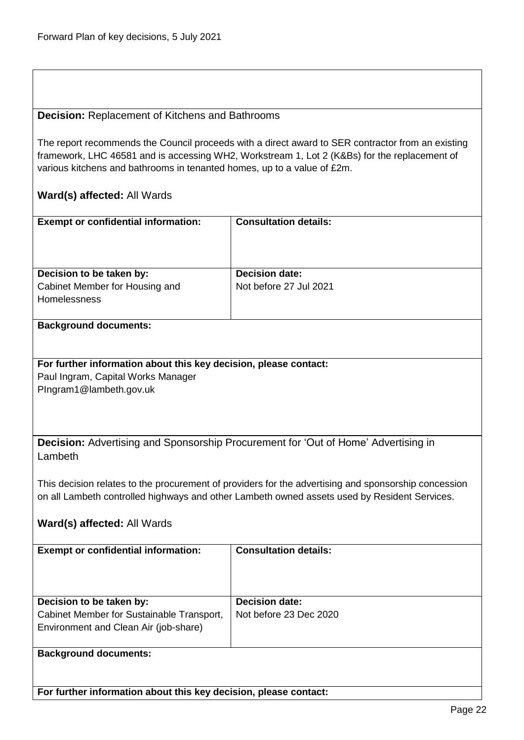#### <span id="page-21-0"></span>**Decision:** Replacement of Kitchens and Bathrooms

The report recommends the Council proceeds with a direct award to SER contractor from an existing framework, LHC 46581 and is accessing WH2, Workstream 1, Lot 2 (K&Bs) for the replacement of various kitchens and bathrooms in tenanted homes, up to a value of £2m.

### **Ward(s) affected:** All Wards

| <b>Exempt or confidential information:</b>            | <b>Consultation details:</b> |
|-------------------------------------------------------|------------------------------|
| Decision to be taken by:                              | <b>Decision date:</b>        |
| Cabinet Member for Housing and<br><b>Homelessness</b> | Not before 27 Jul 2021       |

#### **Background documents:**

#### **For further information about this key decision, please contact:** Paul Ingram, Capital Works Manager PIngram1@lambeth.gov.uk

<span id="page-21-1"></span>**Decision:** Advertising and Sponsorship Procurement for 'Out of Home' Advertising in Lambeth

This decision relates to the procurement of providers for the advertising and sponsorship concession on all Lambeth controlled highways and other Lambeth owned assets used by Resident Services.

### **Ward(s) affected:** All Wards

| <b>Exempt or confidential information:</b>                                                                     | <b>Consultation details:</b>                    |
|----------------------------------------------------------------------------------------------------------------|-------------------------------------------------|
| Decision to be taken by:<br>Cabinet Member for Sustainable Transport,<br>Environment and Clean Air (job-share) | <b>Decision date:</b><br>Not before 23 Dec 2020 |
| <b>Background documents:</b>                                                                                   |                                                 |

**For further information about this key decision, please contact:**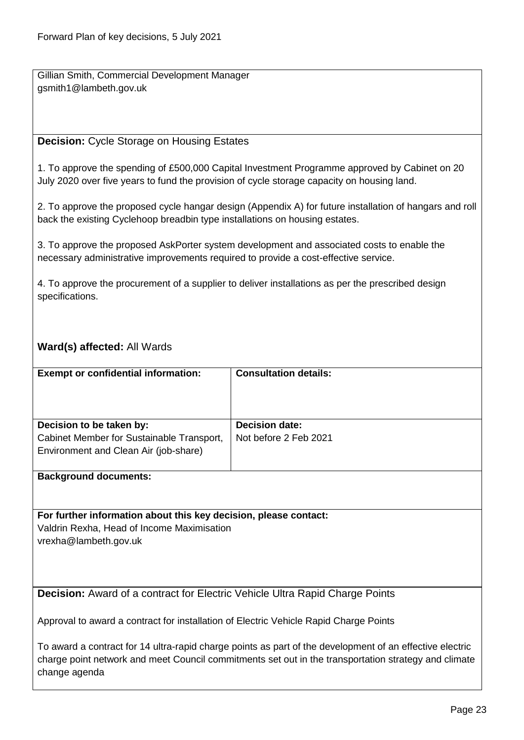Gillian Smith, Commercial Development Manager gsmith1@lambeth.gov.uk

### <span id="page-22-0"></span>**Decision:** Cycle Storage on Housing Estates

1. To approve the spending of £500,000 Capital Investment Programme approved by Cabinet on 20 July 2020 over five years to fund the provision of cycle storage capacity on housing land.

2. To approve the proposed cycle hangar design (Appendix A) for future installation of hangars and roll back the existing Cyclehoop breadbin type installations on housing estates.

3. To approve the proposed AskPorter system development and associated costs to enable the necessary administrative improvements required to provide a cost-effective service.

4. To approve the procurement of a supplier to deliver installations as per the prescribed design specifications.

### **Ward(s) affected:** All Wards

| <b>Exempt or confidential information:</b>                                                                     | <b>Consultation details:</b>                   |
|----------------------------------------------------------------------------------------------------------------|------------------------------------------------|
| Decision to be taken by:<br>Cabinet Member for Sustainable Transport,<br>Environment and Clean Air (job-share) | <b>Decision date:</b><br>Not before 2 Feb 2021 |
|                                                                                                                |                                                |

**Background documents:**

**For further information about this key decision, please contact:**

Valdrin Rexha, Head of Income Maximisation vrexha@lambeth.gov.uk

<span id="page-22-1"></span>**Decision:** Award of a contract for Electric Vehicle Ultra Rapid Charge Points

Approval to award a contract for installation of Electric Vehicle Rapid Charge Points

To award a contract for 14 ultra-rapid charge points as part of the development of an effective electric charge point network and meet Council commitments set out in the transportation strategy and climate change agenda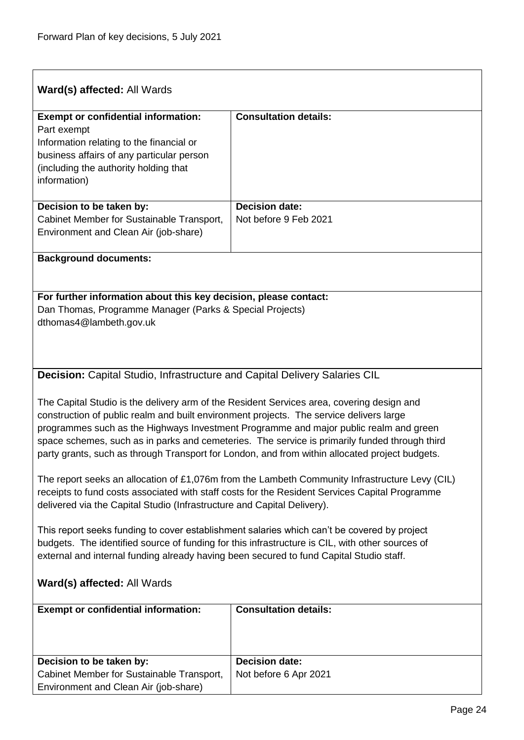<span id="page-23-0"></span>

| Ward(s) affected: All Wards                                                                                                                                                                                                                                                                                                                                                                                                                                                      |                                                |  |
|----------------------------------------------------------------------------------------------------------------------------------------------------------------------------------------------------------------------------------------------------------------------------------------------------------------------------------------------------------------------------------------------------------------------------------------------------------------------------------|------------------------------------------------|--|
| <b>Exempt or confidential information:</b><br>Part exempt<br>Information relating to the financial or<br>business affairs of any particular person<br>(including the authority holding that<br>information)                                                                                                                                                                                                                                                                      | <b>Consultation details:</b>                   |  |
| Decision to be taken by:<br>Cabinet Member for Sustainable Transport,<br>Environment and Clean Air (job-share)                                                                                                                                                                                                                                                                                                                                                                   | <b>Decision date:</b><br>Not before 9 Feb 2021 |  |
| <b>Background documents:</b>                                                                                                                                                                                                                                                                                                                                                                                                                                                     |                                                |  |
| For further information about this key decision, please contact:<br>Dan Thomas, Programme Manager (Parks & Special Projects)<br>dthomas4@lambeth.gov.uk                                                                                                                                                                                                                                                                                                                          |                                                |  |
| Decision: Capital Studio, Infrastructure and Capital Delivery Salaries CIL                                                                                                                                                                                                                                                                                                                                                                                                       |                                                |  |
| The Capital Studio is the delivery arm of the Resident Services area, covering design and<br>construction of public realm and built environment projects. The service delivers large<br>programmes such as the Highways Investment Programme and major public realm and green<br>space schemes, such as in parks and cemeteries. The service is primarily funded through third<br>party grants, such as through Transport for London, and from within allocated project budgets. |                                                |  |
| The report seeks an allocation of £1,076m from the Lambeth Community Infrastructure Levy (CIL)<br>receipts to fund costs associated with staff costs for the Resident Services Capital Programme<br>delivered via the Capital Studio (Infrastructure and Capital Delivery).                                                                                                                                                                                                      |                                                |  |
| This report seeks funding to cover establishment salaries which can't be covered by project<br>budgets. The identified source of funding for this infrastructure is CIL, with other sources of<br>external and internal funding already having been secured to fund Capital Studio staff.                                                                                                                                                                                        |                                                |  |
| Ward(s) affected: All Wards                                                                                                                                                                                                                                                                                                                                                                                                                                                      |                                                |  |
| <b>Exempt or confidential information:</b>                                                                                                                                                                                                                                                                                                                                                                                                                                       | <b>Consultation details:</b>                   |  |
| Decision to be taken by:<br>Cabinet Member for Sustainable Transport,<br>Environment and Clean Air (job-share)                                                                                                                                                                                                                                                                                                                                                                   | <b>Decision date:</b><br>Not before 6 Apr 2021 |  |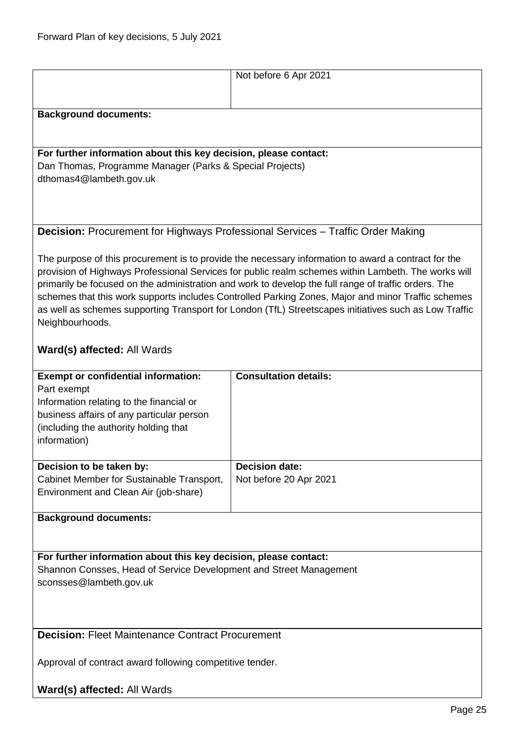<span id="page-24-1"></span><span id="page-24-0"></span>

|                                                                                                                                                                                                                                                                                                                                                                                                                                                                                                                                                                                                                                                | Not before 6 Apr 2021                           |  |
|------------------------------------------------------------------------------------------------------------------------------------------------------------------------------------------------------------------------------------------------------------------------------------------------------------------------------------------------------------------------------------------------------------------------------------------------------------------------------------------------------------------------------------------------------------------------------------------------------------------------------------------------|-------------------------------------------------|--|
| <b>Background documents:</b>                                                                                                                                                                                                                                                                                                                                                                                                                                                                                                                                                                                                                   |                                                 |  |
| For further information about this key decision, please contact:<br>Dan Thomas, Programme Manager (Parks & Special Projects)<br>dthomas4@lambeth.gov.uk                                                                                                                                                                                                                                                                                                                                                                                                                                                                                        |                                                 |  |
| <b>Decision:</b> Procurement for Highways Professional Services - Traffic Order Making<br>The purpose of this procurement is to provide the necessary information to award a contract for the<br>provision of Highways Professional Services for public realm schemes within Lambeth. The works will<br>primarily be focused on the administration and work to develop the full range of traffic orders. The<br>schemes that this work supports includes Controlled Parking Zones, Major and minor Traffic schemes<br>as well as schemes supporting Transport for London (TfL) Streetscapes initiatives such as Low Traffic<br>Neighbourhoods. |                                                 |  |
| Ward(s) affected: All Wards                                                                                                                                                                                                                                                                                                                                                                                                                                                                                                                                                                                                                    |                                                 |  |
| <b>Exempt or confidential information:</b><br>Part exempt<br>Information relating to the financial or<br>business affairs of any particular person<br>(including the authority holding that<br>information)                                                                                                                                                                                                                                                                                                                                                                                                                                    | <b>Consultation details:</b>                    |  |
| Decision to be taken by:<br>Cabinet Member for Sustainable Transport,<br>Environment and Clean Air (job-share)                                                                                                                                                                                                                                                                                                                                                                                                                                                                                                                                 | <b>Decision date:</b><br>Not before 20 Apr 2021 |  |
| <b>Background documents:</b>                                                                                                                                                                                                                                                                                                                                                                                                                                                                                                                                                                                                                   |                                                 |  |
| For further information about this key decision, please contact:<br>Shannon Consses, Head of Service Development and Street Management<br>sconsses@lambeth.gov.uk                                                                                                                                                                                                                                                                                                                                                                                                                                                                              |                                                 |  |
| <b>Decision: Fleet Maintenance Contract Procurement</b>                                                                                                                                                                                                                                                                                                                                                                                                                                                                                                                                                                                        |                                                 |  |
| Approval of contract award following competitive tender.                                                                                                                                                                                                                                                                                                                                                                                                                                                                                                                                                                                       |                                                 |  |
| Ward(s) affected: All Wards                                                                                                                                                                                                                                                                                                                                                                                                                                                                                                                                                                                                                    |                                                 |  |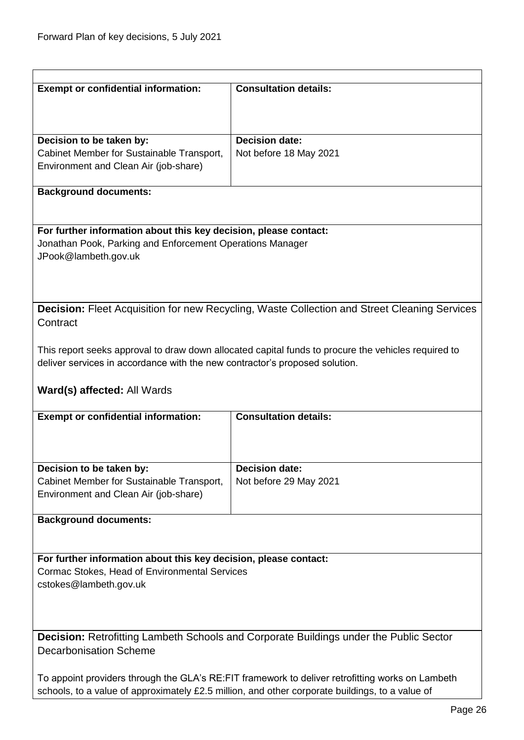<span id="page-25-1"></span><span id="page-25-0"></span>

| <b>Exempt or confidential information:</b>                                                                                                                                                           | <b>Consultation details:</b>                                                                        |
|------------------------------------------------------------------------------------------------------------------------------------------------------------------------------------------------------|-----------------------------------------------------------------------------------------------------|
|                                                                                                                                                                                                      |                                                                                                     |
|                                                                                                                                                                                                      |                                                                                                     |
| Decision to be taken by:                                                                                                                                                                             | <b>Decision date:</b>                                                                               |
| Cabinet Member for Sustainable Transport,                                                                                                                                                            | Not before 18 May 2021                                                                              |
| Environment and Clean Air (job-share)                                                                                                                                                                |                                                                                                     |
|                                                                                                                                                                                                      |                                                                                                     |
| <b>Background documents:</b>                                                                                                                                                                         |                                                                                                     |
|                                                                                                                                                                                                      |                                                                                                     |
|                                                                                                                                                                                                      |                                                                                                     |
| For further information about this key decision, please contact:                                                                                                                                     |                                                                                                     |
| Jonathan Pook, Parking and Enforcement Operations Manager<br>JPook@lambeth.gov.uk                                                                                                                    |                                                                                                     |
|                                                                                                                                                                                                      |                                                                                                     |
|                                                                                                                                                                                                      |                                                                                                     |
|                                                                                                                                                                                                      |                                                                                                     |
|                                                                                                                                                                                                      | <b>Decision:</b> Fleet Acquisition for new Recycling, Waste Collection and Street Cleaning Services |
| Contract                                                                                                                                                                                             |                                                                                                     |
|                                                                                                                                                                                                      |                                                                                                     |
|                                                                                                                                                                                                      | This report seeks approval to draw down allocated capital funds to procure the vehicles required to |
| deliver services in accordance with the new contractor's proposed solution.                                                                                                                          |                                                                                                     |
|                                                                                                                                                                                                      |                                                                                                     |
| Ward(s) affected: All Wards                                                                                                                                                                          |                                                                                                     |
| <b>Exempt or confidential information:</b>                                                                                                                                                           | <b>Consultation details:</b>                                                                        |
|                                                                                                                                                                                                      |                                                                                                     |
|                                                                                                                                                                                                      |                                                                                                     |
|                                                                                                                                                                                                      |                                                                                                     |
| Decision to be taken by:                                                                                                                                                                             | <b>Decision date:</b>                                                                               |
| Cabinet Member for Sustainable Transport,                                                                                                                                                            | Not before 29 May 2021                                                                              |
| Environment and Clean Air (job-share)                                                                                                                                                                |                                                                                                     |
|                                                                                                                                                                                                      |                                                                                                     |
| <b>Background documents:</b>                                                                                                                                                                         |                                                                                                     |
|                                                                                                                                                                                                      |                                                                                                     |
| For further information about this key decision, please contact:                                                                                                                                     |                                                                                                     |
| Cormac Stokes, Head of Environmental Services                                                                                                                                                        |                                                                                                     |
| cstokes@lambeth.gov.uk                                                                                                                                                                               |                                                                                                     |
|                                                                                                                                                                                                      |                                                                                                     |
|                                                                                                                                                                                                      |                                                                                                     |
|                                                                                                                                                                                                      |                                                                                                     |
| <b>Decision:</b> Retrofitting Lambeth Schools and Corporate Buildings under the Public Sector                                                                                                        |                                                                                                     |
| <b>Decarbonisation Scheme</b>                                                                                                                                                                        |                                                                                                     |
|                                                                                                                                                                                                      |                                                                                                     |
| To appoint providers through the GLA's RE: FIT framework to deliver retrofitting works on Lambeth<br>schools, to a value of approximately £2.5 million, and other corporate buildings, to a value of |                                                                                                     |
|                                                                                                                                                                                                      |                                                                                                     |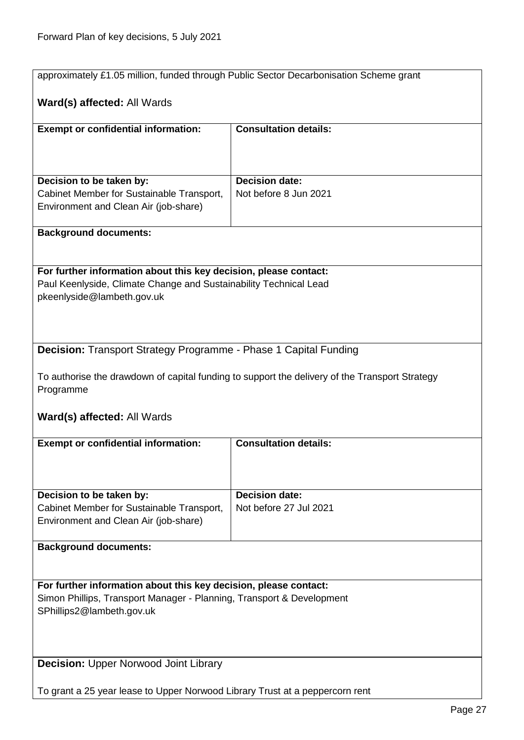<span id="page-26-1"></span><span id="page-26-0"></span>

| approximately £1.05 million, funded through Public Sector Decarbonisation Scheme grant                                                |                                                                                                |  |
|---------------------------------------------------------------------------------------------------------------------------------------|------------------------------------------------------------------------------------------------|--|
|                                                                                                                                       |                                                                                                |  |
| Ward(s) affected: All Wards                                                                                                           |                                                                                                |  |
| <b>Exempt or confidential information:</b>                                                                                            | <b>Consultation details:</b>                                                                   |  |
|                                                                                                                                       |                                                                                                |  |
|                                                                                                                                       |                                                                                                |  |
| Decision to be taken by:                                                                                                              | <b>Decision date:</b>                                                                          |  |
| Cabinet Member for Sustainable Transport,                                                                                             | Not before 8 Jun 2021                                                                          |  |
| Environment and Clean Air (job-share)                                                                                                 |                                                                                                |  |
| <b>Background documents:</b>                                                                                                          |                                                                                                |  |
|                                                                                                                                       |                                                                                                |  |
|                                                                                                                                       |                                                                                                |  |
| For further information about this key decision, please contact:<br>Paul Keenlyside, Climate Change and Sustainability Technical Lead |                                                                                                |  |
| pkeenlyside@lambeth.gov.uk                                                                                                            |                                                                                                |  |
|                                                                                                                                       |                                                                                                |  |
|                                                                                                                                       |                                                                                                |  |
| <b>Decision:</b> Transport Strategy Programme - Phase 1 Capital Funding                                                               |                                                                                                |  |
|                                                                                                                                       |                                                                                                |  |
|                                                                                                                                       | To authorise the drawdown of capital funding to support the delivery of the Transport Strategy |  |
| Programme                                                                                                                             |                                                                                                |  |
| Ward(s) affected: All Wards                                                                                                           |                                                                                                |  |
|                                                                                                                                       |                                                                                                |  |
| <b>Exempt or confidential information:</b>                                                                                            | <b>Consultation details:</b>                                                                   |  |
|                                                                                                                                       |                                                                                                |  |
|                                                                                                                                       |                                                                                                |  |
| Decision to be taken by:                                                                                                              | <b>Decision date:</b><br>Not before 27 Jul 2021                                                |  |
| Cabinet Member for Sustainable Transport,<br>Environment and Clean Air (job-share)                                                    |                                                                                                |  |
|                                                                                                                                       |                                                                                                |  |
| <b>Background documents:</b>                                                                                                          |                                                                                                |  |
|                                                                                                                                       |                                                                                                |  |
| For further information about this key decision, please contact:                                                                      |                                                                                                |  |
| Simon Phillips, Transport Manager - Planning, Transport & Development                                                                 |                                                                                                |  |
| SPhillips2@lambeth.gov.uk                                                                                                             |                                                                                                |  |
|                                                                                                                                       |                                                                                                |  |
|                                                                                                                                       |                                                                                                |  |
| <b>Decision: Upper Norwood Joint Library</b>                                                                                          |                                                                                                |  |
| To grant a 25 year lease to Upper Norwood Library Trust at a peppercorn rent                                                          |                                                                                                |  |
|                                                                                                                                       |                                                                                                |  |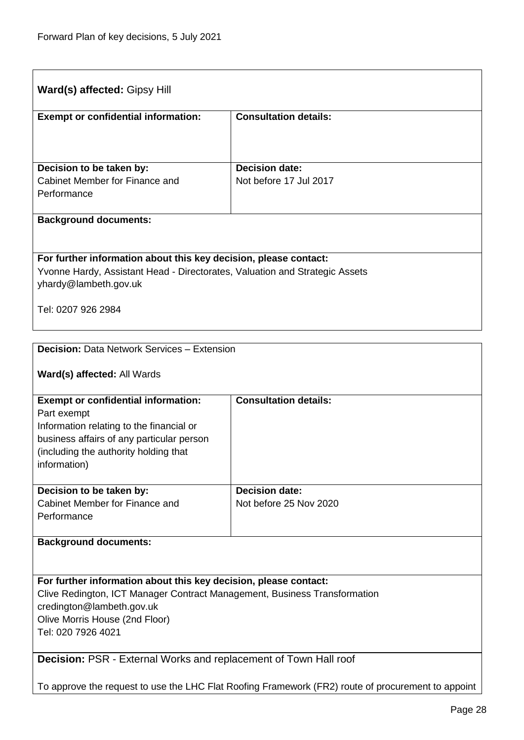<span id="page-27-1"></span><span id="page-27-0"></span>

| Ward(s) affected: Gipsy Hill                                                                       |                              |  |
|----------------------------------------------------------------------------------------------------|------------------------------|--|
| <b>Exempt or confidential information:</b>                                                         | <b>Consultation details:</b> |  |
|                                                                                                    |                              |  |
| Decision to be taken by:                                                                           | <b>Decision date:</b>        |  |
| Cabinet Member for Finance and                                                                     | Not before 17 Jul 2017       |  |
| Performance                                                                                        |                              |  |
| <b>Background documents:</b>                                                                       |                              |  |
|                                                                                                    |                              |  |
| For further information about this key decision, please contact:                                   |                              |  |
| Yvonne Hardy, Assistant Head - Directorates, Valuation and Strategic Assets                        |                              |  |
| yhardy@lambeth.gov.uk                                                                              |                              |  |
| Tel: 0207 926 2984                                                                                 |                              |  |
|                                                                                                    |                              |  |
| <b>Decision: Data Network Services - Extension</b>                                                 |                              |  |
| Ward(s) affected: All Wards                                                                        |                              |  |
| <b>Exempt or confidential information:</b>                                                         | <b>Consultation details:</b> |  |
| Part exempt                                                                                        |                              |  |
| Information relating to the financial or<br>business affairs of any particular person              |                              |  |
| (including the authority holding that                                                              |                              |  |
| information)                                                                                       |                              |  |
| Decision to be taken by:                                                                           | <b>Decision date:</b>        |  |
| Cabinet Member for Finance and                                                                     | Not before 25 Nov 2020       |  |
| Performance                                                                                        |                              |  |
| <b>Background documents:</b>                                                                       |                              |  |
|                                                                                                    |                              |  |
| For further information about this key decision, please contact:                                   |                              |  |
| Clive Redington, ICT Manager Contract Management, Business Transformation                          |                              |  |
| credington@lambeth.gov.uk                                                                          |                              |  |
| Olive Morris House (2nd Floor)<br>Tel: 020 7926 4021                                               |                              |  |
|                                                                                                    |                              |  |
| Decision: PSR - External Works and replacement of Town Hall roof                                   |                              |  |
| To approve the request to use the LHC Flat Roofing Framework (FR2) route of procurement to appoint |                              |  |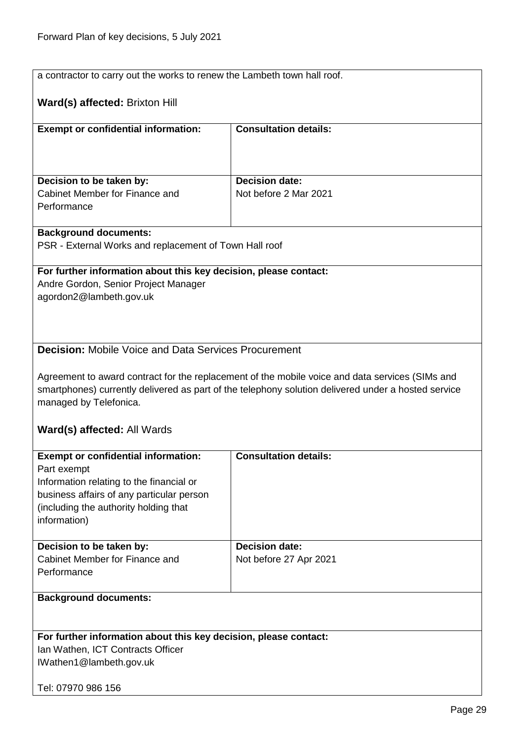<span id="page-28-0"></span>

| a contractor to carry out the works to renew the Lambeth town hall roof. |                                                                                                                                                                                                        |  |
|--------------------------------------------------------------------------|--------------------------------------------------------------------------------------------------------------------------------------------------------------------------------------------------------|--|
| Ward(s) affected: Brixton Hill                                           |                                                                                                                                                                                                        |  |
|                                                                          |                                                                                                                                                                                                        |  |
| <b>Exempt or confidential information:</b>                               | <b>Consultation details:</b>                                                                                                                                                                           |  |
|                                                                          |                                                                                                                                                                                                        |  |
|                                                                          |                                                                                                                                                                                                        |  |
|                                                                          |                                                                                                                                                                                                        |  |
| Decision to be taken by:<br>Cabinet Member for Finance and               | <b>Decision date:</b><br>Not before 2 Mar 2021                                                                                                                                                         |  |
| Performance                                                              |                                                                                                                                                                                                        |  |
|                                                                          |                                                                                                                                                                                                        |  |
| <b>Background documents:</b>                                             |                                                                                                                                                                                                        |  |
| PSR - External Works and replacement of Town Hall roof                   |                                                                                                                                                                                                        |  |
|                                                                          |                                                                                                                                                                                                        |  |
| For further information about this key decision, please contact:         |                                                                                                                                                                                                        |  |
| Andre Gordon, Senior Project Manager                                     |                                                                                                                                                                                                        |  |
| agordon2@lambeth.gov.uk                                                  |                                                                                                                                                                                                        |  |
|                                                                          |                                                                                                                                                                                                        |  |
|                                                                          |                                                                                                                                                                                                        |  |
|                                                                          |                                                                                                                                                                                                        |  |
| <b>Decision:</b> Mobile Voice and Data Services Procurement              |                                                                                                                                                                                                        |  |
|                                                                          |                                                                                                                                                                                                        |  |
|                                                                          | Agreement to award contract for the replacement of the mobile voice and data services (SIMs and<br>smartphones) currently delivered as part of the telephony solution delivered under a hosted service |  |
|                                                                          |                                                                                                                                                                                                        |  |
| managed by Telefonica.                                                   |                                                                                                                                                                                                        |  |
| Ward(s) affected: All Wards                                              |                                                                                                                                                                                                        |  |
|                                                                          |                                                                                                                                                                                                        |  |
| <b>Exempt or confidential information:</b>                               | <b>Consultation details:</b>                                                                                                                                                                           |  |
| Part exempt                                                              |                                                                                                                                                                                                        |  |
| Information relating to the financial or                                 |                                                                                                                                                                                                        |  |
| business affairs of any particular person                                |                                                                                                                                                                                                        |  |
| (including the authority holding that                                    |                                                                                                                                                                                                        |  |
| information)                                                             |                                                                                                                                                                                                        |  |
|                                                                          |                                                                                                                                                                                                        |  |
| Decision to be taken by:                                                 | <b>Decision date:</b>                                                                                                                                                                                  |  |
| Cabinet Member for Finance and<br>Performance                            | Not before 27 Apr 2021                                                                                                                                                                                 |  |
|                                                                          |                                                                                                                                                                                                        |  |
| <b>Background documents:</b>                                             |                                                                                                                                                                                                        |  |
|                                                                          |                                                                                                                                                                                                        |  |
|                                                                          |                                                                                                                                                                                                        |  |
| For further information about this key decision, please contact:         |                                                                                                                                                                                                        |  |
| Ian Wathen, ICT Contracts Officer                                        |                                                                                                                                                                                                        |  |
| IWathen1@lambeth.gov.uk                                                  |                                                                                                                                                                                                        |  |
|                                                                          |                                                                                                                                                                                                        |  |
| Tel: 07970 986 156                                                       |                                                                                                                                                                                                        |  |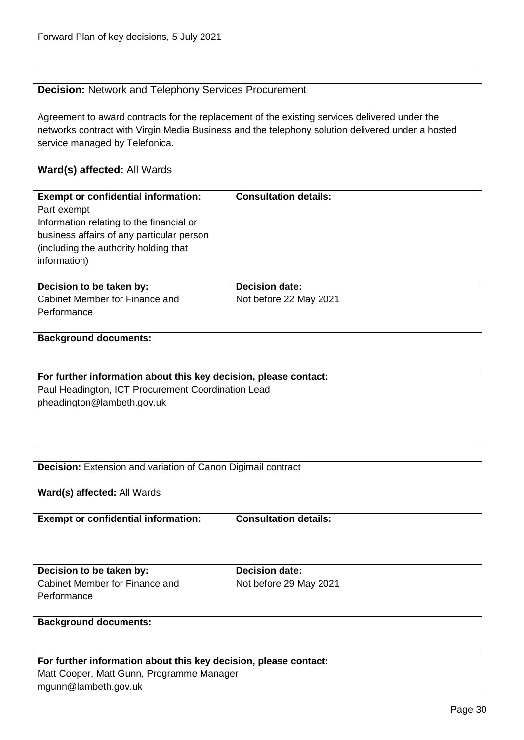#### <span id="page-29-0"></span>**Decision:** Network and Telephony Services Procurement

Agreement to award contracts for the replacement of the existing services delivered under the networks contract with Virgin Media Business and the telephony solution delivered under a hosted service managed by Telefonica.

# **Ward(s) affected:** All Wards

| <b>Exempt or confidential information:</b><br>Part exempt<br>Information relating to the financial or<br>business affairs of any particular person<br>(including the authority holding that)<br>information) | <b>Consultation details:</b>                    |  |
|--------------------------------------------------------------------------------------------------------------------------------------------------------------------------------------------------------------|-------------------------------------------------|--|
| Decision to be taken by:<br>Cabinet Member for Finance and<br>Performance                                                                                                                                    | <b>Decision date:</b><br>Not before 22 May 2021 |  |
| <b>Background documents:</b>                                                                                                                                                                                 |                                                 |  |
| For further information about this key decision, please contact:<br>Paul Headington, ICT Procurement Coordination Lead                                                                                       |                                                 |  |

pheadington@lambeth.gov.uk

<span id="page-29-1"></span>

| <b>Decision:</b> Extension and variation of Canon Digimail contract |  |
|---------------------------------------------------------------------|--|
|---------------------------------------------------------------------|--|

| Ward(s) affected: All Wards                                      |                              |  |
|------------------------------------------------------------------|------------------------------|--|
| <b>Exempt or confidential information:</b>                       | <b>Consultation details:</b> |  |
|                                                                  |                              |  |
| Decision to be taken by:                                         | <b>Decision date:</b>        |  |
| Cabinet Member for Finance and                                   | Not before 29 May 2021       |  |
| Performance                                                      |                              |  |
|                                                                  |                              |  |
| <b>Background documents:</b>                                     |                              |  |
|                                                                  |                              |  |
|                                                                  |                              |  |
| For further information about this key decision, please contact: |                              |  |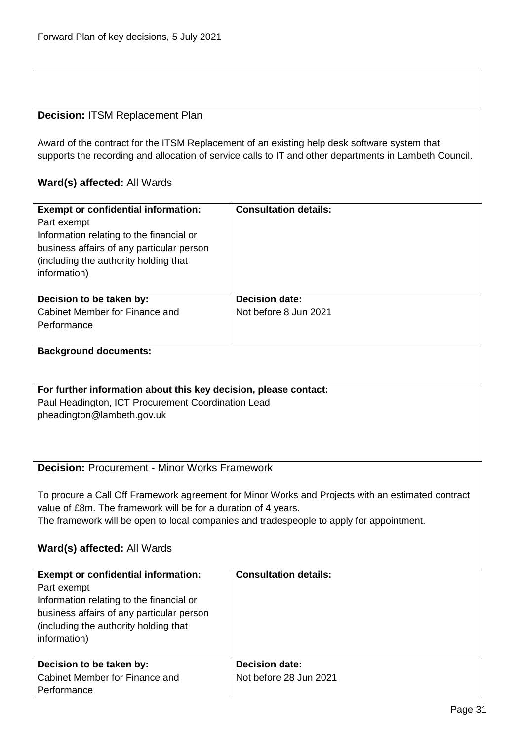#### <span id="page-30-0"></span>**Decision:** ITSM Replacement Plan

Award of the contract for the ITSM Replacement of an existing help desk software system that supports the recording and allocation of service calls to IT and other departments in Lambeth Council.

### **Ward(s) affected:** All Wards

| <b>Exempt or confidential information:</b><br>Part exempt<br>Information relating to the financial or<br>business affairs of any particular person<br>(including the authority holding that<br>information) | <b>Consultation details:</b> |
|-------------------------------------------------------------------------------------------------------------------------------------------------------------------------------------------------------------|------------------------------|
| Decision to be taken by:                                                                                                                                                                                    | <b>Decision date:</b>        |
| Cabinet Member for Finance and                                                                                                                                                                              | Not before 8 Jun 2021        |
| Performance                                                                                                                                                                                                 |                              |
|                                                                                                                                                                                                             |                              |
|                                                                                                                                                                                                             |                              |

#### **Background documents:**

#### **For further information about this key decision, please contact:**

Paul Headington, ICT Procurement Coordination Lead pheadington@lambeth.gov.uk

# <span id="page-30-1"></span>**Decision:** Procurement - Minor Works Framework

To procure a Call Off Framework agreement for Minor Works and Projects with an estimated contract value of £8m. The framework will be for a duration of 4 years. The framework will be open to local companies and tradespeople to apply for appointment.

#### **Ward(s) affected:** All Wards

| <b>Exempt or confidential information:</b> | <b>Consultation details:</b> |
|--------------------------------------------|------------------------------|
| Part exempt                                |                              |
| Information relating to the financial or   |                              |
| business affairs of any particular person  |                              |
| (including the authority holding that)     |                              |
| information)                               |                              |
|                                            |                              |
| Decision to be taken by:                   | <b>Decision date:</b>        |
| Cabinet Member for Finance and             | Not before 28 Jun 2021       |
| Performance                                |                              |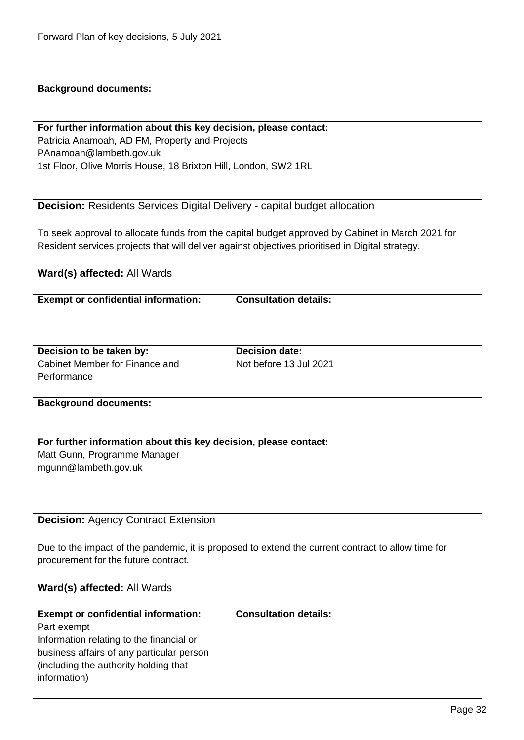<span id="page-31-1"></span><span id="page-31-0"></span>

| <b>Background documents:</b>                                                                     |                                                                                                    |  |
|--------------------------------------------------------------------------------------------------|----------------------------------------------------------------------------------------------------|--|
|                                                                                                  |                                                                                                    |  |
|                                                                                                  |                                                                                                    |  |
| For further information about this key decision, please contact:                                 |                                                                                                    |  |
| Patricia Anamoah, AD FM, Property and Projects                                                   |                                                                                                    |  |
|                                                                                                  |                                                                                                    |  |
| PAnamoah@lambeth.gov.uk                                                                          |                                                                                                    |  |
| 1st Floor, Olive Morris House, 18 Brixton Hill, London, SW2 1RL                                  |                                                                                                    |  |
|                                                                                                  |                                                                                                    |  |
|                                                                                                  |                                                                                                    |  |
| Decision: Residents Services Digital Delivery - capital budget allocation                        |                                                                                                    |  |
|                                                                                                  |                                                                                                    |  |
|                                                                                                  |                                                                                                    |  |
|                                                                                                  | To seek approval to allocate funds from the capital budget approved by Cabinet in March 2021 for   |  |
| Resident services projects that will deliver against objectives prioritised in Digital strategy. |                                                                                                    |  |
|                                                                                                  |                                                                                                    |  |
| Ward(s) affected: All Wards                                                                      |                                                                                                    |  |
|                                                                                                  |                                                                                                    |  |
| <b>Exempt or confidential information:</b>                                                       | <b>Consultation details:</b>                                                                       |  |
|                                                                                                  |                                                                                                    |  |
|                                                                                                  |                                                                                                    |  |
|                                                                                                  |                                                                                                    |  |
|                                                                                                  |                                                                                                    |  |
| Decision to be taken by:                                                                         | <b>Decision date:</b>                                                                              |  |
| Cabinet Member for Finance and                                                                   | Not before 13 Jul 2021                                                                             |  |
| Performance                                                                                      |                                                                                                    |  |
|                                                                                                  |                                                                                                    |  |
| <b>Background documents:</b>                                                                     |                                                                                                    |  |
|                                                                                                  |                                                                                                    |  |
|                                                                                                  |                                                                                                    |  |
| For further information about this key decision, please contact:                                 |                                                                                                    |  |
|                                                                                                  |                                                                                                    |  |
| Matt Gunn, Programme Manager                                                                     |                                                                                                    |  |
| mgunn@lambeth.gov.uk                                                                             |                                                                                                    |  |
|                                                                                                  |                                                                                                    |  |
|                                                                                                  |                                                                                                    |  |
|                                                                                                  |                                                                                                    |  |
| <b>Decision: Agency Contract Extension</b>                                                       |                                                                                                    |  |
|                                                                                                  |                                                                                                    |  |
|                                                                                                  |                                                                                                    |  |
|                                                                                                  | Due to the impact of the pandemic, it is proposed to extend the current contract to allow time for |  |
| procurement for the future contract.                                                             |                                                                                                    |  |
|                                                                                                  |                                                                                                    |  |
| Ward(s) affected: All Wards                                                                      |                                                                                                    |  |
|                                                                                                  |                                                                                                    |  |
|                                                                                                  | <b>Consultation details:</b>                                                                       |  |
| <b>Exempt or confidential information:</b>                                                       |                                                                                                    |  |
| Part exempt                                                                                      |                                                                                                    |  |
| Information relating to the financial or                                                         |                                                                                                    |  |
| business affairs of any particular person                                                        |                                                                                                    |  |
| (including the authority holding that                                                            |                                                                                                    |  |
| information)                                                                                     |                                                                                                    |  |
|                                                                                                  |                                                                                                    |  |
|                                                                                                  |                                                                                                    |  |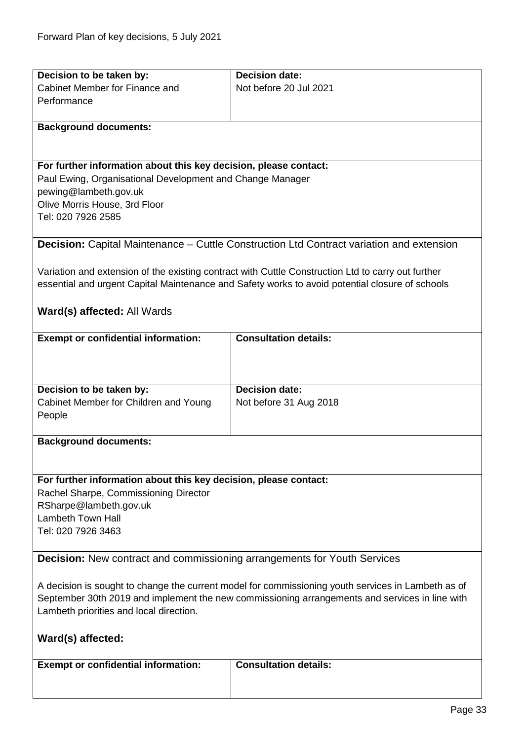<span id="page-32-1"></span><span id="page-32-0"></span>

| Decision to be taken by:                                                        | <b>Decision date:</b>                                                                              |
|---------------------------------------------------------------------------------|----------------------------------------------------------------------------------------------------|
| Cabinet Member for Finance and                                                  | Not before 20 Jul 2021                                                                             |
| Performance                                                                     |                                                                                                    |
|                                                                                 |                                                                                                    |
| <b>Background documents:</b>                                                    |                                                                                                    |
|                                                                                 |                                                                                                    |
|                                                                                 |                                                                                                    |
| For further information about this key decision, please contact:                |                                                                                                    |
| Paul Ewing, Organisational Development and Change Manager                       |                                                                                                    |
| pewing@lambeth.gov.uk                                                           |                                                                                                    |
| Olive Morris House, 3rd Floor                                                   |                                                                                                    |
| Tel: 020 7926 2585                                                              |                                                                                                    |
|                                                                                 |                                                                                                    |
|                                                                                 | <b>Decision:</b> Capital Maintenance – Cuttle Construction Ltd Contract variation and extension    |
|                                                                                 |                                                                                                    |
|                                                                                 | Variation and extension of the existing contract with Cuttle Construction Ltd to carry out further |
|                                                                                 | essential and urgent Capital Maintenance and Safety works to avoid potential closure of schools    |
|                                                                                 |                                                                                                    |
| Ward(s) affected: All Wards                                                     |                                                                                                    |
|                                                                                 |                                                                                                    |
| <b>Exempt or confidential information:</b>                                      | <b>Consultation details:</b>                                                                       |
|                                                                                 |                                                                                                    |
|                                                                                 |                                                                                                    |
|                                                                                 |                                                                                                    |
| Decision to be taken by:                                                        | <b>Decision date:</b>                                                                              |
| Cabinet Member for Children and Young                                           | Not before 31 Aug 2018                                                                             |
| People                                                                          |                                                                                                    |
|                                                                                 |                                                                                                    |
| <b>Background documents:</b>                                                    |                                                                                                    |
|                                                                                 |                                                                                                    |
|                                                                                 |                                                                                                    |
| For further information about this key decision, please contact:                |                                                                                                    |
| Rachel Sharpe, Commissioning Director                                           |                                                                                                    |
| RSharpe@lambeth.gov.uk                                                          |                                                                                                    |
| <b>Lambeth Town Hall</b>                                                        |                                                                                                    |
| Tel: 020 7926 3463                                                              |                                                                                                    |
|                                                                                 |                                                                                                    |
| <b>Decision:</b> New contract and commissioning arrangements for Youth Services |                                                                                                    |
|                                                                                 |                                                                                                    |
|                                                                                 | A decision is sought to change the current model for commissioning youth services in Lambeth as of |
|                                                                                 | September 30th 2019 and implement the new commissioning arrangements and services in line with     |
| Lambeth priorities and local direction.                                         |                                                                                                    |
|                                                                                 |                                                                                                    |
| Ward(s) affected:                                                               |                                                                                                    |
|                                                                                 |                                                                                                    |
| <b>Exempt or confidential information:</b>                                      | <b>Consultation details:</b>                                                                       |
|                                                                                 |                                                                                                    |
|                                                                                 |                                                                                                    |
|                                                                                 |                                                                                                    |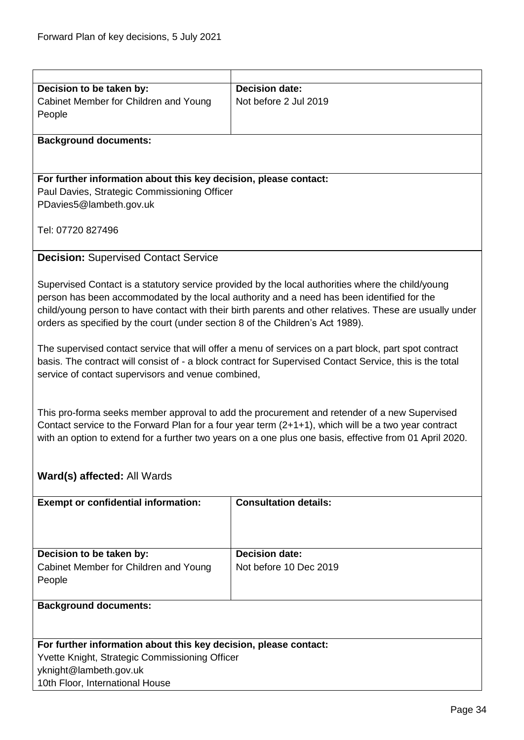<span id="page-33-0"></span>

| Decision to be taken by:                                                       | <b>Decision date:</b>                                                                                    |
|--------------------------------------------------------------------------------|----------------------------------------------------------------------------------------------------------|
| Cabinet Member for Children and Young                                          | Not before 2 Jul 2019                                                                                    |
| People                                                                         |                                                                                                          |
|                                                                                |                                                                                                          |
| <b>Background documents:</b>                                                   |                                                                                                          |
|                                                                                |                                                                                                          |
|                                                                                |                                                                                                          |
| For further information about this key decision, please contact:               |                                                                                                          |
| Paul Davies, Strategic Commissioning Officer                                   |                                                                                                          |
| PDavies5@lambeth.gov.uk                                                        |                                                                                                          |
|                                                                                |                                                                                                          |
| Tel: 07720 827496                                                              |                                                                                                          |
|                                                                                |                                                                                                          |
| <b>Decision: Supervised Contact Service</b>                                    |                                                                                                          |
|                                                                                |                                                                                                          |
|                                                                                | Supervised Contact is a statutory service provided by the local authorities where the child/young        |
|                                                                                | person has been accommodated by the local authority and a need has been identified for the               |
|                                                                                | child/young person to have contact with their birth parents and other relatives. These are usually under |
| orders as specified by the court (under section 8 of the Children's Act 1989). |                                                                                                          |
|                                                                                |                                                                                                          |
|                                                                                | The supervised contact service that will offer a menu of services on a part block, part spot contract    |
|                                                                                | basis. The contract will consist of - a block contract for Supervised Contact Service, this is the total |
| service of contact supervisors and venue combined,                             |                                                                                                          |
|                                                                                |                                                                                                          |
|                                                                                |                                                                                                          |
|                                                                                | This pro-forma seeks member approval to add the procurement and retender of a new Supervised             |
|                                                                                | Contact service to the Forward Plan for a four year term $(2+1+1)$ , which will be a two year contract   |
|                                                                                | with an option to extend for a further two years on a one plus one basis, effective from 01 April 2020.  |
|                                                                                |                                                                                                          |
|                                                                                |                                                                                                          |
| Ward(s) affected: All Wards                                                    |                                                                                                          |
|                                                                                |                                                                                                          |
| <b>Exempt or confidential information:</b>                                     | <b>Consultation details:</b>                                                                             |
|                                                                                |                                                                                                          |
|                                                                                |                                                                                                          |
|                                                                                |                                                                                                          |
| Decision to be taken by:                                                       | <b>Decision date:</b>                                                                                    |
| Cabinet Member for Children and Young                                          | Not before 10 Dec 2019                                                                                   |
| People                                                                         |                                                                                                          |
|                                                                                |                                                                                                          |
| <b>Background documents:</b>                                                   |                                                                                                          |
|                                                                                |                                                                                                          |
|                                                                                |                                                                                                          |
| For further information about this key decision, please contact:               |                                                                                                          |
| Yvette Knight, Strategic Commissioning Officer                                 |                                                                                                          |
| yknight@lambeth.gov.uk                                                         |                                                                                                          |
| 10th Floor, International House                                                |                                                                                                          |
|                                                                                |                                                                                                          |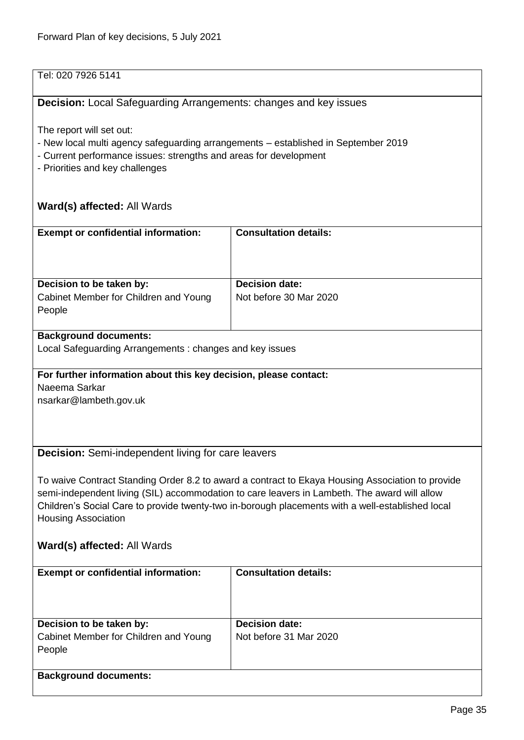# Tel: 020 7926 5141

# <span id="page-34-0"></span>**Decision:** Local Safeguarding Arrangements: changes and key issues

The report will set out:

- New local multi agency safeguarding arrangements established in September 2019
- Current performance issues: strengths and areas for development
- Priorities and key challenges

# **Ward(s) affected:** All Wards

<span id="page-34-1"></span>

| <b>Exempt or confidential information:</b>                       | <b>Consultation details:</b>                                                                     |
|------------------------------------------------------------------|--------------------------------------------------------------------------------------------------|
|                                                                  |                                                                                                  |
|                                                                  |                                                                                                  |
|                                                                  |                                                                                                  |
| Decision to be taken by:                                         | <b>Decision date:</b>                                                                            |
| Cabinet Member for Children and Young                            | Not before 30 Mar 2020                                                                           |
| People                                                           |                                                                                                  |
|                                                                  |                                                                                                  |
| <b>Background documents:</b>                                     |                                                                                                  |
| Local Safeguarding Arrangements: changes and key issues          |                                                                                                  |
|                                                                  |                                                                                                  |
| For further information about this key decision, please contact: |                                                                                                  |
| Naeema Sarkar                                                    |                                                                                                  |
| nsarkar@lambeth.gov.uk                                           |                                                                                                  |
|                                                                  |                                                                                                  |
|                                                                  |                                                                                                  |
|                                                                  |                                                                                                  |
| <b>Decision:</b> Semi-independent living for care leavers        |                                                                                                  |
|                                                                  |                                                                                                  |
|                                                                  | To waive Contract Standing Order 8.2 to award a contract to Ekaya Housing Association to provide |
|                                                                  | semi-independent living (SIL) accommodation to care leavers in Lambeth. The award will allow     |
|                                                                  | Children's Social Care to provide twenty-two in-borough placements with a well-established local |
| <b>Housing Association</b>                                       |                                                                                                  |
|                                                                  |                                                                                                  |
|                                                                  |                                                                                                  |
| Ward(s) affected: All Wards                                      |                                                                                                  |
|                                                                  | <b>Consultation details:</b>                                                                     |
| <b>Exempt or confidential information:</b>                       |                                                                                                  |
|                                                                  |                                                                                                  |
|                                                                  |                                                                                                  |
|                                                                  |                                                                                                  |
| Decision to be taken by:                                         | <b>Decision date:</b>                                                                            |
| Cabinet Member for Children and Young                            | Not before 31 Mar 2020                                                                           |
| People                                                           |                                                                                                  |
|                                                                  |                                                                                                  |
| <b>Background documents:</b>                                     |                                                                                                  |
|                                                                  |                                                                                                  |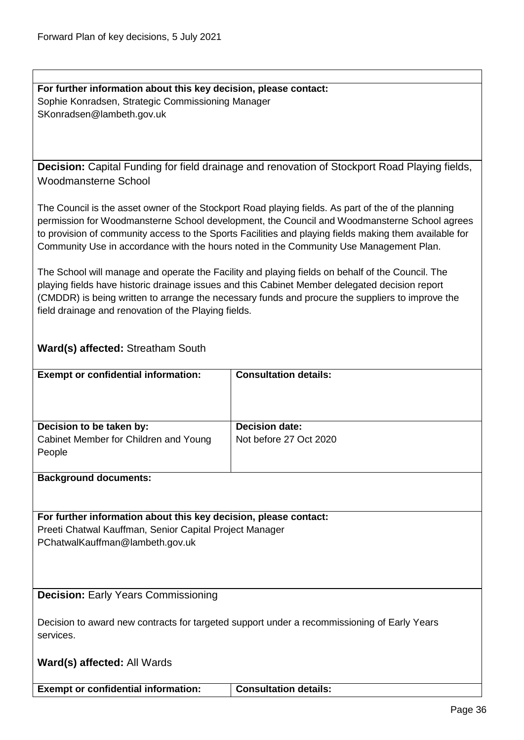**For further information about this key decision, please contact:** Sophie Konradsen, Strategic Commissioning Manager SKonradsen@lambeth.gov.uk

<span id="page-35-0"></span>**Decision:** Capital Funding for field drainage and renovation of Stockport Road Playing fields, Woodmansterne School

The Council is the asset owner of the Stockport Road playing fields. As part of the of the planning permission for Woodmansterne School development, the Council and Woodmansterne School agrees to provision of community access to the Sports Facilities and playing fields making them available for Community Use in accordance with the hours noted in the Community Use Management Plan.

The School will manage and operate the Facility and playing fields on behalf of the Council. The playing fields have historic drainage issues and this Cabinet Member delegated decision report (CMDDR) is being written to arrange the necessary funds and procure the suppliers to improve the field drainage and renovation of the Playing fields.

# **Ward(s) affected:** Streatham South

| <b>Exempt or confidential information:</b> | <b>Consultation details:</b> |
|--------------------------------------------|------------------------------|
| Decision to be taken by:                   | <b>Decision date:</b>        |
| Cabinet Member for Children and Young      | Not before 27 Oct 2020       |
| People                                     |                              |
|                                            |                              |

**Background documents:**

#### **For further information about this key decision, please contact:** Preeti Chatwal Kauffman, Senior Capital Project Manager PChatwalKauffman@lambeth.gov.uk

<span id="page-35-1"></span>**Decision:** Early Years Commissioning

Decision to award new contracts for targeted support under a recommissioning of Early Years services.

**Ward(s) affected:** All Wards

**Exempt or confidential information: Consultation details:**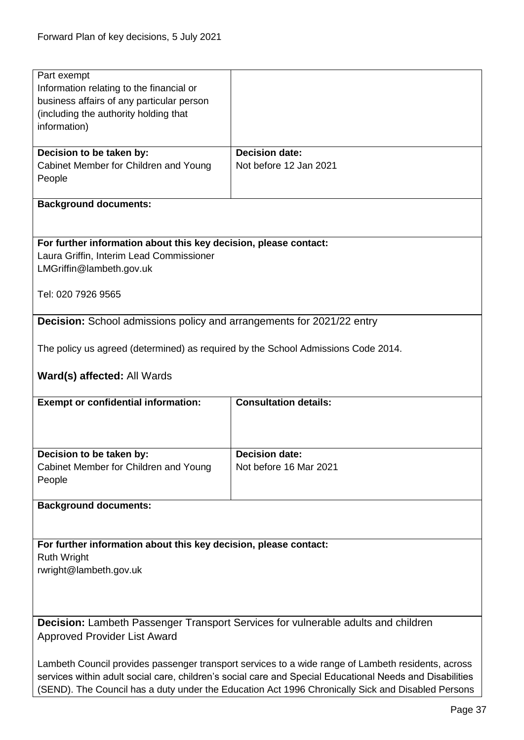<span id="page-36-0"></span>

| Part exempt                                                                       |                                                                                                          |
|-----------------------------------------------------------------------------------|----------------------------------------------------------------------------------------------------------|
| Information relating to the financial or                                          |                                                                                                          |
| business affairs of any particular person                                         |                                                                                                          |
|                                                                                   |                                                                                                          |
| (including the authority holding that                                             |                                                                                                          |
| information)                                                                      |                                                                                                          |
|                                                                                   |                                                                                                          |
| Decision to be taken by:                                                          | <b>Decision date:</b>                                                                                    |
| Cabinet Member for Children and Young                                             | Not before 12 Jan 2021                                                                                   |
|                                                                                   |                                                                                                          |
| People                                                                            |                                                                                                          |
|                                                                                   |                                                                                                          |
| <b>Background documents:</b>                                                      |                                                                                                          |
|                                                                                   |                                                                                                          |
|                                                                                   |                                                                                                          |
|                                                                                   |                                                                                                          |
| For further information about this key decision, please contact:                  |                                                                                                          |
| Laura Griffin, Interim Lead Commissioner                                          |                                                                                                          |
| LMGriffin@lambeth.gov.uk                                                          |                                                                                                          |
|                                                                                   |                                                                                                          |
|                                                                                   |                                                                                                          |
| Tel: 020 7926 9565                                                                |                                                                                                          |
|                                                                                   |                                                                                                          |
| <b>Decision:</b> School admissions policy and arrangements for 2021/22 entry      |                                                                                                          |
|                                                                                   |                                                                                                          |
|                                                                                   |                                                                                                          |
| The policy us agreed (determined) as required by the School Admissions Code 2014. |                                                                                                          |
|                                                                                   |                                                                                                          |
| Ward(s) affected: All Wards                                                       |                                                                                                          |
|                                                                                   |                                                                                                          |
|                                                                                   |                                                                                                          |
| <b>Exempt or confidential information:</b>                                        | <b>Consultation details:</b>                                                                             |
|                                                                                   |                                                                                                          |
|                                                                                   |                                                                                                          |
|                                                                                   |                                                                                                          |
| Decision to be taken by:                                                          | <b>Decision date:</b>                                                                                    |
|                                                                                   |                                                                                                          |
| Cabinet Member for Children and Young                                             | Not before 16 Mar 2021                                                                                   |
| People                                                                            |                                                                                                          |
|                                                                                   |                                                                                                          |
| <b>Background documents:</b>                                                      |                                                                                                          |
|                                                                                   |                                                                                                          |
|                                                                                   |                                                                                                          |
|                                                                                   |                                                                                                          |
| For further information about this key decision, please contact:                  |                                                                                                          |
| <b>Ruth Wright</b>                                                                |                                                                                                          |
| rwright@lambeth.gov.uk                                                            |                                                                                                          |
|                                                                                   |                                                                                                          |
|                                                                                   |                                                                                                          |
|                                                                                   |                                                                                                          |
|                                                                                   |                                                                                                          |
|                                                                                   |                                                                                                          |
|                                                                                   | Decision: Lambeth Passenger Transport Services for vulnerable adults and children                        |
| <b>Approved Provider List Award</b>                                               |                                                                                                          |
|                                                                                   |                                                                                                          |
|                                                                                   |                                                                                                          |
|                                                                                   | Lambeth Council provides passenger transport services to a wide range of Lambeth residents, across       |
|                                                                                   | services within adult social care, children's social care and Special Educational Needs and Disabilities |

<span id="page-36-1"></span>(SEND). The Council has a duty under the Education Act 1996 Chronically Sick and Disabled Persons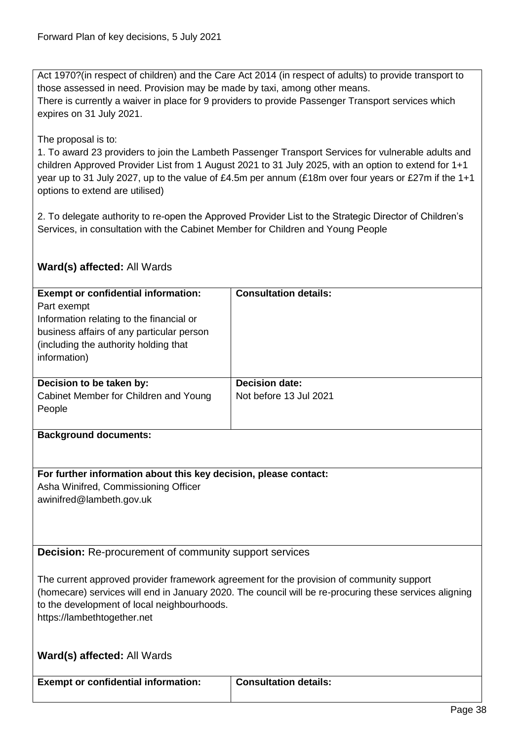Act 1970?(in respect of children) and the Care Act 2014 (in respect of adults) to provide transport to those assessed in need. Provision may be made by taxi, among other means. There is currently a waiver in place for 9 providers to provide Passenger Transport services which expires on 31 July 2021.

#### The proposal is to:

1. To award 23 providers to join the Lambeth Passenger Transport Services for vulnerable adults and children Approved Provider List from 1 August 2021 to 31 July 2025, with an option to extend for 1+1 year up to 31 July 2027, up to the value of £4.5m per annum (£18m over four years or £27m if the 1+1 options to extend are utilised)

2. To delegate authority to re-open the Approved Provider List to the Strategic Director of Children's Services, in consultation with the Cabinet Member for Children and Young People

# **Ward(s) affected:** All Wards

<span id="page-37-0"></span>

| <b>Exempt or confidential information:</b><br>Part exempt<br>Information relating to the financial or<br>business affairs of any particular person<br>(including the authority holding that<br>information) | <b>Consultation details:</b>                                                                                                                                                                       |
|-------------------------------------------------------------------------------------------------------------------------------------------------------------------------------------------------------------|----------------------------------------------------------------------------------------------------------------------------------------------------------------------------------------------------|
| Decision to be taken by:                                                                                                                                                                                    | <b>Decision date:</b>                                                                                                                                                                              |
| Cabinet Member for Children and Young<br>People                                                                                                                                                             | Not before 13 Jul 2021                                                                                                                                                                             |
| <b>Background documents:</b>                                                                                                                                                                                |                                                                                                                                                                                                    |
| For further information about this key decision, please contact:                                                                                                                                            |                                                                                                                                                                                                    |
| Asha Winifred, Commissioning Officer                                                                                                                                                                        |                                                                                                                                                                                                    |
| awinifred@lambeth.gov.uk                                                                                                                                                                                    |                                                                                                                                                                                                    |
| <b>Decision:</b> Re-procurement of community support services                                                                                                                                               |                                                                                                                                                                                                    |
| to the development of local neighbourhoods.<br>https://lambethtogether.net                                                                                                                                  | The current approved provider framework agreement for the provision of community support<br>(homecare) services will end in January 2020. The council will be re-procuring these services aligning |
| Ward(s) affected: All Wards                                                                                                                                                                                 |                                                                                                                                                                                                    |
| <b>Exempt or confidential information:</b>                                                                                                                                                                  | <b>Consultation details:</b>                                                                                                                                                                       |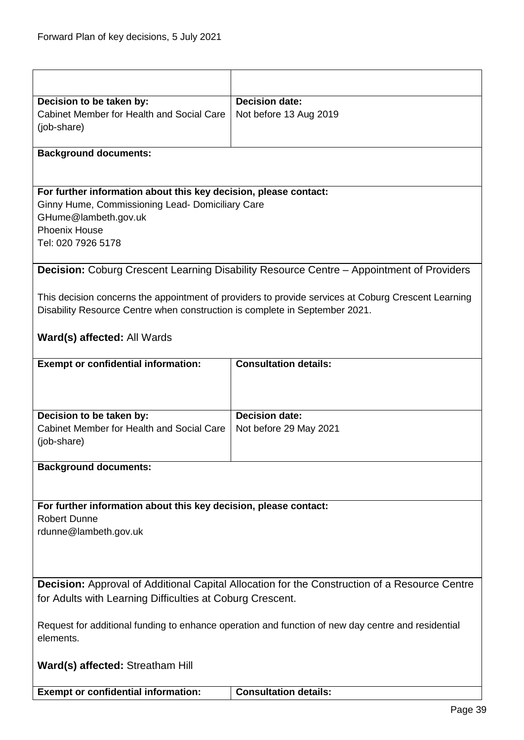<span id="page-38-1"></span><span id="page-38-0"></span>

| Decision to be taken by:                                                    | <b>Decision date:</b>                                                                               |
|-----------------------------------------------------------------------------|-----------------------------------------------------------------------------------------------------|
| Cabinet Member for Health and Social Care                                   | Not before 13 Aug 2019                                                                              |
| (job-share)                                                                 |                                                                                                     |
|                                                                             |                                                                                                     |
| <b>Background documents:</b>                                                |                                                                                                     |
|                                                                             |                                                                                                     |
| For further information about this key decision, please contact:            |                                                                                                     |
| Ginny Hume, Commissioning Lead- Domiciliary Care                            |                                                                                                     |
| GHume@lambeth.gov.uk                                                        |                                                                                                     |
| <b>Phoenix House</b>                                                        |                                                                                                     |
| Tel: 020 7926 5178                                                          |                                                                                                     |
|                                                                             |                                                                                                     |
|                                                                             | <b>Decision:</b> Coburg Crescent Learning Disability Resource Centre – Appointment of Providers     |
|                                                                             |                                                                                                     |
|                                                                             | This decision concerns the appointment of providers to provide services at Coburg Crescent Learning |
| Disability Resource Centre when construction is complete in September 2021. |                                                                                                     |
|                                                                             |                                                                                                     |
| <b>Ward(s) affected: All Wards</b>                                          |                                                                                                     |
| <b>Exempt or confidential information:</b>                                  | <b>Consultation details:</b>                                                                        |
|                                                                             |                                                                                                     |
|                                                                             |                                                                                                     |
|                                                                             |                                                                                                     |
| Decision to be taken by:                                                    | <b>Decision date:</b>                                                                               |
| Cabinet Member for Health and Social Care                                   | Not before 29 May 2021                                                                              |
| (job-share)                                                                 |                                                                                                     |
|                                                                             |                                                                                                     |
| <b>Background documents:</b>                                                |                                                                                                     |
|                                                                             |                                                                                                     |
| For further information about this key decision, please contact:            |                                                                                                     |
| <b>Robert Dunne</b>                                                         |                                                                                                     |
| rdunne@lambeth.gov.uk                                                       |                                                                                                     |
|                                                                             |                                                                                                     |
|                                                                             |                                                                                                     |
|                                                                             |                                                                                                     |
|                                                                             | Decision: Approval of Additional Capital Allocation for the Construction of a Resource Centre       |
| for Adults with Learning Difficulties at Coburg Crescent.                   |                                                                                                     |
|                                                                             |                                                                                                     |
|                                                                             | Request for additional funding to enhance operation and function of new day centre and residential  |
| elements.                                                                   |                                                                                                     |
|                                                                             |                                                                                                     |
| Ward(s) affected: Streatham Hill                                            |                                                                                                     |
| <b>Exempt or confidential information:</b>                                  | <b>Consultation details:</b>                                                                        |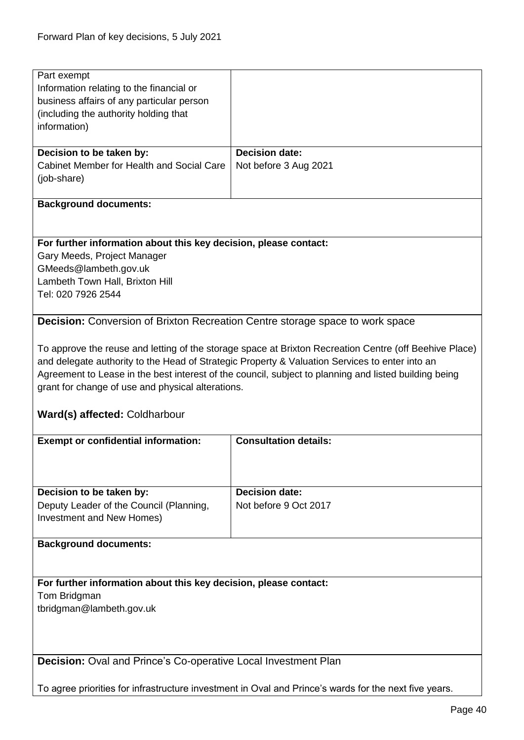<span id="page-39-0"></span>

| Part exempt                                                                          |                                                                                                        |
|--------------------------------------------------------------------------------------|--------------------------------------------------------------------------------------------------------|
| Information relating to the financial or                                             |                                                                                                        |
| business affairs of any particular person                                            |                                                                                                        |
| (including the authority holding that                                                |                                                                                                        |
| information)                                                                         |                                                                                                        |
|                                                                                      |                                                                                                        |
| Decision to be taken by:                                                             | <b>Decision date:</b>                                                                                  |
| Cabinet Member for Health and Social Care                                            | Not before 3 Aug 2021                                                                                  |
| (job-share)                                                                          |                                                                                                        |
|                                                                                      |                                                                                                        |
| <b>Background documents:</b>                                                         |                                                                                                        |
|                                                                                      |                                                                                                        |
|                                                                                      |                                                                                                        |
| For further information about this key decision, please contact:                     |                                                                                                        |
| Gary Meeds, Project Manager                                                          |                                                                                                        |
| GMeeds@lambeth.gov.uk                                                                |                                                                                                        |
| Lambeth Town Hall, Brixton Hill                                                      |                                                                                                        |
| Tel: 020 7926 2544                                                                   |                                                                                                        |
|                                                                                      |                                                                                                        |
|                                                                                      |                                                                                                        |
| <b>Decision:</b> Conversion of Brixton Recreation Centre storage space to work space |                                                                                                        |
|                                                                                      |                                                                                                        |
|                                                                                      | To approve the reuse and letting of the storage space at Brixton Recreation Centre (off Beehive Place) |
|                                                                                      | and delegate authority to the Head of Strategic Property & Valuation Services to enter into an         |
|                                                                                      | Agreement to Lease in the best interest of the council, subject to planning and listed building being  |
| grant for change of use and physical alterations.                                    |                                                                                                        |
|                                                                                      |                                                                                                        |
| Ward(s) affected: Coldharbour                                                        |                                                                                                        |
|                                                                                      |                                                                                                        |
| <b>Exempt or confidential information:</b>                                           | <b>Consultation details:</b>                                                                           |
|                                                                                      |                                                                                                        |
|                                                                                      |                                                                                                        |
|                                                                                      |                                                                                                        |
| Decision to be taken by:                                                             | <b>Decision date:</b>                                                                                  |
| Deputy Leader of the Council (Planning,                                              | Not before 9 Oct 2017                                                                                  |
| Investment and New Homes)                                                            |                                                                                                        |
|                                                                                      |                                                                                                        |
| <b>Background documents:</b>                                                         |                                                                                                        |
|                                                                                      |                                                                                                        |
|                                                                                      |                                                                                                        |
| For further information about this key decision, please contact:                     |                                                                                                        |
| Tom Bridgman                                                                         |                                                                                                        |
| tbridgman@lambeth.gov.uk                                                             |                                                                                                        |
|                                                                                      |                                                                                                        |
|                                                                                      |                                                                                                        |
|                                                                                      |                                                                                                        |
|                                                                                      |                                                                                                        |

<span id="page-39-1"></span>To agree priorities for infrastructure investment in Oval and Prince's wards for the next five years.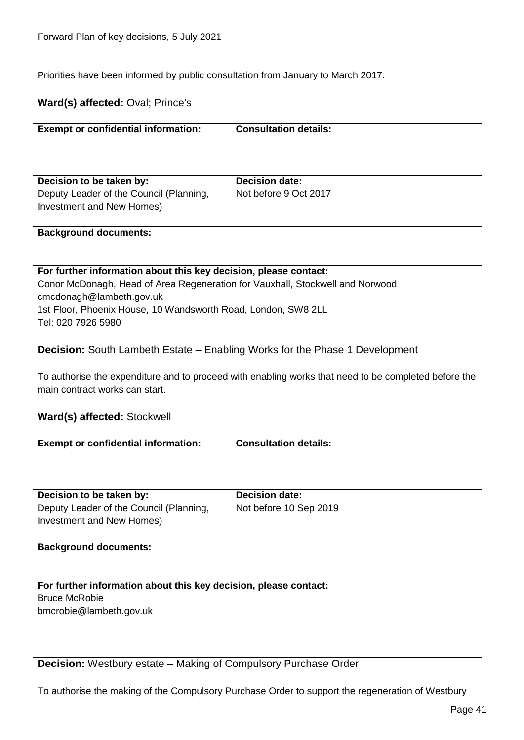<span id="page-40-1"></span><span id="page-40-0"></span>

|                                                                                    | Priorities have been informed by public consultation from January to March 2017.                     |  |
|------------------------------------------------------------------------------------|------------------------------------------------------------------------------------------------------|--|
| Ward(s) affected: Oval; Prince's                                                   |                                                                                                      |  |
|                                                                                    | <b>Consultation details:</b>                                                                         |  |
| <b>Exempt or confidential information:</b>                                         |                                                                                                      |  |
| Decision to be taken by:                                                           | <b>Decision date:</b>                                                                                |  |
| Deputy Leader of the Council (Planning,<br>Investment and New Homes)               | Not before 9 Oct 2017                                                                                |  |
| <b>Background documents:</b>                                                       |                                                                                                      |  |
|                                                                                    |                                                                                                      |  |
| For further information about this key decision, please contact:                   |                                                                                                      |  |
| Conor McDonagh, Head of Area Regeneration for Vauxhall, Stockwell and Norwood      |                                                                                                      |  |
| cmcdonagh@lambeth.gov.uk                                                           |                                                                                                      |  |
| 1st Floor, Phoenix House, 10 Wandsworth Road, London, SW8 2LL                      |                                                                                                      |  |
| Tel: 020 7926 5980                                                                 |                                                                                                      |  |
| <b>Decision:</b> South Lambeth Estate - Enabling Works for the Phase 1 Development |                                                                                                      |  |
|                                                                                    |                                                                                                      |  |
|                                                                                    | To authorise the expenditure and to proceed with enabling works that need to be completed before the |  |
| main contract works can start.                                                     |                                                                                                      |  |
| Ward(s) affected: Stockwell                                                        |                                                                                                      |  |
| <b>Exempt or confidential information:</b>                                         | <b>Consultation details:</b>                                                                         |  |
|                                                                                    |                                                                                                      |  |
|                                                                                    |                                                                                                      |  |
| Decision to be taken by:                                                           | <b>Decision date:</b>                                                                                |  |
| Deputy Leader of the Council (Planning,                                            | Not before 10 Sep 2019                                                                               |  |
| Investment and New Homes)                                                          |                                                                                                      |  |
| <b>Background documents:</b>                                                       |                                                                                                      |  |
|                                                                                    |                                                                                                      |  |
| For further information about this key decision, please contact:                   |                                                                                                      |  |
| <b>Bruce McRobie</b>                                                               |                                                                                                      |  |
| bmcrobie@lambeth.gov.uk                                                            |                                                                                                      |  |
|                                                                                    |                                                                                                      |  |
|                                                                                    |                                                                                                      |  |
| <b>Decision:</b> Westbury estate – Making of Compulsory Purchase Order             |                                                                                                      |  |
|                                                                                    | To authorise the making of the Compulsory Purchase Order to support the regeneration of Westbury     |  |
|                                                                                    |                                                                                                      |  |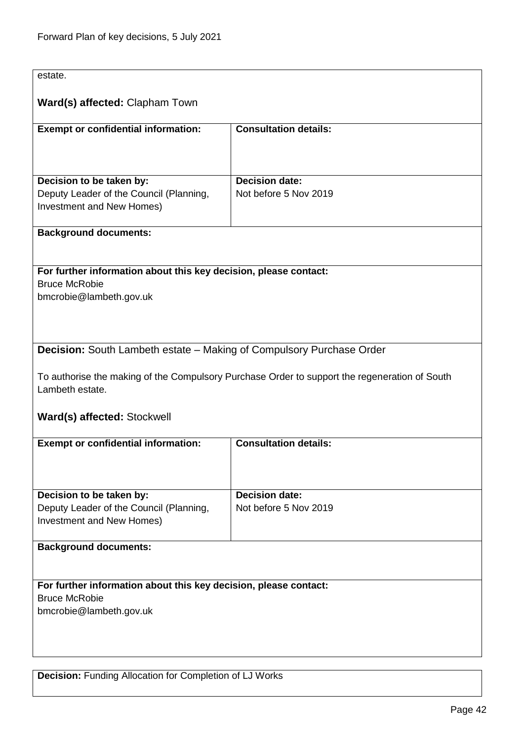<span id="page-41-1"></span><span id="page-41-0"></span>

| estate.                                                                     |                                                                                               |
|-----------------------------------------------------------------------------|-----------------------------------------------------------------------------------------------|
| Ward(s) affected: Clapham Town                                              |                                                                                               |
| <b>Exempt or confidential information:</b>                                  | <b>Consultation details:</b>                                                                  |
|                                                                             |                                                                                               |
|                                                                             |                                                                                               |
| Decision to be taken by:<br>Deputy Leader of the Council (Planning,         | <b>Decision date:</b><br>Not before 5 Nov 2019                                                |
| Investment and New Homes)                                                   |                                                                                               |
| <b>Background documents:</b>                                                |                                                                                               |
|                                                                             |                                                                                               |
| For further information about this key decision, please contact:            |                                                                                               |
| <b>Bruce McRobie</b><br>bmcrobie@lambeth.gov.uk                             |                                                                                               |
|                                                                             |                                                                                               |
|                                                                             |                                                                                               |
| <b>Decision:</b> South Lambeth estate – Making of Compulsory Purchase Order |                                                                                               |
|                                                                             |                                                                                               |
| Lambeth estate.                                                             | To authorise the making of the Compulsory Purchase Order to support the regeneration of South |
| Ward(s) affected: Stockwell                                                 |                                                                                               |
|                                                                             |                                                                                               |
| <b>Exempt or confidential information:</b>                                  | <b>Consultation details:</b>                                                                  |
|                                                                             |                                                                                               |
|                                                                             |                                                                                               |
| Decision to be taken by:<br>Deputy Leader of the Council (Planning,         | <b>Decision date:</b><br>Not before 5 Nov 2019                                                |
| Investment and New Homes)                                                   |                                                                                               |
| <b>Background documents:</b>                                                |                                                                                               |
|                                                                             |                                                                                               |
| For further information about this key decision, please contact:            |                                                                                               |
| <b>Bruce McRobie</b>                                                        |                                                                                               |
| bmcrobie@lambeth.gov.uk                                                     |                                                                                               |
|                                                                             |                                                                                               |
|                                                                             |                                                                                               |
| <b>Decision:</b> Funding Allocation for Completion of LJ Works              |                                                                                               |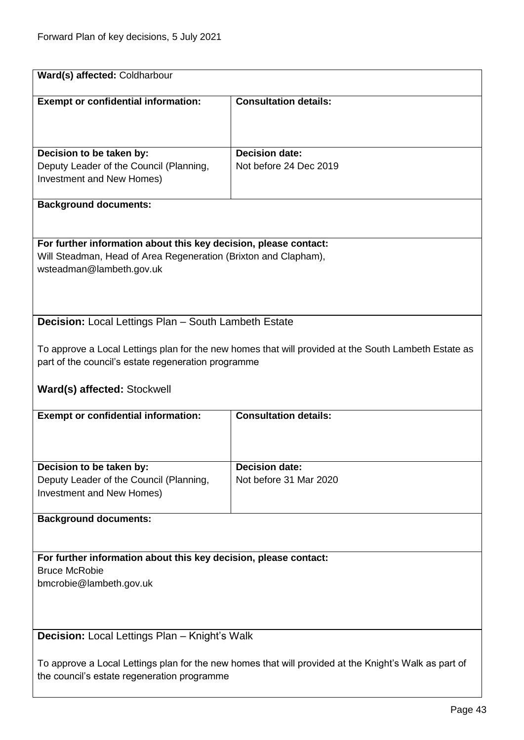<span id="page-42-1"></span><span id="page-42-0"></span>

| <b>Exempt or confidential information:</b>                           | <b>Consultation details:</b>                                                                          |
|----------------------------------------------------------------------|-------------------------------------------------------------------------------------------------------|
|                                                                      |                                                                                                       |
|                                                                      |                                                                                                       |
| Decision to be taken by:                                             | <b>Decision date:</b><br>Not before 24 Dec 2019                                                       |
| Deputy Leader of the Council (Planning,<br>Investment and New Homes) |                                                                                                       |
|                                                                      |                                                                                                       |
| <b>Background documents:</b>                                         |                                                                                                       |
|                                                                      |                                                                                                       |
| For further information about this key decision, please contact:     |                                                                                                       |
| Will Steadman, Head of Area Regeneration (Brixton and Clapham),      |                                                                                                       |
| wsteadman@lambeth.gov.uk                                             |                                                                                                       |
|                                                                      |                                                                                                       |
|                                                                      |                                                                                                       |
| <b>Decision:</b> Local Lettings Plan - South Lambeth Estate          |                                                                                                       |
|                                                                      | To approve a Local Lettings plan for the new homes that will provided at the South Lambeth Estate as  |
| part of the council's estate regeneration programme                  |                                                                                                       |
|                                                                      |                                                                                                       |
| Ward(s) affected: Stockwell                                          |                                                                                                       |
| <b>Exempt or confidential information:</b>                           | <b>Consultation details:</b>                                                                          |
|                                                                      |                                                                                                       |
|                                                                      |                                                                                                       |
|                                                                      |                                                                                                       |
|                                                                      |                                                                                                       |
| Decision to be taken by:                                             | <b>Decision date:</b><br>Not before 31 Mar 2020                                                       |
| Deputy Leader of the Council (Planning,<br>Investment and New Homes) |                                                                                                       |
|                                                                      |                                                                                                       |
| <b>Background documents:</b>                                         |                                                                                                       |
|                                                                      |                                                                                                       |
| For further information about this key decision, please contact:     |                                                                                                       |
| <b>Bruce McRobie</b>                                                 |                                                                                                       |
| bmcrobie@lambeth.gov.uk                                              |                                                                                                       |
|                                                                      |                                                                                                       |
|                                                                      |                                                                                                       |
| <b>Decision:</b> Local Lettings Plan – Knight's Walk                 |                                                                                                       |
|                                                                      | To approve a Local Lettings plan for the new homes that will provided at the Knight's Walk as part of |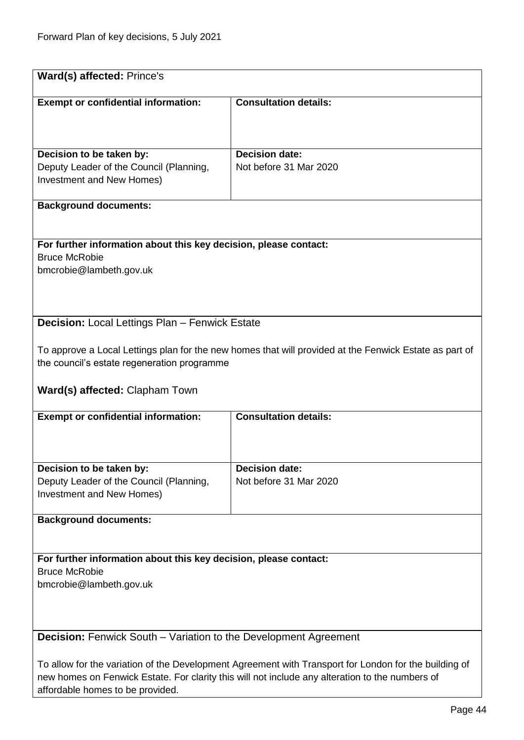<span id="page-43-1"></span><span id="page-43-0"></span>

| Ward(s) affected: Prince's                                                                            |                                                                                                        |
|-------------------------------------------------------------------------------------------------------|--------------------------------------------------------------------------------------------------------|
|                                                                                                       |                                                                                                        |
| <b>Exempt or confidential information:</b>                                                            | <b>Consultation details:</b>                                                                           |
|                                                                                                       |                                                                                                        |
|                                                                                                       |                                                                                                        |
|                                                                                                       |                                                                                                        |
| Decision to be taken by:                                                                              | Decision date:                                                                                         |
| Deputy Leader of the Council (Planning,                                                               | Not before 31 Mar 2020                                                                                 |
| Investment and New Homes)                                                                             |                                                                                                        |
|                                                                                                       |                                                                                                        |
| <b>Background documents:</b>                                                                          |                                                                                                        |
|                                                                                                       |                                                                                                        |
| For further information about this key decision, please contact:                                      |                                                                                                        |
| <b>Bruce McRobie</b>                                                                                  |                                                                                                        |
| bmcrobie@lambeth.gov.uk                                                                               |                                                                                                        |
|                                                                                                       |                                                                                                        |
|                                                                                                       |                                                                                                        |
|                                                                                                       |                                                                                                        |
| <b>Decision:</b> Local Lettings Plan - Fenwick Estate                                                 |                                                                                                        |
|                                                                                                       |                                                                                                        |
|                                                                                                       | To approve a Local Lettings plan for the new homes that will provided at the Fenwick Estate as part of |
| the council's estate regeneration programme                                                           |                                                                                                        |
|                                                                                                       |                                                                                                        |
| Ward(s) affected: Clapham Town                                                                        |                                                                                                        |
|                                                                                                       |                                                                                                        |
| <b>Exempt or confidential information:</b>                                                            | <b>Consultation details:</b>                                                                           |
|                                                                                                       |                                                                                                        |
|                                                                                                       |                                                                                                        |
|                                                                                                       |                                                                                                        |
| Decision to be taken by:                                                                              | <b>Decision date:</b>                                                                                  |
| Deputy Leader of the Council (Planning,                                                               | Not before 31 Mar 2020                                                                                 |
| Investment and New Homes)                                                                             |                                                                                                        |
| <b>Background documents:</b>                                                                          |                                                                                                        |
|                                                                                                       |                                                                                                        |
|                                                                                                       |                                                                                                        |
| For further information about this key decision, please contact:                                      |                                                                                                        |
| <b>Bruce McRobie</b>                                                                                  |                                                                                                        |
| bmcrobie@lambeth.gov.uk                                                                               |                                                                                                        |
|                                                                                                       |                                                                                                        |
|                                                                                                       |                                                                                                        |
|                                                                                                       |                                                                                                        |
| <b>Decision:</b> Fenwick South – Variation to the Development Agreement                               |                                                                                                        |
|                                                                                                       |                                                                                                        |
| To allow for the variation of the Development Agreement with Transport for London for the building of |                                                                                                        |
| new homes on Fenwick Estate. For clarity this will not include any alteration to the numbers of       |                                                                                                        |
| affordable homes to be provided.                                                                      |                                                                                                        |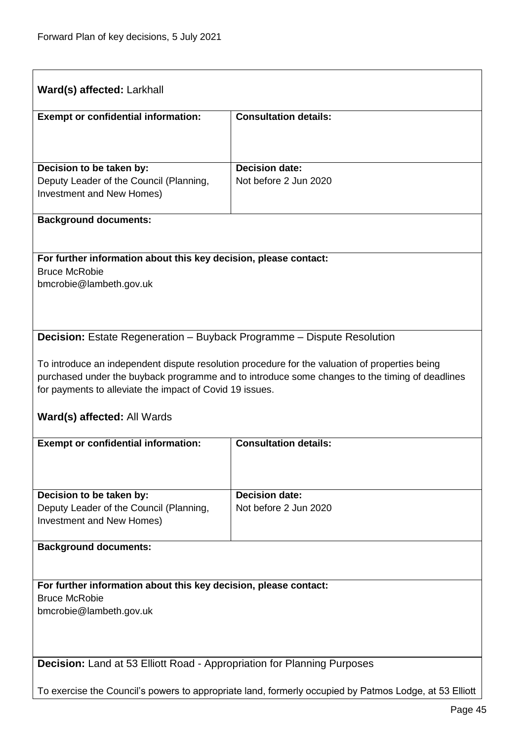<span id="page-44-1"></span><span id="page-44-0"></span>

| Ward(s) affected: Larkhall                                                                                                                                                                                                                                                                  |                              |  |
|---------------------------------------------------------------------------------------------------------------------------------------------------------------------------------------------------------------------------------------------------------------------------------------------|------------------------------|--|
| <b>Exempt or confidential information:</b>                                                                                                                                                                                                                                                  | <b>Consultation details:</b> |  |
|                                                                                                                                                                                                                                                                                             | <b>Decision date:</b>        |  |
| Decision to be taken by:<br>Deputy Leader of the Council (Planning,<br>Investment and New Homes)                                                                                                                                                                                            | Not before 2 Jun 2020        |  |
| <b>Background documents:</b>                                                                                                                                                                                                                                                                |                              |  |
| For further information about this key decision, please contact:<br><b>Bruce McRobie</b><br>bmcrobie@lambeth.gov.uk                                                                                                                                                                         |                              |  |
| <b>Decision:</b> Estate Regeneration – Buyback Programme – Dispute Resolution                                                                                                                                                                                                               |                              |  |
| To introduce an independent dispute resolution procedure for the valuation of properties being<br>purchased under the buyback programme and to introduce some changes to the timing of deadlines<br>for payments to alleviate the impact of Covid 19 issues.<br>Ward(s) affected: All Wards |                              |  |
| <b>Exempt or confidential information:</b>                                                                                                                                                                                                                                                  | <b>Consultation details:</b> |  |
| Decision to be taken by:                                                                                                                                                                                                                                                                    | <b>Decision date:</b>        |  |
| Deputy Leader of the Council (Planning,<br>Investment and New Homes)                                                                                                                                                                                                                        | Not before 2 Jun 2020        |  |
| <b>Background documents:</b>                                                                                                                                                                                                                                                                |                              |  |
| For further information about this key decision, please contact:<br><b>Bruce McRobie</b><br>bmcrobie@lambeth.gov.uk                                                                                                                                                                         |                              |  |
| Decision: Land at 53 Elliott Road - Appropriation for Planning Purposes                                                                                                                                                                                                                     |                              |  |
| To exercise the Council's powers to appropriate land, formerly occupied by Patmos Lodge, at 53 Elliott                                                                                                                                                                                      |                              |  |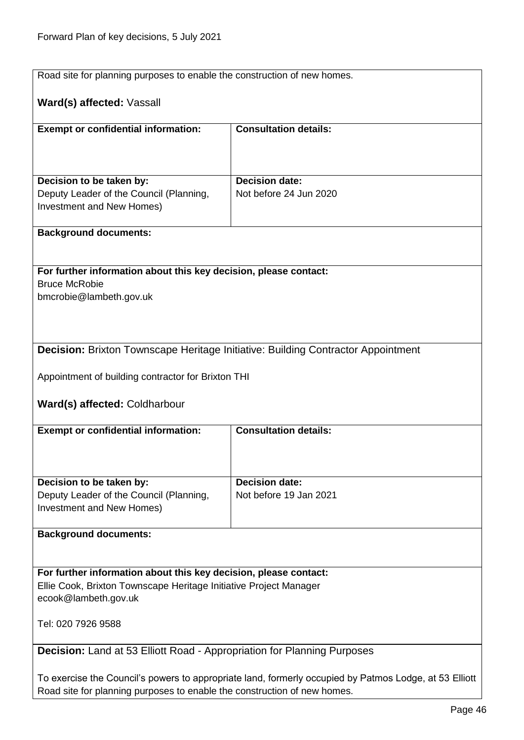<span id="page-45-1"></span><span id="page-45-0"></span>

| Road site for planning purposes to enable the construction of new homes.                               |                                                                                         |
|--------------------------------------------------------------------------------------------------------|-----------------------------------------------------------------------------------------|
| Ward(s) affected: Vassall                                                                              |                                                                                         |
| <b>Exempt or confidential information:</b>                                                             | <b>Consultation details:</b>                                                            |
|                                                                                                        |                                                                                         |
|                                                                                                        |                                                                                         |
| Decision to be taken by:                                                                               | <b>Decision date:</b>                                                                   |
| Deputy Leader of the Council (Planning,<br>Investment and New Homes)                                   | Not before 24 Jun 2020                                                                  |
|                                                                                                        |                                                                                         |
| <b>Background documents:</b>                                                                           |                                                                                         |
|                                                                                                        |                                                                                         |
| For further information about this key decision, please contact:<br><b>Bruce McRobie</b>               |                                                                                         |
| bmcrobie@lambeth.gov.uk                                                                                |                                                                                         |
|                                                                                                        |                                                                                         |
|                                                                                                        |                                                                                         |
|                                                                                                        | <b>Decision: Brixton Townscape Heritage Initiative: Building Contractor Appointment</b> |
|                                                                                                        |                                                                                         |
| Appointment of building contractor for Brixton THI                                                     |                                                                                         |
| Ward(s) affected: Coldharbour                                                                          |                                                                                         |
| <b>Exempt or confidential information:</b>                                                             | <b>Consultation details:</b>                                                            |
|                                                                                                        |                                                                                         |
|                                                                                                        |                                                                                         |
| Decision to be taken by:<br>Deputy Leader of the Council (Planning,                                    | <b>Decision date:</b><br>Not before 19 Jan 2021                                         |
| Investment and New Homes)                                                                              |                                                                                         |
|                                                                                                        |                                                                                         |
| <b>Background documents:</b>                                                                           |                                                                                         |
|                                                                                                        |                                                                                         |
| For further information about this key decision, please contact:                                       |                                                                                         |
| Ellie Cook, Brixton Townscape Heritage Initiative Project Manager<br>ecook@lambeth.gov.uk              |                                                                                         |
| Tel: 020 7926 9588                                                                                     |                                                                                         |
|                                                                                                        |                                                                                         |
| <b>Decision:</b> Land at 53 Elliott Road - Appropriation for Planning Purposes                         |                                                                                         |
| To exercise the Council's powers to appropriate land, formerly occupied by Patmos Lodge, at 53 Elliott |                                                                                         |
| Road site for planning purposes to enable the construction of new homes.                               |                                                                                         |
|                                                                                                        |                                                                                         |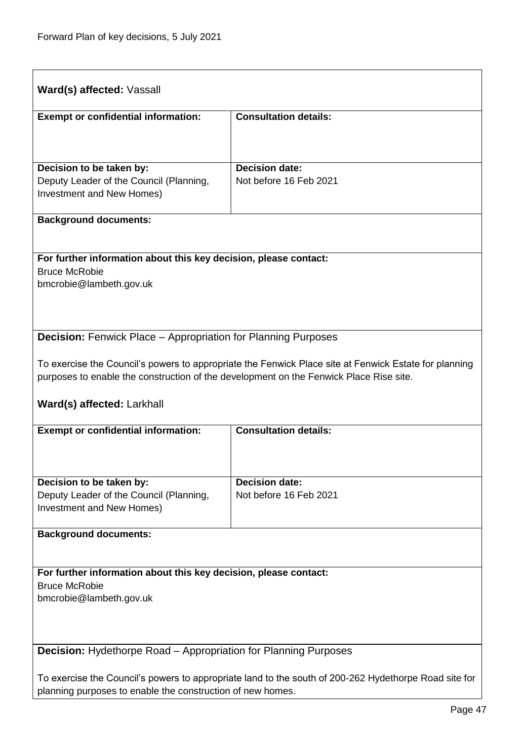<span id="page-46-1"></span><span id="page-46-0"></span>

| Ward(s) affected: Vassall                                                                                                                                           |                                                                                                       |
|---------------------------------------------------------------------------------------------------------------------------------------------------------------------|-------------------------------------------------------------------------------------------------------|
| <b>Exempt or confidential information:</b>                                                                                                                          | <b>Consultation details:</b>                                                                          |
|                                                                                                                                                                     |                                                                                                       |
| Decision to be taken by:                                                                                                                                            | <b>Decision date:</b>                                                                                 |
| Deputy Leader of the Council (Planning,<br>Investment and New Homes)                                                                                                | Not before 16 Feb 2021                                                                                |
| <b>Background documents:</b>                                                                                                                                        |                                                                                                       |
| For further information about this key decision, please contact:                                                                                                    |                                                                                                       |
| <b>Bruce McRobie</b><br>bmcrobie@lambeth.gov.uk                                                                                                                     |                                                                                                       |
|                                                                                                                                                                     |                                                                                                       |
| <b>Decision:</b> Fenwick Place – Appropriation for Planning Purposes                                                                                                |                                                                                                       |
| purposes to enable the construction of the development on the Fenwick Place Rise site.                                                                              | To exercise the Council's powers to appropriate the Fenwick Place site at Fenwick Estate for planning |
| Ward(s) affected: Larkhall                                                                                                                                          |                                                                                                       |
| <b>Exempt or confidential information:</b>                                                                                                                          | <b>Consultation details:</b>                                                                          |
|                                                                                                                                                                     |                                                                                                       |
| Decision to be taken by:                                                                                                                                            | <b>Decision date:</b>                                                                                 |
| Deputy Leader of the Council (Planning,<br>Investment and New Homes)                                                                                                | Not before 16 Feb 2021                                                                                |
| <b>Background documents:</b>                                                                                                                                        |                                                                                                       |
|                                                                                                                                                                     |                                                                                                       |
| For further information about this key decision, please contact:<br><b>Bruce McRobie</b>                                                                            |                                                                                                       |
| bmcrobie@lambeth.gov.uk                                                                                                                                             |                                                                                                       |
|                                                                                                                                                                     |                                                                                                       |
| <b>Decision:</b> Hydethorpe Road – Appropriation for Planning Purposes                                                                                              |                                                                                                       |
|                                                                                                                                                                     |                                                                                                       |
| To exercise the Council's powers to appropriate land to the south of 200-262 Hydethorpe Road site for<br>planning purposes to enable the construction of new homes. |                                                                                                       |
|                                                                                                                                                                     |                                                                                                       |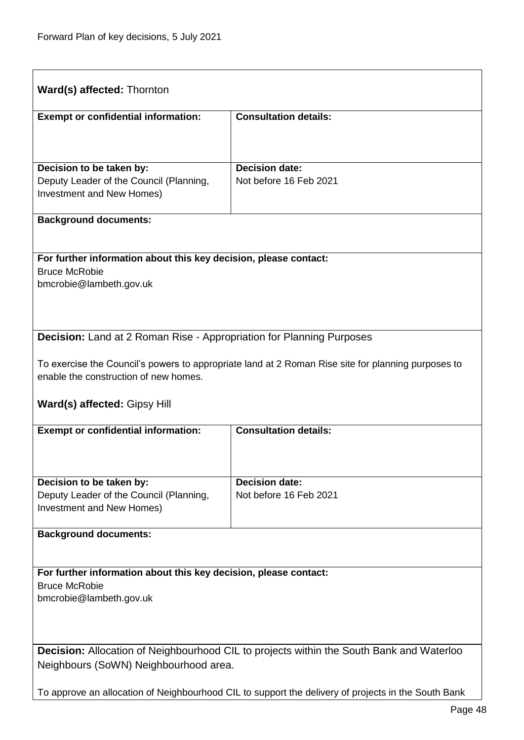<span id="page-47-1"></span><span id="page-47-0"></span>

|                                                                             | <b>Ward(s) affected: Thornton</b>                                                                  |  |
|-----------------------------------------------------------------------------|----------------------------------------------------------------------------------------------------|--|
| <b>Exempt or confidential information:</b>                                  | <b>Consultation details:</b>                                                                       |  |
|                                                                             |                                                                                                    |  |
| Decision to be taken by:                                                    | <b>Decision date:</b>                                                                              |  |
| Deputy Leader of the Council (Planning,                                     | Not before 16 Feb 2021                                                                             |  |
| Investment and New Homes)                                                   |                                                                                                    |  |
| <b>Background documents:</b>                                                |                                                                                                    |  |
| For further information about this key decision, please contact:            |                                                                                                    |  |
| <b>Bruce McRobie</b><br>bmcrobie@lambeth.gov.uk                             |                                                                                                    |  |
|                                                                             |                                                                                                    |  |
|                                                                             |                                                                                                    |  |
| <b>Decision:</b> Land at 2 Roman Rise - Appropriation for Planning Purposes |                                                                                                    |  |
|                                                                             |                                                                                                    |  |
| enable the construction of new homes.                                       | To exercise the Council's powers to appropriate land at 2 Roman Rise site for planning purposes to |  |
|                                                                             |                                                                                                    |  |
| <b>Ward(s) affected: Gipsy Hill</b>                                         |                                                                                                    |  |
| <b>Exempt or confidential information:</b>                                  | <b>Consultation details:</b>                                                                       |  |
|                                                                             |                                                                                                    |  |
|                                                                             |                                                                                                    |  |
| Decision to be taken by:<br>Deputy Leader of the Council (Planning,         | <b>Decision date:</b>                                                                              |  |
|                                                                             |                                                                                                    |  |
| Investment and New Homes)                                                   | Not before 16 Feb 2021                                                                             |  |
| <b>Background documents:</b>                                                |                                                                                                    |  |
|                                                                             |                                                                                                    |  |
| For further information about this key decision, please contact:            |                                                                                                    |  |
| <b>Bruce McRobie</b><br>bmcrobie@lambeth.gov.uk                             |                                                                                                    |  |
|                                                                             |                                                                                                    |  |
|                                                                             |                                                                                                    |  |
| Neighbours (SoWN) Neighbourhood area.                                       | <b>Decision:</b> Allocation of Neighbourhood CIL to projects within the South Bank and Waterloo    |  |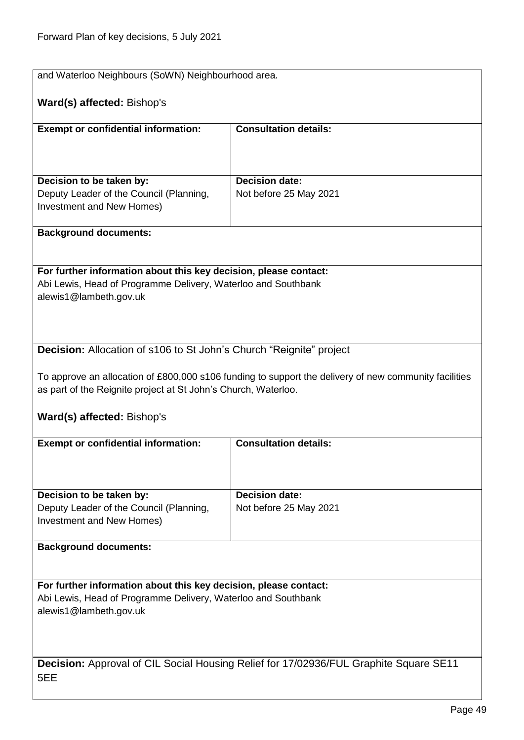<span id="page-48-1"></span><span id="page-48-0"></span>

| and Waterloo Neighbours (SoWN) Neighbourhood area.                                           |                                                                                                       |
|----------------------------------------------------------------------------------------------|-------------------------------------------------------------------------------------------------------|
| Ward(s) affected: Bishop's                                                                   |                                                                                                       |
| <b>Exempt or confidential information:</b>                                                   | <b>Consultation details:</b>                                                                          |
|                                                                                              |                                                                                                       |
| Decision to be taken by:                                                                     | <b>Decision date:</b>                                                                                 |
| Deputy Leader of the Council (Planning,                                                      | Not before 25 May 2021                                                                                |
| Investment and New Homes)                                                                    |                                                                                                       |
| <b>Background documents:</b>                                                                 |                                                                                                       |
|                                                                                              |                                                                                                       |
| For further information about this key decision, please contact:                             |                                                                                                       |
| Abi Lewis, Head of Programme Delivery, Waterloo and Southbank<br>alewis1@lambeth.gov.uk      |                                                                                                       |
|                                                                                              |                                                                                                       |
|                                                                                              |                                                                                                       |
| Decision: Allocation of s106 to St John's Church "Reignite" project                          |                                                                                                       |
|                                                                                              | To approve an allocation of £800,000 s106 funding to support the delivery of new community facilities |
| as part of the Reignite project at St John's Church, Waterloo.                               |                                                                                                       |
| Ward(s) affected: Bishop's                                                                   |                                                                                                       |
| <b>Exempt or confidential information:</b>                                                   | <b>Consultation details:</b>                                                                          |
|                                                                                              |                                                                                                       |
|                                                                                              |                                                                                                       |
| Decision to be taken by:<br>Deputy Leader of the Council (Planning,                          | <b>Decision date:</b><br>Not before 25 May 2021                                                       |
| Investment and New Homes)                                                                    |                                                                                                       |
| <b>Background documents:</b>                                                                 |                                                                                                       |
|                                                                                              |                                                                                                       |
| For further information about this key decision, please contact:                             |                                                                                                       |
| Abi Lewis, Head of Programme Delivery, Waterloo and Southbank<br>alewis1@lambeth.gov.uk      |                                                                                                       |
|                                                                                              |                                                                                                       |
|                                                                                              |                                                                                                       |
| <b>Decision:</b> Approval of CIL Social Housing Relief for 17/02936/FUL Graphite Square SE11 |                                                                                                       |
| 5EE                                                                                          |                                                                                                       |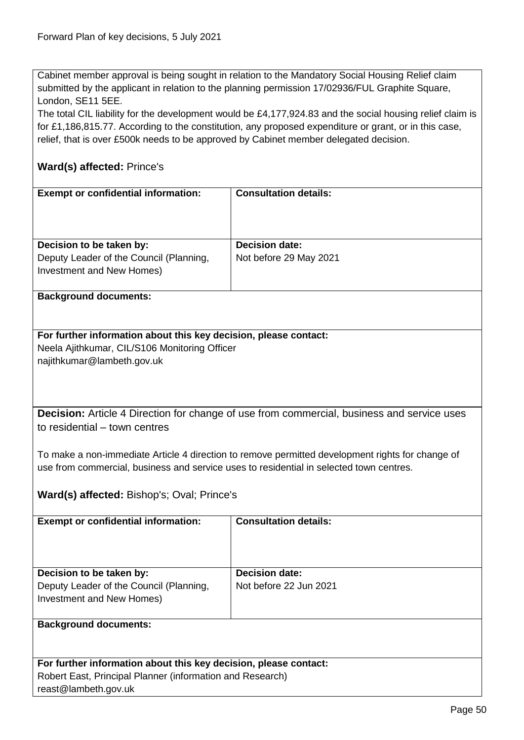Cabinet member approval is being sought in relation to the Mandatory Social Housing Relief claim submitted by the applicant in relation to the planning permission 17/02936/FUL Graphite Square, London, SE11 5EE.

The total CIL liability for the development would be £4,177,924.83 and the social housing relief claim is for £1,186,815.77. According to the constitution, any proposed expenditure or grant, or in this case, relief, that is over £500k needs to be approved by Cabinet member delegated decision.

# **Ward(s) affected:** Prince's

| <b>Exempt or confidential information:</b>                                                       | <b>Consultation details:</b>                    |
|--------------------------------------------------------------------------------------------------|-------------------------------------------------|
| Decision to be taken by:<br>Deputy Leader of the Council (Planning,<br>Investment and New Homes) | <b>Decision date:</b><br>Not before 29 May 2021 |
| $\sim$                                                                                           |                                                 |

#### **Background documents:**

#### **For further information about this key decision, please contact:** Neela Ajithkumar, CIL/S106 Monitoring Officer najithkumar@lambeth.gov.uk

<span id="page-49-0"></span>**Decision:** Article 4 Direction for change of use from commercial, business and service uses to residential – town centres

To make a non-immediate Article 4 direction to remove permitted development rights for change of use from commercial, business and service uses to residential in selected town centres.

### **Ward(s) affected:** Bishop's; Oval; Prince's

| <b>Exempt or confidential information:</b> | <b>Consultation details:</b> |
|--------------------------------------------|------------------------------|
| Decision to be taken by:                   | <b>Decision date:</b>        |
| Deputy Leader of the Council (Planning,    | Not before 22 Jun 2021       |
| Investment and New Homes)                  |                              |
|                                            |                              |
| <b>Background documents:</b>               |                              |
|                                            |                              |

| For further information about this key decision, please contact: |
|------------------------------------------------------------------|
| Robert East, Principal Planner (information and Research)        |
| reast@lambeth.gov.uk                                             |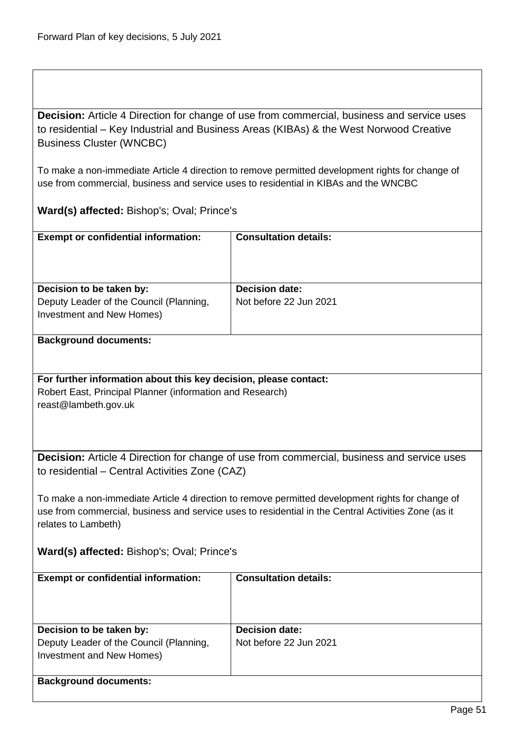**Decision:** Article 4 Direction for change of use from commercial, business and service uses to residential – Key Industrial and Business Areas (KIBAs) & the West Norwood Creative Business Cluster (WNCBC)

<span id="page-50-0"></span>To make a non-immediate Article 4 direction to remove permitted development rights for change of use from commercial, business and service uses to residential in KIBAs and the WNCBC

**Ward(s) affected:** Bishop's; Oval; Prince's

| <b>Exempt or confidential information:</b>                                                       | <b>Consultation details:</b>                    |
|--------------------------------------------------------------------------------------------------|-------------------------------------------------|
| Decision to be taken by:<br>Deputy Leader of the Council (Planning,<br>Investment and New Homes) | <b>Decision date:</b><br>Not before 22 Jun 2021 |
|                                                                                                  |                                                 |

#### **Background documents:**

#### **For further information about this key decision, please contact:**

Robert East, Principal Planner (information and Research) reast@lambeth.gov.uk

<span id="page-50-1"></span>**Decision:** Article 4 Direction for change of use from commercial, business and service uses to residential – Central Activities Zone (CAZ)

To make a non-immediate Article 4 direction to remove permitted development rights for change of use from commercial, business and service uses to residential in the Central Activities Zone (as it relates to Lambeth)

### **Ward(s) affected:** Bishop's; Oval; Prince's

| <b>Exempt or confidential information:</b>                           | <b>Consultation details:</b> |
|----------------------------------------------------------------------|------------------------------|
| Decision to be taken by:                                             | <b>Decision date:</b>        |
| Deputy Leader of the Council (Planning,<br>Investment and New Homes) | Not before 22 Jun 2021       |
| <b>Background documents:</b>                                         |                              |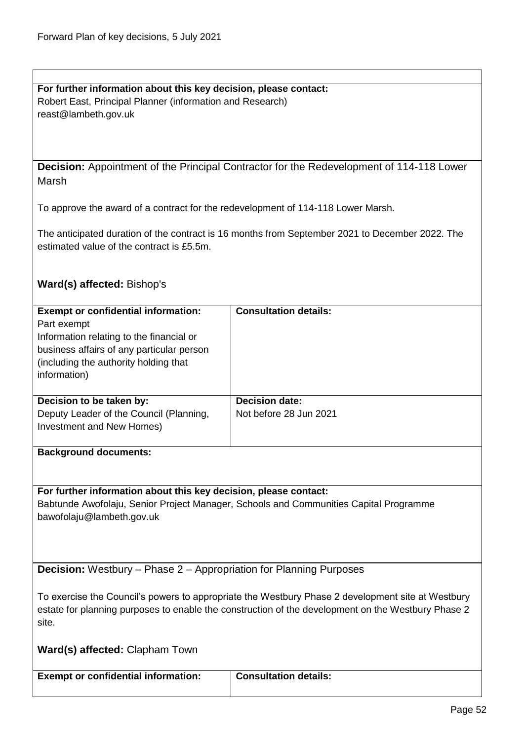**For further information about this key decision, please contact:** Robert East, Principal Planner (information and Research) reast@lambeth.gov.uk

<span id="page-51-0"></span>**Decision:** Appointment of the Principal Contractor for the Redevelopment of 114-118 Lower Marsh

To approve the award of a contract for the redevelopment of 114-118 Lower Marsh.

The anticipated duration of the contract is 16 months from September 2021 to December 2022. The estimated value of the contract is £5.5m.

### **Ward(s) affected:** Bishop's

| <b>Exempt or confidential information:</b><br>Part exempt<br>Information relating to the financial or<br>business affairs of any particular person<br>(including the authority holding that)<br>information) | <b>Consultation details:</b>                    |
|--------------------------------------------------------------------------------------------------------------------------------------------------------------------------------------------------------------|-------------------------------------------------|
| Decision to be taken by:<br>Deputy Leader of the Council (Planning,<br>Investment and New Homes)<br><b>Dockaround documents:</b>                                                                             | <b>Decision date:</b><br>Not before 28 Jun 2021 |

**Background documents:**

**For further information about this key decision, please contact:** Babtunde Awofolaju, Senior Project Manager, Schools and Communities Capital Programme bawofolaju@lambeth.gov.uk

<span id="page-51-1"></span>**Decision:** Westbury – Phase 2 – Appropriation for Planning Purposes

To exercise the Council's powers to appropriate the Westbury Phase 2 development site at Westbury estate for planning purposes to enable the construction of the development on the Westbury Phase 2 site.

**Ward(s) affected:** Clapham Town

| <b>Exempt or confidential information:</b> | Consultation details: |
|--------------------------------------------|-----------------------|
|                                            |                       |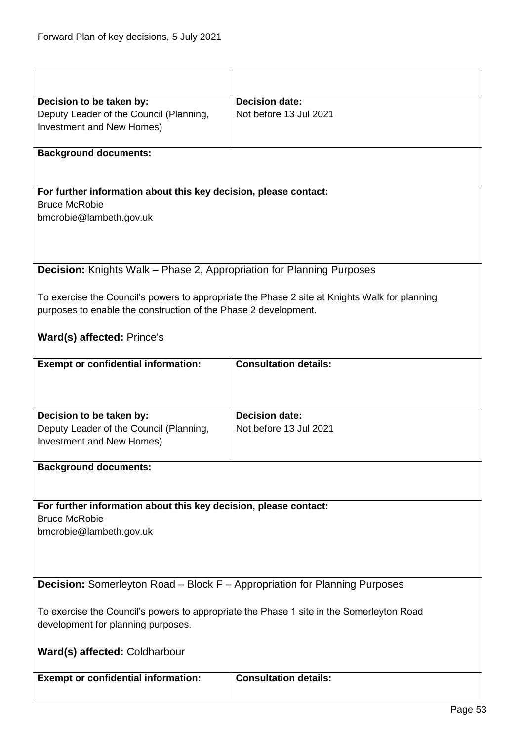<span id="page-52-1"></span><span id="page-52-0"></span>

| Decision to be taken by:                                                                 | <b>Decision date:</b>                                                                         |  |
|------------------------------------------------------------------------------------------|-----------------------------------------------------------------------------------------------|--|
| Deputy Leader of the Council (Planning,                                                  | Not before 13 Jul 2021                                                                        |  |
| Investment and New Homes)                                                                |                                                                                               |  |
|                                                                                          |                                                                                               |  |
| <b>Background documents:</b>                                                             |                                                                                               |  |
|                                                                                          |                                                                                               |  |
| For further information about this key decision, please contact:                         |                                                                                               |  |
| <b>Bruce McRobie</b>                                                                     |                                                                                               |  |
| bmcrobie@lambeth.gov.uk                                                                  |                                                                                               |  |
|                                                                                          |                                                                                               |  |
|                                                                                          |                                                                                               |  |
| Decision: Knights Walk - Phase 2, Appropriation for Planning Purposes                    |                                                                                               |  |
|                                                                                          |                                                                                               |  |
| purposes to enable the construction of the Phase 2 development.                          | To exercise the Council's powers to appropriate the Phase 2 site at Knights Walk for planning |  |
|                                                                                          |                                                                                               |  |
| <b>Ward(s) affected: Prince's</b>                                                        |                                                                                               |  |
| <b>Exempt or confidential information:</b>                                               | <b>Consultation details:</b>                                                                  |  |
|                                                                                          |                                                                                               |  |
| Decision to be taken by:                                                                 | Decision date:                                                                                |  |
| Deputy Leader of the Council (Planning,                                                  | Not before 13 Jul 2021                                                                        |  |
| Investment and New Homes)                                                                |                                                                                               |  |
| <b>Background documents:</b>                                                             |                                                                                               |  |
|                                                                                          |                                                                                               |  |
| For further information about this key decision, please contact:                         |                                                                                               |  |
| <b>Bruce McRobie</b>                                                                     |                                                                                               |  |
| bmcrobie@lambeth.gov.uk                                                                  |                                                                                               |  |
|                                                                                          |                                                                                               |  |
|                                                                                          |                                                                                               |  |
|                                                                                          |                                                                                               |  |
| Decision: Somerleyton Road - Block F - Appropriation for Planning Purposes               |                                                                                               |  |
| To exercise the Council's powers to appropriate the Phase 1 site in the Somerleyton Road |                                                                                               |  |
| development for planning purposes.                                                       |                                                                                               |  |
| Ward(s) affected: Coldharbour                                                            |                                                                                               |  |
| <b>Exempt or confidential information:</b>                                               | <b>Consultation details:</b>                                                                  |  |
|                                                                                          |                                                                                               |  |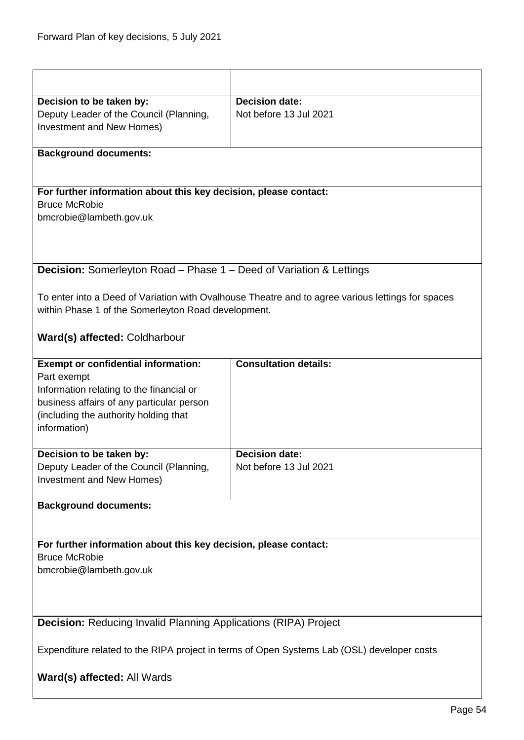<span id="page-53-1"></span><span id="page-53-0"></span>

| Decision to be taken by:                                                                   | <b>Decision date:</b>                                                                             |  |
|--------------------------------------------------------------------------------------------|---------------------------------------------------------------------------------------------------|--|
| Deputy Leader of the Council (Planning,                                                    | Not before 13 Jul 2021                                                                            |  |
| Investment and New Homes)                                                                  |                                                                                                   |  |
|                                                                                            |                                                                                                   |  |
| <b>Background documents:</b>                                                               |                                                                                                   |  |
|                                                                                            |                                                                                                   |  |
| For further information about this key decision, please contact:                           |                                                                                                   |  |
| <b>Bruce McRobie</b>                                                                       |                                                                                                   |  |
| bmcrobie@lambeth.gov.uk                                                                    |                                                                                                   |  |
|                                                                                            |                                                                                                   |  |
|                                                                                            |                                                                                                   |  |
| <b>Decision:</b> Somerleyton Road – Phase 1 – Deed of Variation & Lettings                 |                                                                                                   |  |
|                                                                                            |                                                                                                   |  |
|                                                                                            | To enter into a Deed of Variation with Ovalhouse Theatre and to agree various lettings for spaces |  |
| within Phase 1 of the Somerleyton Road development.                                        |                                                                                                   |  |
|                                                                                            |                                                                                                   |  |
| Ward(s) affected: Coldharbour                                                              |                                                                                                   |  |
| <b>Exempt or confidential information:</b>                                                 | <b>Consultation details:</b>                                                                      |  |
| Part exempt                                                                                |                                                                                                   |  |
| Information relating to the financial or                                                   |                                                                                                   |  |
| business affairs of any particular person                                                  |                                                                                                   |  |
| (including the authority holding that                                                      |                                                                                                   |  |
| information)                                                                               |                                                                                                   |  |
| Decision to be taken by:                                                                   | <b>Decision date:</b>                                                                             |  |
| Deputy Leader of the Council (Planning,                                                    | Not before 13 Jul 2021                                                                            |  |
| Investment and New Homes)                                                                  |                                                                                                   |  |
|                                                                                            |                                                                                                   |  |
| <b>Background documents:</b>                                                               |                                                                                                   |  |
|                                                                                            |                                                                                                   |  |
| For further information about this key decision, please contact:                           |                                                                                                   |  |
| <b>Bruce McRobie</b>                                                                       |                                                                                                   |  |
| bmcrobie@lambeth.gov.uk                                                                    |                                                                                                   |  |
|                                                                                            |                                                                                                   |  |
|                                                                                            |                                                                                                   |  |
|                                                                                            |                                                                                                   |  |
| <b>Decision: Reducing Invalid Planning Applications (RIPA) Project</b>                     |                                                                                                   |  |
| Expenditure related to the RIPA project in terms of Open Systems Lab (OSL) developer costs |                                                                                                   |  |
|                                                                                            |                                                                                                   |  |
| Ward(s) affected: All Wards                                                                |                                                                                                   |  |
|                                                                                            |                                                                                                   |  |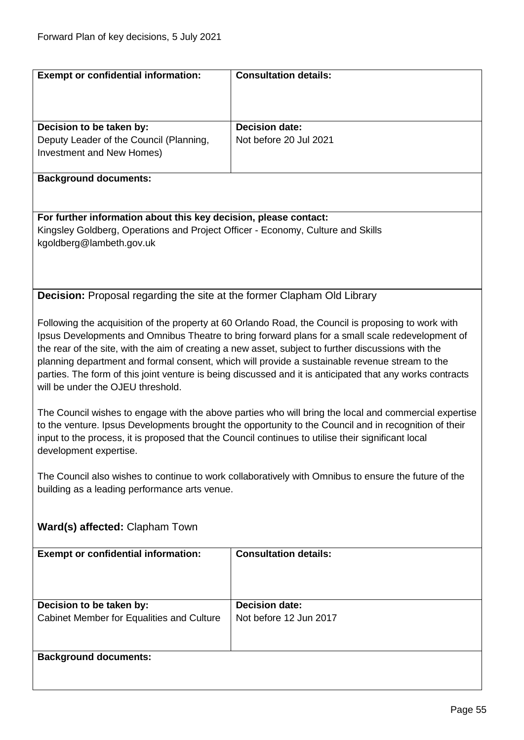<span id="page-54-0"></span>

| <b>Exempt or confidential information:</b>                                      | <b>Consultation details:</b>                                                                                                                                                                                   |
|---------------------------------------------------------------------------------|----------------------------------------------------------------------------------------------------------------------------------------------------------------------------------------------------------------|
|                                                                                 |                                                                                                                                                                                                                |
|                                                                                 |                                                                                                                                                                                                                |
|                                                                                 |                                                                                                                                                                                                                |
| Decision to be taken by:                                                        | <b>Decision date:</b>                                                                                                                                                                                          |
| Deputy Leader of the Council (Planning,                                         | Not before 20 Jul 2021                                                                                                                                                                                         |
| Investment and New Homes)                                                       |                                                                                                                                                                                                                |
| <b>Background documents:</b>                                                    |                                                                                                                                                                                                                |
|                                                                                 |                                                                                                                                                                                                                |
|                                                                                 |                                                                                                                                                                                                                |
| For further information about this key decision, please contact:                |                                                                                                                                                                                                                |
| Kingsley Goldberg, Operations and Project Officer - Economy, Culture and Skills |                                                                                                                                                                                                                |
| kgoldberg@lambeth.gov.uk                                                        |                                                                                                                                                                                                                |
|                                                                                 |                                                                                                                                                                                                                |
|                                                                                 |                                                                                                                                                                                                                |
|                                                                                 |                                                                                                                                                                                                                |
| <b>Decision:</b> Proposal regarding the site at the former Clapham Old Library  |                                                                                                                                                                                                                |
|                                                                                 |                                                                                                                                                                                                                |
|                                                                                 | Following the acquisition of the property at 60 Orlando Road, the Council is proposing to work with                                                                                                            |
|                                                                                 | Ipsus Developments and Omnibus Theatre to bring forward plans for a small scale redevelopment of                                                                                                               |
|                                                                                 | the rear of the site, with the aim of creating a new asset, subject to further discussions with the                                                                                                            |
|                                                                                 | planning department and formal consent, which will provide a sustainable revenue stream to the                                                                                                                 |
|                                                                                 | parties. The form of this joint venture is being discussed and it is anticipated that any works contracts                                                                                                      |
| will be under the OJEU threshold.                                               |                                                                                                                                                                                                                |
|                                                                                 |                                                                                                                                                                                                                |
|                                                                                 | The Council wishes to engage with the above parties who will bring the local and commercial expertise<br>to the venture. Ipsus Developments brought the opportunity to the Council and in recognition of their |
|                                                                                 | input to the process, it is proposed that the Council continues to utilise their significant local                                                                                                             |
| development expertise.                                                          |                                                                                                                                                                                                                |
|                                                                                 |                                                                                                                                                                                                                |
|                                                                                 | The Council also wishes to continue to work collaboratively with Omnibus to ensure the future of the                                                                                                           |
| building as a leading performance arts venue.                                   |                                                                                                                                                                                                                |
|                                                                                 |                                                                                                                                                                                                                |
|                                                                                 |                                                                                                                                                                                                                |
| Ward(s) affected: Clapham Town                                                  |                                                                                                                                                                                                                |
|                                                                                 |                                                                                                                                                                                                                |
| <b>Exempt or confidential information:</b>                                      | <b>Consultation details:</b>                                                                                                                                                                                   |
|                                                                                 |                                                                                                                                                                                                                |
|                                                                                 |                                                                                                                                                                                                                |
|                                                                                 |                                                                                                                                                                                                                |
| Decision to be taken by:                                                        | <b>Decision date:</b>                                                                                                                                                                                          |
| Cabinet Member for Equalities and Culture                                       | Not before 12 Jun 2017                                                                                                                                                                                         |
|                                                                                 |                                                                                                                                                                                                                |
|                                                                                 |                                                                                                                                                                                                                |
| <b>Background documents:</b>                                                    |                                                                                                                                                                                                                |
|                                                                                 |                                                                                                                                                                                                                |
|                                                                                 |                                                                                                                                                                                                                |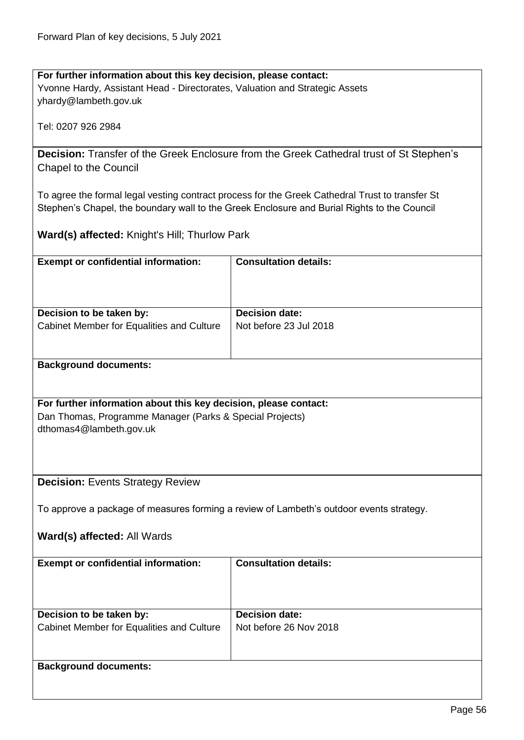**For further information about this key decision, please contact:** Yvonne Hardy, Assistant Head - Directorates, Valuation and Strategic Assets yhardy@lambeth.gov.uk

Tel: 0207 926 2984

<span id="page-55-0"></span>**Decision:** Transfer of the Greek Enclosure from the Greek Cathedral trust of St Stephen's Chapel to the Council

To agree the formal legal vesting contract process for the Greek Cathedral Trust to transfer St Stephen's Chapel, the boundary wall to the Greek Enclosure and Burial Rights to the Council

**Ward(s) affected:** Knight's Hill; Thurlow Park

<span id="page-55-1"></span>

| <b>Exempt or confidential information:</b>                       | <b>Consultation details:</b>                                                            |  |
|------------------------------------------------------------------|-----------------------------------------------------------------------------------------|--|
|                                                                  |                                                                                         |  |
|                                                                  |                                                                                         |  |
|                                                                  |                                                                                         |  |
| Decision to be taken by:                                         | <b>Decision date:</b>                                                                   |  |
| Cabinet Member for Equalities and Culture                        | Not before 23 Jul 2018                                                                  |  |
|                                                                  |                                                                                         |  |
|                                                                  |                                                                                         |  |
|                                                                  |                                                                                         |  |
| <b>Background documents:</b>                                     |                                                                                         |  |
|                                                                  |                                                                                         |  |
|                                                                  |                                                                                         |  |
| For further information about this key decision, please contact: |                                                                                         |  |
| Dan Thomas, Programme Manager (Parks & Special Projects)         |                                                                                         |  |
| dthomas4@lambeth.gov.uk                                          |                                                                                         |  |
|                                                                  |                                                                                         |  |
|                                                                  |                                                                                         |  |
|                                                                  |                                                                                         |  |
| <b>Decision: Events Strategy Review</b>                          |                                                                                         |  |
|                                                                  |                                                                                         |  |
|                                                                  |                                                                                         |  |
|                                                                  | To approve a package of measures forming a review of Lambeth's outdoor events strategy. |  |
|                                                                  |                                                                                         |  |
| Ward(s) affected: All Wards                                      |                                                                                         |  |
|                                                                  |                                                                                         |  |
| <b>Exempt or confidential information:</b>                       | <b>Consultation details:</b>                                                            |  |
|                                                                  |                                                                                         |  |
|                                                                  |                                                                                         |  |
|                                                                  |                                                                                         |  |
| Decision to be taken by:                                         | <b>Decision date:</b>                                                                   |  |
|                                                                  |                                                                                         |  |
| Cabinet Member for Equalities and Culture                        | Not before 26 Nov 2018                                                                  |  |
|                                                                  |                                                                                         |  |
|                                                                  |                                                                                         |  |
| <b>Background documents:</b>                                     |                                                                                         |  |
|                                                                  |                                                                                         |  |
|                                                                  |                                                                                         |  |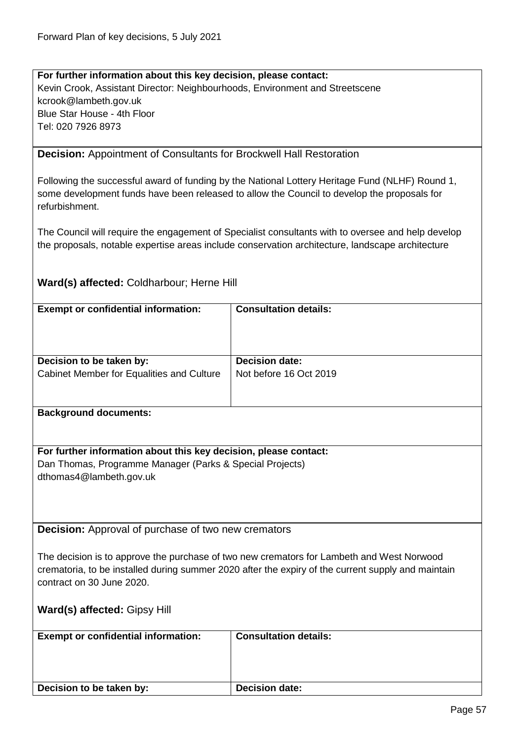**For further information about this key decision, please contact:** Kevin Crook, Assistant Director: Neighbourhoods, Environment and Streetscene kcrook@lambeth.gov.uk Blue Star House - 4th Floor Tel: 020 7926 8973

<span id="page-56-0"></span>**Decision:** Appointment of Consultants for Brockwell Hall Restoration

Following the successful award of funding by the National Lottery Heritage Fund (NLHF) Round 1, some development funds have been released to allow the Council to develop the proposals for refurbishment.

The Council will require the engagement of Specialist consultants with to oversee and help develop the proposals, notable expertise areas include conservation architecture, landscape architecture

### **Ward(s) affected:** Coldharbour; Herne Hill

<span id="page-56-1"></span>

| <b>Exempt or confidential information:</b>                       | <b>Consultation details:</b>                                                                                                                                                                    |
|------------------------------------------------------------------|-------------------------------------------------------------------------------------------------------------------------------------------------------------------------------------------------|
|                                                                  |                                                                                                                                                                                                 |
|                                                                  |                                                                                                                                                                                                 |
| Decision to be taken by:                                         | <b>Decision date:</b>                                                                                                                                                                           |
| Cabinet Member for Equalities and Culture                        | Not before 16 Oct 2019                                                                                                                                                                          |
|                                                                  |                                                                                                                                                                                                 |
| <b>Background documents:</b>                                     |                                                                                                                                                                                                 |
|                                                                  |                                                                                                                                                                                                 |
| For further information about this key decision, please contact: |                                                                                                                                                                                                 |
| Dan Thomas, Programme Manager (Parks & Special Projects)         |                                                                                                                                                                                                 |
| dthomas4@lambeth.gov.uk                                          |                                                                                                                                                                                                 |
|                                                                  |                                                                                                                                                                                                 |
|                                                                  |                                                                                                                                                                                                 |
|                                                                  |                                                                                                                                                                                                 |
| <b>Decision:</b> Approval of purchase of two new cremators       |                                                                                                                                                                                                 |
|                                                                  |                                                                                                                                                                                                 |
|                                                                  | The decision is to approve the purchase of two new cremators for Lambeth and West Norwood<br>crematoria, to be installed during summer 2020 after the expiry of the current supply and maintain |
| contract on 30 June 2020.                                        |                                                                                                                                                                                                 |
|                                                                  |                                                                                                                                                                                                 |
| Ward(s) affected: Gipsy Hill                                     |                                                                                                                                                                                                 |
|                                                                  |                                                                                                                                                                                                 |
| <b>Exempt or confidential information:</b>                       | <b>Consultation details:</b>                                                                                                                                                                    |
|                                                                  |                                                                                                                                                                                                 |
|                                                                  |                                                                                                                                                                                                 |
| Decision to be taken by:                                         | <b>Decision date:</b>                                                                                                                                                                           |
|                                                                  |                                                                                                                                                                                                 |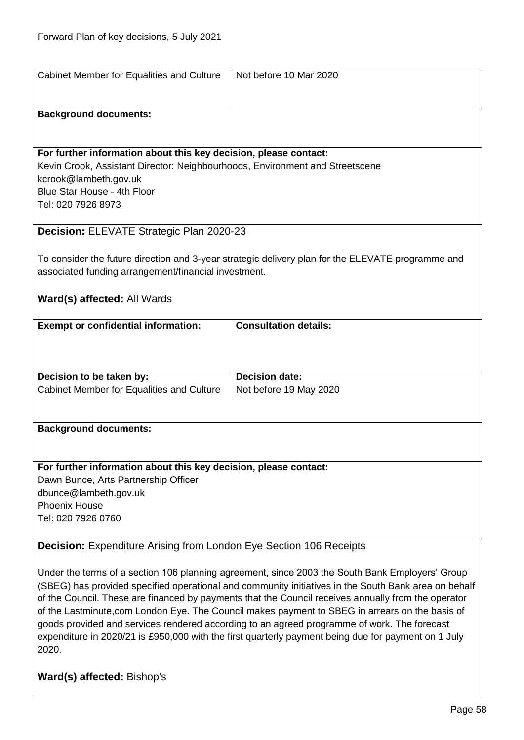<span id="page-57-0"></span>

| Cabinet Member for Equalities and Culture                                                            | Not before 10 Mar 2020                                                                              |
|------------------------------------------------------------------------------------------------------|-----------------------------------------------------------------------------------------------------|
| <b>Background documents:</b>                                                                         |                                                                                                     |
|                                                                                                      |                                                                                                     |
|                                                                                                      |                                                                                                     |
| For further information about this key decision, please contact:                                     |                                                                                                     |
|                                                                                                      |                                                                                                     |
| Kevin Crook, Assistant Director: Neighbourhoods, Environment and Streetscene                         |                                                                                                     |
| kcrook@lambeth.gov.uk                                                                                |                                                                                                     |
| Blue Star House - 4th Floor                                                                          |                                                                                                     |
| Tel: 020 7926 8973                                                                                   |                                                                                                     |
|                                                                                                      |                                                                                                     |
| Decision: ELEVATE Strategic Plan 2020-23                                                             |                                                                                                     |
|                                                                                                      |                                                                                                     |
|                                                                                                      | To consider the future direction and 3-year strategic delivery plan for the ELEVATE programme and   |
| associated funding arrangement/financial investment.                                                 |                                                                                                     |
|                                                                                                      |                                                                                                     |
| Ward(s) affected: All Wards                                                                          |                                                                                                     |
|                                                                                                      |                                                                                                     |
| <b>Exempt or confidential information:</b>                                                           | <b>Consultation details:</b>                                                                        |
|                                                                                                      |                                                                                                     |
|                                                                                                      |                                                                                                     |
|                                                                                                      |                                                                                                     |
| Decision to be taken by:                                                                             | <b>Decision date:</b>                                                                               |
| Cabinet Member for Equalities and Culture                                                            | Not before 19 May 2020                                                                              |
|                                                                                                      |                                                                                                     |
|                                                                                                      |                                                                                                     |
|                                                                                                      |                                                                                                     |
| <b>Background documents:</b>                                                                         |                                                                                                     |
|                                                                                                      |                                                                                                     |
|                                                                                                      |                                                                                                     |
| For further information about this key decision, please contact:                                     |                                                                                                     |
| Dawn Bunce, Arts Partnership Officer                                                                 |                                                                                                     |
| dbunce@lambeth.gov.uk                                                                                |                                                                                                     |
| <b>Phoenix House</b>                                                                                 |                                                                                                     |
| Tel: 020 7926 0760                                                                                   |                                                                                                     |
|                                                                                                      |                                                                                                     |
| <b>Decision:</b> Expenditure Arising from London Eye Section 106 Receipts                            |                                                                                                     |
|                                                                                                      |                                                                                                     |
|                                                                                                      |                                                                                                     |
|                                                                                                      | Under the terms of a section 106 planning agreement, since 2003 the South Bank Employers' Group     |
| (SBEG) has provided specified operational and community initiatives in the South Bank area on behalf |                                                                                                     |
|                                                                                                      | of the Council. These are financed by payments that the Council receives annually from the operator |
| of the Lastminute, com London Eye. The Council makes payment to SBEG in arrears on the basis of      |                                                                                                     |
| goods provided and services rendered according to an agreed programme of work. The forecast          |                                                                                                     |
| expenditure in 2020/21 is £950,000 with the first quarterly payment being due for payment on 1 July  |                                                                                                     |
| 2020.                                                                                                |                                                                                                     |

<span id="page-57-1"></span>**Ward(s) affected:** Bishop's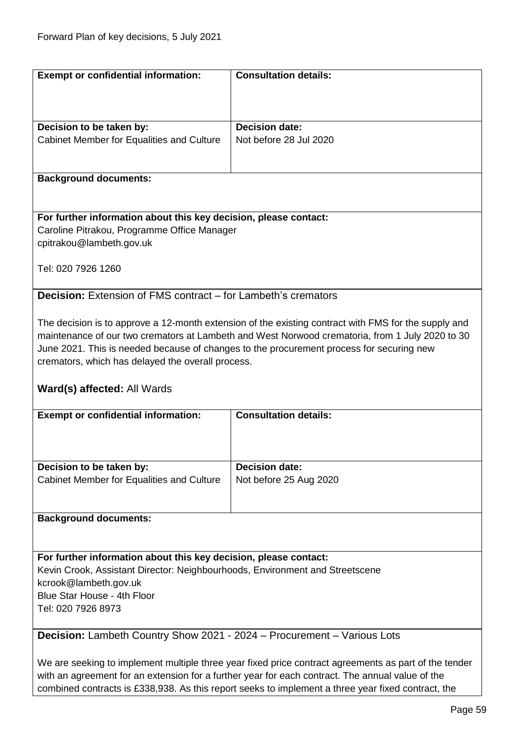<span id="page-58-0"></span>

| <b>Exempt or confidential information:</b>                                   | <b>Consultation details:</b>                                                                          |
|------------------------------------------------------------------------------|-------------------------------------------------------------------------------------------------------|
|                                                                              |                                                                                                       |
|                                                                              |                                                                                                       |
|                                                                              |                                                                                                       |
| Decision to be taken by:                                                     | <b>Decision date:</b>                                                                                 |
| Cabinet Member for Equalities and Culture                                    | Not before 28 Jul 2020                                                                                |
|                                                                              |                                                                                                       |
|                                                                              |                                                                                                       |
| <b>Background documents:</b>                                                 |                                                                                                       |
|                                                                              |                                                                                                       |
|                                                                              |                                                                                                       |
| For further information about this key decision, please contact:             |                                                                                                       |
| Caroline Pitrakou, Programme Office Manager                                  |                                                                                                       |
| cpitrakou@lambeth.gov.uk                                                     |                                                                                                       |
|                                                                              |                                                                                                       |
| Tel: 020 7926 1260                                                           |                                                                                                       |
|                                                                              |                                                                                                       |
| <b>Decision:</b> Extension of FMS contract – for Lambeth's cremators         |                                                                                                       |
|                                                                              |                                                                                                       |
|                                                                              |                                                                                                       |
|                                                                              | The decision is to approve a 12-month extension of the existing contract with FMS for the supply and  |
|                                                                              | maintenance of our two cremators at Lambeth and West Norwood crematoria, from 1 July 2020 to 30       |
|                                                                              | June 2021. This is needed because of changes to the procurement process for securing new              |
| cremators, which has delayed the overall process.                            |                                                                                                       |
|                                                                              |                                                                                                       |
|                                                                              |                                                                                                       |
| <b>Ward(s) affected: All Wards</b>                                           |                                                                                                       |
|                                                                              |                                                                                                       |
| <b>Exempt or confidential information:</b>                                   | <b>Consultation details:</b>                                                                          |
|                                                                              |                                                                                                       |
|                                                                              |                                                                                                       |
|                                                                              |                                                                                                       |
| Decision to be taken by:                                                     | <b>Decision date:</b>                                                                                 |
|                                                                              |                                                                                                       |
| Cabinet Member for Equalities and Culture                                    | Not before 25 Aug 2020                                                                                |
|                                                                              |                                                                                                       |
|                                                                              |                                                                                                       |
| <b>Background documents:</b>                                                 |                                                                                                       |
|                                                                              |                                                                                                       |
|                                                                              |                                                                                                       |
| For further information about this key decision, please contact:             |                                                                                                       |
| Kevin Crook, Assistant Director: Neighbourhoods, Environment and Streetscene |                                                                                                       |
| kcrook@lambeth.gov.uk                                                        |                                                                                                       |
| Blue Star House - 4th Floor                                                  |                                                                                                       |
| Tel: 020 7926 8973                                                           |                                                                                                       |
|                                                                              |                                                                                                       |
| Decision: Lambeth Country Show 2021 - 2024 - Procurement - Various Lots      |                                                                                                       |
|                                                                              |                                                                                                       |
|                                                                              | We are seeking to implement multiple three year fixed price contract agreements as part of the tender |

<span id="page-58-1"></span>combined contracts is £338,938. As this report seeks to implement a three year fixed contract, the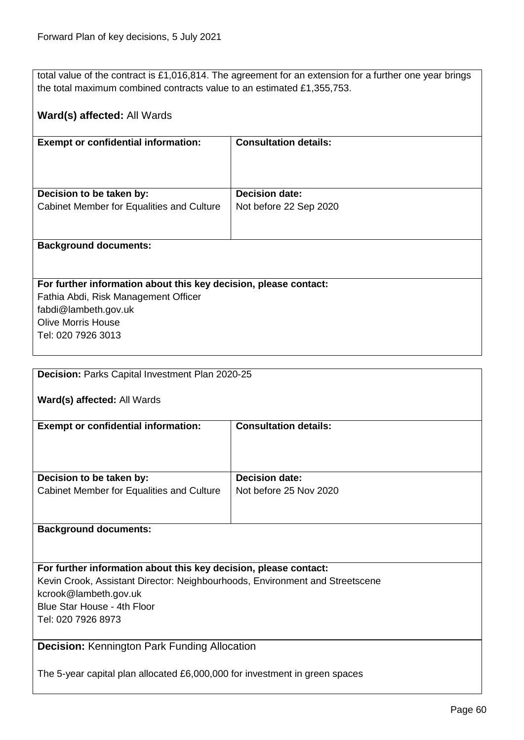total value of the contract is £1,016,814. The agreement for an extension for a further one year brings the total maximum combined contracts value to an estimated £1,355,753.

# **Ward(s) affected:** All Wards

| <b>Exempt or confidential information:</b>                            | <b>Consultation details:</b>                    |
|-----------------------------------------------------------------------|-------------------------------------------------|
| Decision to be taken by:<br>Cabinet Member for Equalities and Culture | <b>Decision date:</b><br>Not before 22 Sep 2020 |
| <b>Background documents:</b>                                          |                                                 |

# **For further information about this key decision, please contact:**

Fathia Abdi, Risk Management Officer fabdi@lambeth.gov.uk Olive Morris House Tel: 020 7926 3013

<span id="page-59-0"></span>

| Decision: Parks Capital Investment Plan 2020-25                              |                              |
|------------------------------------------------------------------------------|------------------------------|
|                                                                              |                              |
| Ward(s) affected: All Wards                                                  |                              |
|                                                                              |                              |
| <b>Exempt or confidential information:</b>                                   | <b>Consultation details:</b> |
|                                                                              |                              |
|                                                                              |                              |
|                                                                              |                              |
| Decision to be taken by:                                                     | <b>Decision date:</b>        |
| Cabinet Member for Equalities and Culture                                    | Not before 25 Nov 2020       |
|                                                                              |                              |
|                                                                              |                              |
| <b>Background documents:</b>                                                 |                              |
|                                                                              |                              |
|                                                                              |                              |
| For further information about this key decision, please contact:             |                              |
| Kevin Crook, Assistant Director: Neighbourhoods, Environment and Streetscene |                              |
| kcrook@lambeth.gov.uk                                                        |                              |
| Blue Star House - 4th Floor                                                  |                              |
| Tel: 020 7926 8973                                                           |                              |
|                                                                              |                              |
|                                                                              |                              |

# <span id="page-59-1"></span>**Decision:** Kennington Park Funding Allocation

The 5-year capital plan allocated £6,000,000 for investment in green spaces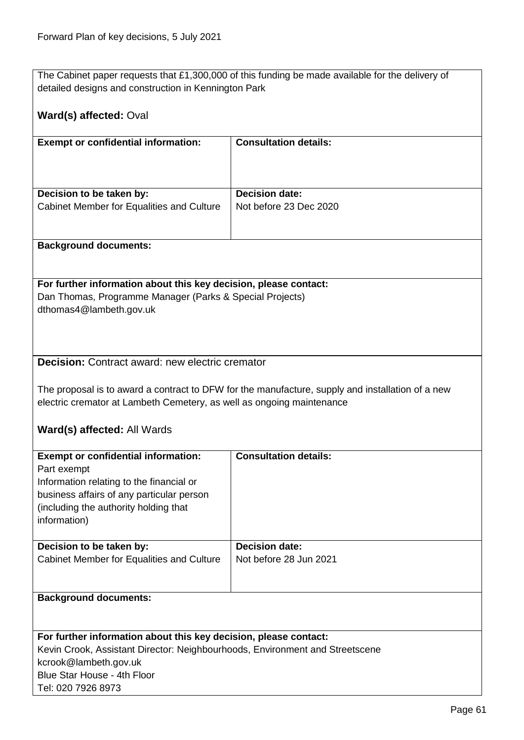The Cabinet paper requests that £1,300,000 of this funding be made available for the delivery of detailed designs and construction in Kennington Park

<span id="page-60-0"></span>

| Ward(s) affected: Oval                                                                                                                                                                                                                                             |                                                 |  |
|--------------------------------------------------------------------------------------------------------------------------------------------------------------------------------------------------------------------------------------------------------------------|-------------------------------------------------|--|
| <b>Exempt or confidential information:</b>                                                                                                                                                                                                                         | <b>Consultation details:</b>                    |  |
| Decision to be taken by:<br>Cabinet Member for Equalities and Culture                                                                                                                                                                                              | <b>Decision date:</b><br>Not before 23 Dec 2020 |  |
| <b>Background documents:</b>                                                                                                                                                                                                                                       |                                                 |  |
| For further information about this key decision, please contact:<br>Dan Thomas, Programme Manager (Parks & Special Projects)<br>dthomas4@lambeth.gov.uk                                                                                                            |                                                 |  |
| <b>Decision:</b> Contract award: new electric cremator<br>The proposal is to award a contract to DFW for the manufacture, supply and installation of a new<br>electric cremator at Lambeth Cemetery, as well as ongoing maintenance<br>Ward(s) affected: All Wards |                                                 |  |
| <b>Exempt or confidential information:</b><br>Part exempt<br>Information relating to the financial or<br>business affairs of any particular person<br>(including the authority holding that<br>information)                                                        | <b>Consultation details:</b>                    |  |
| Decision to be taken by:<br>Cabinet Member for Equalities and Culture                                                                                                                                                                                              | <b>Decision date:</b><br>Not before 28 Jun 2021 |  |
| <b>Background documents:</b>                                                                                                                                                                                                                                       |                                                 |  |
| For further information about this key decision, please contact:<br>Kevin Crook, Assistant Director: Neighbourhoods, Environment and Streetscene<br>kcrook@lambeth.gov.uk<br>Blue Star House - 4th Floor<br>Tel: 020 7926 8973                                     |                                                 |  |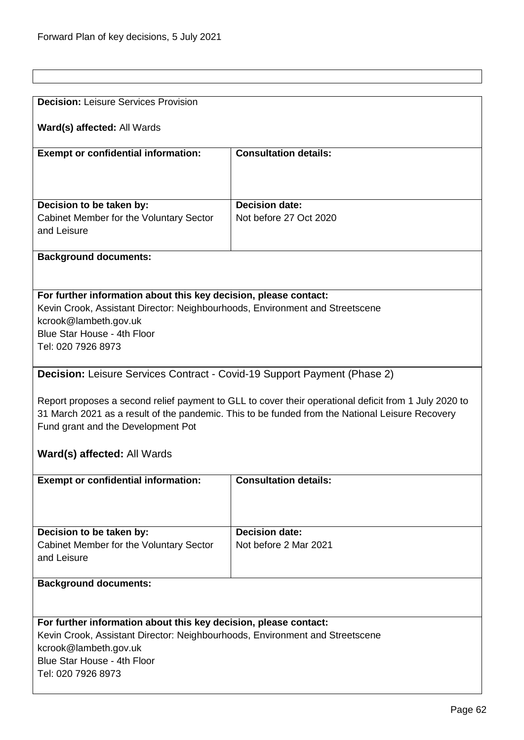<span id="page-61-1"></span><span id="page-61-0"></span>

| <b>Decision: Leisure Services Provision</b>                                     |                                                                                                       |  |
|---------------------------------------------------------------------------------|-------------------------------------------------------------------------------------------------------|--|
|                                                                                 |                                                                                                       |  |
| Ward(s) affected: All Wards                                                     |                                                                                                       |  |
|                                                                                 |                                                                                                       |  |
| <b>Exempt or confidential information:</b>                                      | <b>Consultation details:</b>                                                                          |  |
|                                                                                 |                                                                                                       |  |
|                                                                                 |                                                                                                       |  |
|                                                                                 |                                                                                                       |  |
| Decision to be taken by:                                                        | <b>Decision date:</b>                                                                                 |  |
| Cabinet Member for the Voluntary Sector                                         | Not before 27 Oct 2020                                                                                |  |
| and Leisure                                                                     |                                                                                                       |  |
|                                                                                 |                                                                                                       |  |
| <b>Background documents:</b>                                                    |                                                                                                       |  |
|                                                                                 |                                                                                                       |  |
|                                                                                 |                                                                                                       |  |
| For further information about this key decision, please contact:                |                                                                                                       |  |
| Kevin Crook, Assistant Director: Neighbourhoods, Environment and Streetscene    |                                                                                                       |  |
| kcrook@lambeth.gov.uk                                                           |                                                                                                       |  |
| Blue Star House - 4th Floor                                                     |                                                                                                       |  |
| Tel: 020 7926 8973                                                              |                                                                                                       |  |
|                                                                                 |                                                                                                       |  |
| <b>Decision:</b> Leisure Services Contract - Covid-19 Support Payment (Phase 2) |                                                                                                       |  |
|                                                                                 |                                                                                                       |  |
|                                                                                 | Report proposes a second relief payment to GLL to cover their operational deficit from 1 July 2020 to |  |
|                                                                                 | 31 March 2021 as a result of the pandemic. This to be funded from the National Leisure Recovery       |  |
| Fund grant and the Development Pot                                              |                                                                                                       |  |
|                                                                                 |                                                                                                       |  |
| <b>Ward(s) affected: All Wards</b>                                              |                                                                                                       |  |
|                                                                                 |                                                                                                       |  |
| <b>Exempt or confidential information:</b>                                      | <b>Consultation details:</b>                                                                          |  |
|                                                                                 |                                                                                                       |  |
|                                                                                 |                                                                                                       |  |
|                                                                                 |                                                                                                       |  |
| Decision to be taken by:                                                        | <b>Decision date:</b>                                                                                 |  |
| Cabinet Member for the Voluntary Sector                                         | Not before 2 Mar 2021                                                                                 |  |
| and Leisure                                                                     |                                                                                                       |  |
|                                                                                 |                                                                                                       |  |
| <b>Background documents:</b>                                                    |                                                                                                       |  |
|                                                                                 |                                                                                                       |  |
|                                                                                 |                                                                                                       |  |
| For further information about this key decision, please contact:                |                                                                                                       |  |
| Kevin Crook, Assistant Director: Neighbourhoods, Environment and Streetscene    |                                                                                                       |  |
| kcrook@lambeth.gov.uk                                                           |                                                                                                       |  |
| Blue Star House - 4th Floor                                                     |                                                                                                       |  |
| Tel: 020 7926 8973                                                              |                                                                                                       |  |
|                                                                                 |                                                                                                       |  |
|                                                                                 |                                                                                                       |  |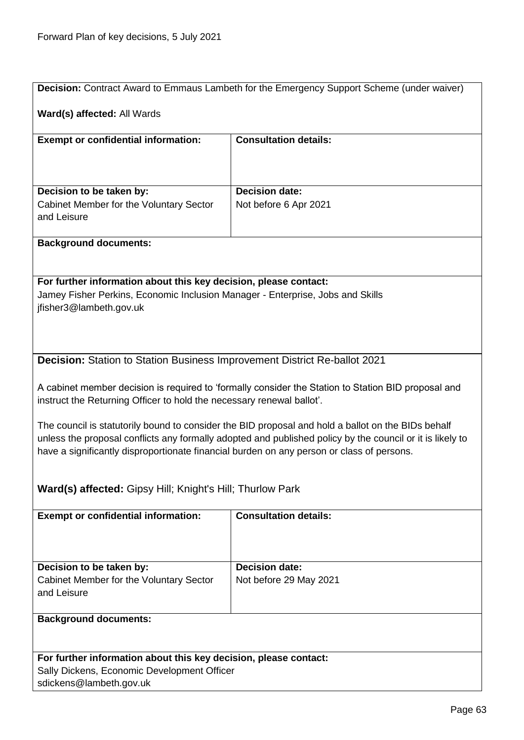<span id="page-62-1"></span><span id="page-62-0"></span>

|                                                                                                                                                                                                                                                                                                              | Decision: Contract Award to Emmaus Lambeth for the Emergency Support Scheme (under waiver) |  |  |
|--------------------------------------------------------------------------------------------------------------------------------------------------------------------------------------------------------------------------------------------------------------------------------------------------------------|--------------------------------------------------------------------------------------------|--|--|
| Ward(s) affected: All Wards                                                                                                                                                                                                                                                                                  |                                                                                            |  |  |
| <b>Exempt or confidential information:</b>                                                                                                                                                                                                                                                                   | <b>Consultation details:</b>                                                               |  |  |
|                                                                                                                                                                                                                                                                                                              |                                                                                            |  |  |
| Decision to be taken by:                                                                                                                                                                                                                                                                                     | <b>Decision date:</b>                                                                      |  |  |
| Cabinet Member for the Voluntary Sector<br>and Leisure                                                                                                                                                                                                                                                       | Not before 6 Apr 2021                                                                      |  |  |
| <b>Background documents:</b>                                                                                                                                                                                                                                                                                 |                                                                                            |  |  |
|                                                                                                                                                                                                                                                                                                              |                                                                                            |  |  |
| For further information about this key decision, please contact:                                                                                                                                                                                                                                             |                                                                                            |  |  |
| Jamey Fisher Perkins, Economic Inclusion Manager - Enterprise, Jobs and Skills<br>jfisher3@lambeth.gov.uk                                                                                                                                                                                                    |                                                                                            |  |  |
|                                                                                                                                                                                                                                                                                                              |                                                                                            |  |  |
|                                                                                                                                                                                                                                                                                                              |                                                                                            |  |  |
| <b>Decision:</b> Station to Station Business Improvement District Re-ballot 2021                                                                                                                                                                                                                             |                                                                                            |  |  |
| A cabinet member decision is required to 'formally consider the Station to Station BID proposal and<br>instruct the Returning Officer to hold the necessary renewal ballot'.                                                                                                                                 |                                                                                            |  |  |
| The council is statutorily bound to consider the BID proposal and hold a ballot on the BIDs behalf<br>unless the proposal conflicts any formally adopted and published policy by the council or it is likely to<br>have a significantly disproportionate financial burden on any person or class of persons. |                                                                                            |  |  |
| Ward(s) affected: Gipsy Hill; Knight's Hill; Thurlow Park                                                                                                                                                                                                                                                    |                                                                                            |  |  |
| <b>Exempt or confidential information:</b>                                                                                                                                                                                                                                                                   | <b>Consultation details:</b>                                                               |  |  |
|                                                                                                                                                                                                                                                                                                              |                                                                                            |  |  |
| Decision to be taken by:                                                                                                                                                                                                                                                                                     | <b>Decision date:</b>                                                                      |  |  |
| Cabinet Member for the Voluntary Sector<br>and Leisure                                                                                                                                                                                                                                                       | Not before 29 May 2021                                                                     |  |  |
| <b>Background documents:</b>                                                                                                                                                                                                                                                                                 |                                                                                            |  |  |
| For further information about this key decision, please contact:                                                                                                                                                                                                                                             |                                                                                            |  |  |
| Sally Dickens, Economic Development Officer                                                                                                                                                                                                                                                                  |                                                                                            |  |  |
| sdickens@lambeth.gov.uk                                                                                                                                                                                                                                                                                      |                                                                                            |  |  |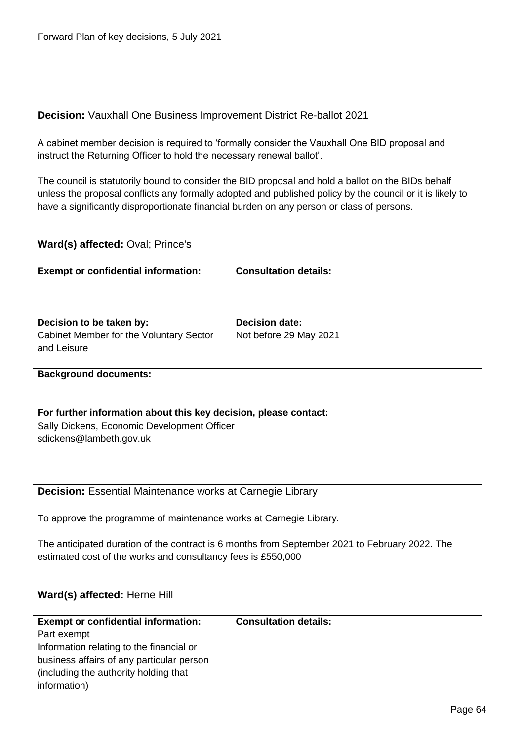<span id="page-63-0"></span>**Decision:** Vauxhall One Business Improvement District Re-ballot 2021

A cabinet member decision is required to 'formally consider the Vauxhall One BID proposal and instruct the Returning Officer to hold the necessary renewal ballot'.

The council is statutorily bound to consider the BID proposal and hold a ballot on the BIDs behalf unless the proposal conflicts any formally adopted and published policy by the council or it is likely to have a significantly disproportionate financial burden on any person or class of persons.

# **Ward(s) affected:** Oval; Prince's

<span id="page-63-1"></span>

| <b>Exempt or confidential information:</b>                         | <b>Consultation details:</b>                                                                   |  |
|--------------------------------------------------------------------|------------------------------------------------------------------------------------------------|--|
|                                                                    |                                                                                                |  |
|                                                                    |                                                                                                |  |
| Decision to be taken by:                                           | <b>Decision date:</b>                                                                          |  |
| Cabinet Member for the Voluntary Sector                            | Not before 29 May 2021                                                                         |  |
| and Leisure                                                        |                                                                                                |  |
| <b>Background documents:</b>                                       |                                                                                                |  |
|                                                                    |                                                                                                |  |
| For further information about this key decision, please contact:   |                                                                                                |  |
| Sally Dickens, Economic Development Officer                        |                                                                                                |  |
| sdickens@lambeth.gov.uk                                            |                                                                                                |  |
|                                                                    |                                                                                                |  |
|                                                                    |                                                                                                |  |
| <b>Decision:</b> Essential Maintenance works at Carnegie Library   |                                                                                                |  |
|                                                                    |                                                                                                |  |
| To approve the programme of maintenance works at Carnegie Library. |                                                                                                |  |
|                                                                    |                                                                                                |  |
|                                                                    | The anticipated duration of the contract is 6 months from September 2021 to February 2022. The |  |
| estimated cost of the works and consultancy fees is £550,000       |                                                                                                |  |
|                                                                    |                                                                                                |  |
| Ward(s) affected: Herne Hill                                       |                                                                                                |  |
|                                                                    |                                                                                                |  |
| <b>Exempt or confidential information:</b>                         | <b>Consultation details:</b>                                                                   |  |
| Part exempt                                                        |                                                                                                |  |
| Information relating to the financial or                           |                                                                                                |  |
| business affairs of any particular person                          |                                                                                                |  |
| (including the authority holding that                              |                                                                                                |  |
| information)                                                       |                                                                                                |  |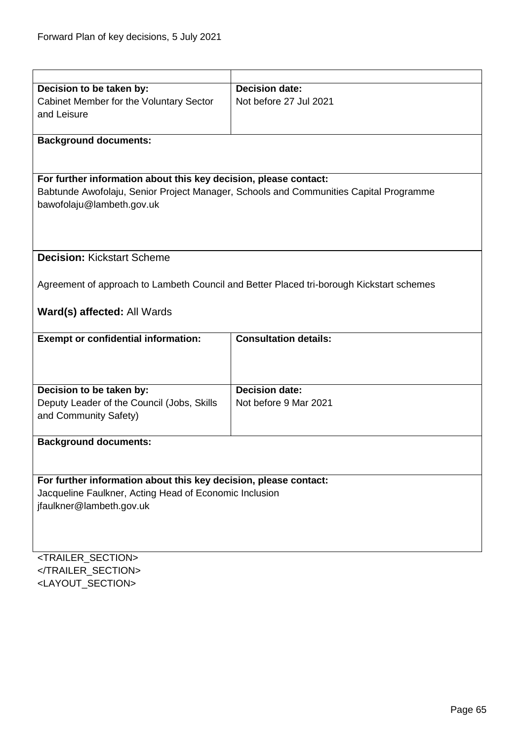<span id="page-64-0"></span>

| Decision to be taken by:                                         | <b>Decision date:</b>                                                                    |  |
|------------------------------------------------------------------|------------------------------------------------------------------------------------------|--|
| Cabinet Member for the Voluntary Sector                          | Not before 27 Jul 2021                                                                   |  |
| and Leisure                                                      |                                                                                          |  |
|                                                                  |                                                                                          |  |
| <b>Background documents:</b>                                     |                                                                                          |  |
|                                                                  |                                                                                          |  |
|                                                                  |                                                                                          |  |
| For further information about this key decision, please contact: |                                                                                          |  |
|                                                                  | Babtunde Awofolaju, Senior Project Manager, Schools and Communities Capital Programme    |  |
| bawofolaju@lambeth.gov.uk                                        |                                                                                          |  |
|                                                                  |                                                                                          |  |
|                                                                  |                                                                                          |  |
| <b>Decision: Kickstart Scheme</b>                                |                                                                                          |  |
|                                                                  |                                                                                          |  |
|                                                                  |                                                                                          |  |
|                                                                  | Agreement of approach to Lambeth Council and Better Placed tri-borough Kickstart schemes |  |
|                                                                  |                                                                                          |  |
| Ward(s) affected: All Wards                                      |                                                                                          |  |
| <b>Exempt or confidential information:</b>                       | <b>Consultation details:</b>                                                             |  |
|                                                                  |                                                                                          |  |
|                                                                  |                                                                                          |  |
|                                                                  |                                                                                          |  |
| Decision to be taken by:                                         | <b>Decision date:</b>                                                                    |  |
| Deputy Leader of the Council (Jobs, Skills                       | Not before 9 Mar 2021                                                                    |  |
| and Community Safety)                                            |                                                                                          |  |
|                                                                  |                                                                                          |  |
| <b>Background documents:</b>                                     |                                                                                          |  |
|                                                                  |                                                                                          |  |
|                                                                  |                                                                                          |  |
| For further information about this key decision, please contact: |                                                                                          |  |
| Jacqueline Faulkner, Acting Head of Economic Inclusion           |                                                                                          |  |
| jfaulkner@lambeth.gov.uk                                         |                                                                                          |  |
|                                                                  |                                                                                          |  |
|                                                                  |                                                                                          |  |
|                                                                  |                                                                                          |  |
| <trailer_section></trailer_section>                              |                                                                                          |  |

</TRAILER\_SECTION> <LAYOUT\_SECTION>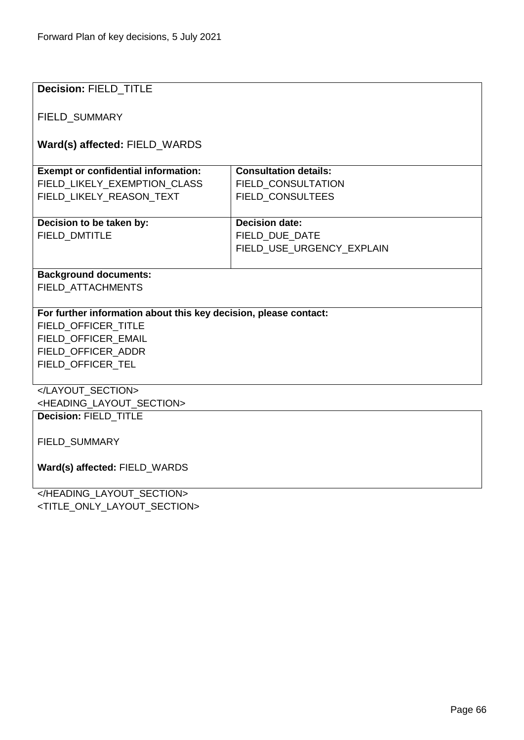| <b>Decision: FIELD TITLE</b>                                     |                              |  |
|------------------------------------------------------------------|------------------------------|--|
| <b>FIELD SUMMARY</b>                                             |                              |  |
| Ward(s) affected: FIELD_WARDS                                    |                              |  |
|                                                                  |                              |  |
| <b>Exempt or confidential information:</b>                       | <b>Consultation details:</b> |  |
| FIELD_LIKELY_EXEMPTION_CLASS                                     | FIELD_CONSULTATION           |  |
| FIELD_LIKELY_REASON_TEXT                                         | FIELD_CONSULTEES             |  |
|                                                                  |                              |  |
| Decision to be taken by:                                         | <b>Decision date:</b>        |  |
| <b>FIELD DMTITLE</b>                                             | FIELD DUE DATE               |  |
|                                                                  | FIELD USE URGENCY EXPLAIN    |  |
|                                                                  |                              |  |
| <b>Background documents:</b>                                     |                              |  |
| FIELD_ATTACHMENTS                                                |                              |  |
|                                                                  |                              |  |
| For further information about this key decision, please contact: |                              |  |
| FIELD OFFICER TITLE                                              |                              |  |
| FIELD OFFICER EMAIL                                              |                              |  |
| FIELD OFFICER ADDR                                               |                              |  |
| FIELD_OFFICER_TEL                                                |                              |  |
|                                                                  |                              |  |
| <heading layout="" section=""></heading>                         |                              |  |
| Decision: FIELD_TITLE                                            |                              |  |
|                                                                  |                              |  |
| FIELD_SUMMARY                                                    |                              |  |
|                                                                  |                              |  |
| Ward(s) affected: FIELD_WARDS                                    |                              |  |
|                                                                  |                              |  |
|                                                                  |                              |  |

</HEADING\_LAYOUT\_SECTION> <TITLE\_ONLY\_LAYOUT\_SECTION>